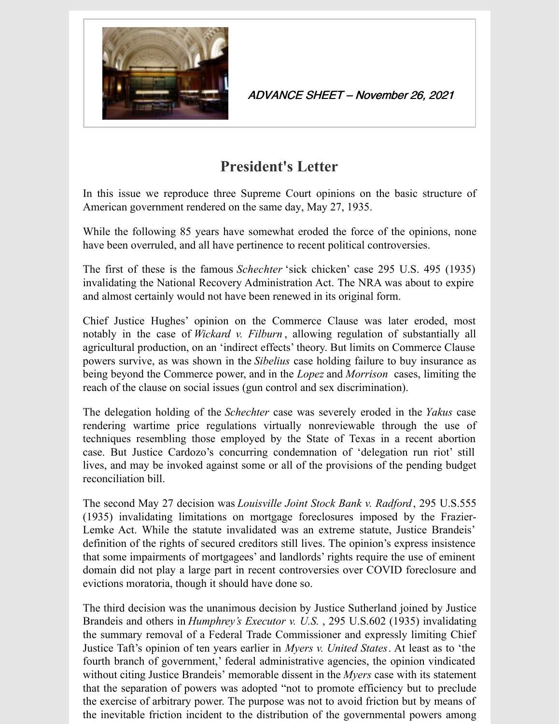

# **President's Letter**

In this issue we reproduce three Supreme Court opinions on the basic structure of American government rendered on the same day, May 27, 1935.

While the following 85 years have somewhat eroded the force of the opinions, none have been overruled, and all have pertinence to recent political controversies.

The first of these is the famous *Schechter* 'sick chicken' case 295 U.S. 495 (1935) invalidating the National Recovery Administration Act. The NRA was about to expire and almost certainly would not have been renewed in its original form.

Chief Justice Hughes' opinion on the Commerce Clause was later eroded, most notably in the case of *Wickard v. Filburn* , allowing regulation of substantially all agricultural production, on an 'indirect effects' theory. But limits on Commerce Clause powers survive, as was shown in the *Sibelius* case holding failure to buy insurance as being beyond the Commerce power, and in the *Lopez* and *Morrison* cases, limiting the reach of the clause on social issues (gun control and sex discrimination).

The delegation holding of the *Schechter* case was severely eroded in the *Yakus* case rendering wartime price regulations virtually nonreviewable through the use of techniques resembling those employed by the State of Texas in a recent abortion case. But Justice Cardozo's concurring condemnation of 'delegation run riot' still lives, and may be invoked against some or all of the provisions of the pending budget reconciliation bill.

The second May 27 decision was *Louisville Joint Stock Bank v. Radford* , 295 U.S.555 (1935) invalidating limitations on mortgage foreclosures imposed by the Frazier-Lemke Act. While the statute invalidated was an extreme statute, Justice Brandeis' definition of the rights of secured creditors still lives. The opinion's express insistence that some impairments of mortgagees' and landlords' rights require the use of eminent domain did not play a large part in recent controversies over COVID foreclosure and evictions moratoria, though it should have done so.

The third decision was the unanimous decision by Justice Sutherland joined by Justice Brandeis and others in *Humphrey's Executor v. U.S.* , 295 U.S.602 (1935) invalidating the summary removal of a Federal Trade Commissioner and expressly limiting Chief Justice Taft's opinion of ten years earlier in *Myers v. United States*. At least as to 'the fourth branch of government,' federal administrative agencies, the opinion vindicated without citing Justice Brandeis' memorable dissent in the *Myers* case with its statement that the separation of powers was adopted "not to promote efficiency but to preclude the exercise of arbitrary power. The purpose was not to avoid friction but by means of the inevitable friction incident to the distribution of the governmental powers among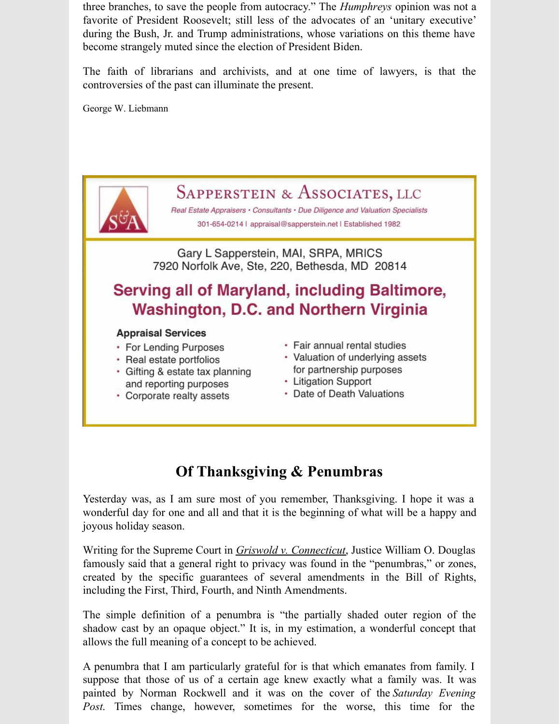three branches, to save the people from autocracy." The *Humphreys* opinion was not a favorite of President Roosevelt; still less of the advocates of an 'unitary executive' during the Bush, Jr. and Trump administrations, whose variations on this theme have become strangely muted since the election of President Biden.

The faith of librarians and archivists, and at one time of lawyers, is that the controversies of the past can illuminate the present.

George W. Liebmann



# **Of Thanksgiving & Penumbras**

Yesterday was, as I am sure most of you remember, Thanksgiving. I hope it was a wonderful day for one and all and that it is the beginning of what will be a happy and joyous holiday season.

Writing for the Supreme Court in *Griswold v. [Connecticut](http://www.oyez.org/cases/1960-1969/1964/1964_496)*, Justice William O. Douglas famously said that a general right to privacy was found in the "penumbras," or zones, created by the specific guarantees of several amendments in the Bill of Rights, including the First, Third, Fourth, and Ninth Amendments.

The simple definition of a penumbra is "the partially shaded outer region of the shadow cast by an opaque object." It is, in my estimation, a wonderful concept that allows the full meaning of a concept to be achieved.

A penumbra that I am particularly grateful for is that which emanates from family. I suppose that those of us of a certain age knew exactly what a family was. It was painted by Norman Rockwell and it was on the cover of the *Saturday Evening Post*. Times change, however, sometimes for the worse, this time for the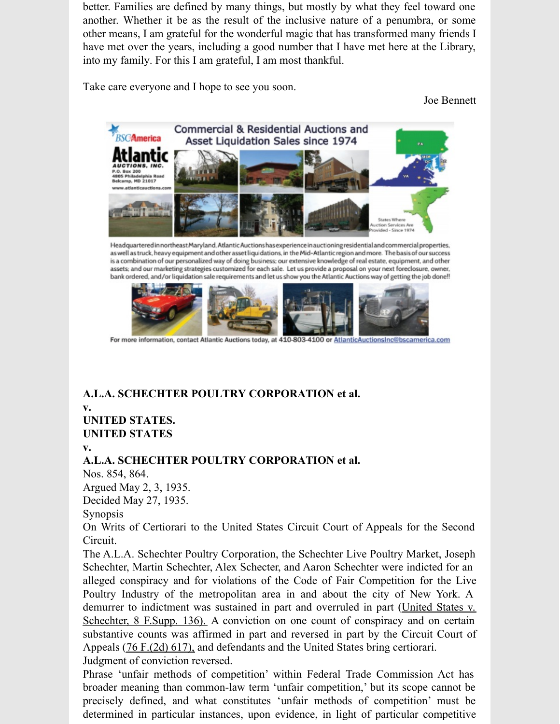better. Families are defined by many things, but mostly by what they feel toward one another. Whether it be as the result of the inclusive nature of a penumbra, or some other means, I am grateful for the wonderful magic that has transformed many friends I have met over the years, including a good number that I have met here at the Library, into my family. For this I am grateful, I am most thankful.

Take care everyone and I hope to see you soon.

Joe Bennett



Headquartered innortheast Maryland. Atlantic Auctions has experience in auctioning residential and commercial properties, as well as truck, heavy equipment and other asset liquidations, in the Mid-Atlantic region and more. The basis of our success is a combination of our personalized way of doing business; our extensive knowledge of real estate, equipment, and other assets; and our marketing strategies customized for each sale. Let us provide a proposal on your next foreclosure, owner, bank ordered, and/or liquidation sale requirements and let us show you the Atlantic Auctions way of getting the job done!!



For more information, contact Atlantic Auctions today, at 410-803-4100 or AtlanticAuctionsInc@bscamerica.com

## **A.L.A. SCHECHTER POULTRY CORPORATION et al.**

**v.**

#### **UNITED STATES. UNITED STATES**

**v.**

### **A.L.A. SCHECHTER POULTRY CORPORATION et al.**

Nos. 854, 864. Argued May 2, 3, 1935. Decided May 27, 1935.

Synopsis

On Writs of Certiorari to the United States Circuit Court of Appeals for the Second Circuit.

The A.L.A. Schechter Poultry Corporation, the Schechter Live Poultry Market, Joseph Schechter, Martin Schechter, Alex Schecter, and Aaron Schechter were indicted for an alleged conspiracy and for violations of the Code of Fair Competition for the Live Poultry Industry of the metropolitan area in and about the city of New York. A demurrer to [indictment](https://1.next.westlaw.com/Link/Document/FullText?findType=Y&serNum=1934123653&pubNum=345&originatingDoc=If24576459cc111d9bdd1cfdd544ca3a4&refType=RP&originationContext=document&transitionType=DocumentItem&ppcid=df098f66f6954b11933898b7a1873c82&contextData=(sc.UserEnteredCitation)) was sustained in part and overruled in part (United States v. Schechter, 8 F.Supp. 136). A conviction on one count of conspiracy and on certain substantive counts was affirmed in part and reversed in part by the Circuit Court of Appeals (76 [F.\(2d\)](https://1.next.westlaw.com/Link/Document/FullText?findType=Y&serNum=1935123646&pubNum=350&originatingDoc=If24576459cc111d9bdd1cfdd544ca3a4&refType=RP&originationContext=document&transitionType=DocumentItem&ppcid=df098f66f6954b11933898b7a1873c82&contextData=(sc.UserEnteredCitation)) 617), and defendants and the United States bring certiorari. Judgment of conviction reversed.

Phrase 'unfair methods of competition' within Federal Trade Commission Act has broader meaning than common-law term 'unfair competition,' but its scope cannot be precisely defined, and what constitutes 'unfair methods of competition' must be determined in particular instances, upon evidence, in light of particular competitive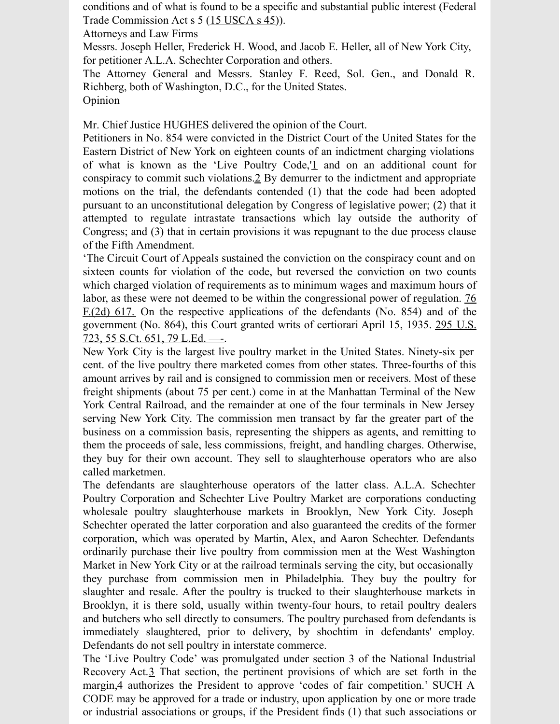conditions and of what is found to be a specific and substantial public interest (Federal Trade Commission Act s 5 (15 [USCA](https://1.next.westlaw.com/Link/Document/FullText?findType=L&pubNum=1000546&cite=15USCAS45&originatingDoc=If24576459cc111d9bdd1cfdd544ca3a4&refType=LQ&originationContext=document&transitionType=DocumentItem&ppcid=df098f66f6954b11933898b7a1873c82&contextData=(sc.UserEnteredCitation)) s 45)).

Attorneys and Law Firms

Messrs. Joseph Heller, Frederick H. Wood, and Jacob E. Heller, all of New York City, for petitioner A.L.A. Schechter Corporation and others.

The Attorney General and Messrs. Stanley F. Reed, Sol. Gen., and Donald R. Richberg, both of Washington, D.C., for the United States. Opinion

Mr. Chief Justice HUGHES delivered the opinion of the Court.

Petitioners in No. 854 were convicted in the District Court of the United States for the Eastern District of New York on eighteen counts of an indictment charging violations of what is known as the 'Live Poultry Code,'[1](https://1.next.westlaw.com/Document/If24576459cc111d9bdd1cfdd544ca3a4/View/FullText.html?transitionType=UniqueDocItem&contextData=(sc.Default)&userEnteredCitation=295+us+495#co_footnote_B00111935123814) and on an additional count for conspiracy to commit such violations[.2](https://1.next.westlaw.com/Document/If24576459cc111d9bdd1cfdd544ca3a4/View/FullText.html?transitionType=UniqueDocItem&contextData=(sc.Default)&userEnteredCitation=295+us+495#co_footnote_B00221935123814) By demurrer to the indictment and appropriate motions on the trial, the defendants contended (1) that the code had been adopted pursuant to an unconstitutional delegation by Congress of legislative power; (2) that it attempted to regulate intrastate transactions which lay outside the authority of Congress; and (3) that in certain provisions it was repugnant to the due process clause of the Fifth Amendment.

'The Circuit Court of Appeals sustained the conviction on the conspiracy count and on sixteen counts for violation of the code, but reversed the conviction on two counts which charged violation of requirements as to minimum wages and maximum hours of labor, as these were not deemed to be within the [congressional](https://1.next.westlaw.com/Link/Document/FullText?findType=Y&serNum=1935123646&pubNum=350&originatingDoc=If24576459cc111d9bdd1cfdd544ca3a4&refType=RP&originationContext=document&transitionType=DocumentItem&ppcid=df098f66f6954b11933898b7a1873c82&contextData=(sc.UserEnteredCitation)) power of regulation. 76 F.(2d) 617. On the respective applications of the defendants (No. 854) and of the [government](https://1.next.westlaw.com/Link/Document/FullText?findType=Y&pubNum=708&cite=55SCT651&originatingDoc=If24576459cc111d9bdd1cfdd544ca3a4&refType=RP&originationContext=document&transitionType=DocumentItem&ppcid=df098f66f6954b11933898b7a1873c82&contextData=(sc.UserEnteredCitation)) (No. 864), this Court granted writs of certiorari April 15, 1935. 295 U.S. 723, 55 S.Ct. 651, 79 L.Ed. —-.

New York City is the largest live poultry market in the United States. Ninety-six per cent. of the live poultry there marketed comes from other states. Three-fourths of this amount arrives by rail and is consigned to commission men or receivers. Most of these freight shipments (about 75 per cent.) come in at the Manhattan Terminal of the New York Central Railroad, and the remainder at one of the four terminals in New Jersey serving New York City. The commission men transact by far the greater part of the business on a commission basis, representing the shippers as agents, and remitting to them the proceeds of sale, less commissions, freight, and handling charges. Otherwise, they buy for their own account. They sell to slaughterhouse operators who are also called marketmen.

The defendants are slaughterhouse operators of the latter class. A.L.A. Schechter Poultry Corporation and Schechter Live Poultry Market are corporations conducting wholesale poultry slaughterhouse markets in Brooklyn, New York City. Joseph Schechter operated the latter corporation and also guaranteed the credits of the former corporation, which was operated by Martin, Alex, and Aaron Schechter. Defendants ordinarily purchase their live poultry from commission men at the West Washington Market in New York City or at the railroad terminals serving the city, but occasionally they purchase from commission men in Philadelphia. They buy the poultry for slaughter and resale. After the poultry is trucked to their slaughterhouse markets in Brooklyn, it is there sold, usually within twenty-four hours, to retail poultry dealers and butchers who sell directly to consumers. The poultry purchased from defendants is immediately slaughtered, prior to delivery, by shochtim in defendants' employ. Defendants do not sell poultry in interstate commerce.

The 'Live Poultry Code' was promulgated under section 3 of the National Industrial Recovery Act[.3](https://1.next.westlaw.com/Document/If24576459cc111d9bdd1cfdd544ca3a4/View/FullText.html?transitionType=UniqueDocItem&contextData=(sc.Default)&userEnteredCitation=295+us+495#co_footnote_B00331935123814) That section, the pertinent provisions of which are set forth in the margin[,4](https://1.next.westlaw.com/Document/If24576459cc111d9bdd1cfdd544ca3a4/View/FullText.html?transitionType=UniqueDocItem&contextData=(sc.Default)&userEnteredCitation=295+us+495#co_footnote_B00441935123814) authorizes the President to approve 'codes of fair competition.' SUCH A CODE may be approved for a trade or industry, upon application by one or more trade or industrial associations or groups, if the President finds (1) that such associations or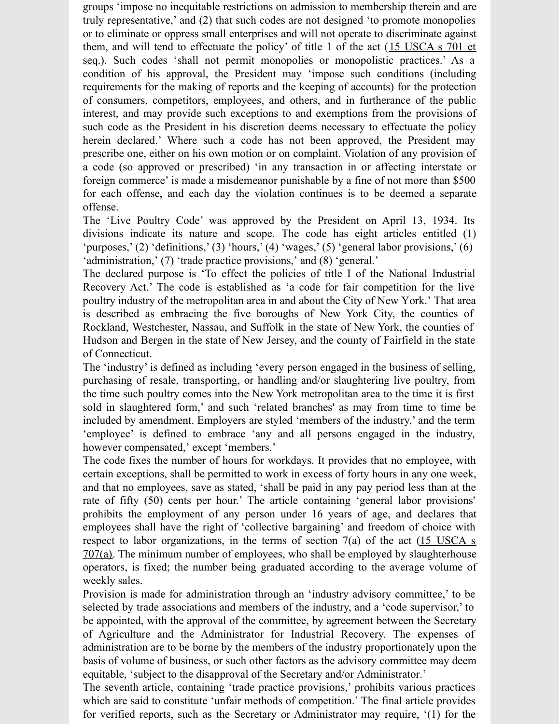groups 'impose no inequitable restrictions on admission to membership therein and are truly representative,' and (2) that such codes are not designed 'to promote monopolies or to eliminate or oppress small enterprises and will not operate to discriminate against them, and will tend to effectuate the policy' of title 1 of the act (15 USCA s 701 et seq.). Such codes 'shall not permit monopolies or [monopolistic](https://1.next.westlaw.com/Link/Document/FullText?findType=L&pubNum=1000546&cite=15USCAS701&originatingDoc=If24576459cc111d9bdd1cfdd544ca3a4&refType=LQ&originationContext=document&transitionType=DocumentItem&ppcid=df098f66f6954b11933898b7a1873c82&contextData=(sc.UserEnteredCitation)) practices.' As a condition of his approval, the President may 'impose such conditions (including requirements for the making of reports and the keeping of accounts) for the protection of consumers, competitors, employees, and others, and in furtherance of the public interest, and may provide such exceptions to and exemptions from the provisions of such code as the President in his discretion deems necessary to effectuate the policy herein declared.' Where such a code has not been approved, the President may prescribe one, either on his own motion or on complaint. Violation of any provision of a code (so approved or prescribed) 'in any transaction in or affecting interstate or foreign commerce' is made a misdemeanor punishable by a fine of not more than \$500 for each offense, and each day the violation continues is to be deemed a separate offense.

The 'Live Poultry Code' was approved by the President on April 13, 1934. Its divisions indicate its nature and scope. The code has eight articles entitled (1) 'purposes,' (2) 'definitions,' (3) 'hours,' (4) 'wages,' (5) 'general labor provisions,' (6) 'administration,' (7) 'trade practice provisions,' and (8) 'general.'

The declared purpose is 'To effect the policies of title I of the National Industrial Recovery Act.' The code is established as 'a code for fair competition for the live poultry industry of the metropolitan area in and about the City of New York.' That area is described as embracing the five boroughs of New York City, the counties of Rockland, Westchester, Nassau, and Suffolk in the state of New York, the counties of Hudson and Bergen in the state of New Jersey, and the county of Fairfield in the state of Connecticut.

The 'industry' is defined as including 'every person engaged in the business of selling, purchasing of resale, transporting, or handling and/or slaughtering live poultry, from the time such poultry comes into the New York metropolitan area to the time it is first sold in slaughtered form,' and such 'related branches' as may from time to time be included by amendment. Employers are styled 'members of the industry,' and the term 'employee' is defined to embrace 'any and all persons engaged in the industry, however compensated,' except 'members.'

The code fixes the number of hours for workdays. It provides that no employee, with certain exceptions, shall be permitted to work in excess of forty hours in any one week, and that no employees, save as stated, 'shall be paid in any pay period less than at the rate of fifty (50) cents per hour.' The article containing 'general labor provisions' prohibits the employment of any person under 16 years of age, and declares that employees shall have the right of 'collective bargaining' and freedom of choice with respect to labor organizations, in the terms of section  $7(a)$  of the act (15 USCA s)  $707(a)$ . The minimum number of employees, who shall be employed by [slaughterhouse](https://1.next.westlaw.com/Link/Document/FullText?findType=L&pubNum=1000546&cite=15USCAS707&originatingDoc=If24576459cc111d9bdd1cfdd544ca3a4&refType=LQ&originationContext=document&transitionType=DocumentItem&ppcid=df098f66f6954b11933898b7a1873c82&contextData=(sc.UserEnteredCitation)) operators, is fixed; the number being graduated according to the average volume of weekly sales.

Provision is made for administration through an 'industry advisory committee,' to be selected by trade associations and members of the industry, and a 'code supervisor,' to be appointed, with the approval of the committee, by agreement between the Secretary of Agriculture and the Administrator for Industrial Recovery. The expenses of administration are to be borne by the members of the industry proportionately upon the basis of volume of business, or such other factors as the advisory committee may deem equitable, 'subject to the disapproval of the Secretary and/or Administrator.'

The seventh article, containing 'trade practice provisions,' prohibits various practices which are said to constitute 'unfair methods of competition.' The final article provides for verified reports, such as the Secretary or Administrator may require, '(1) for the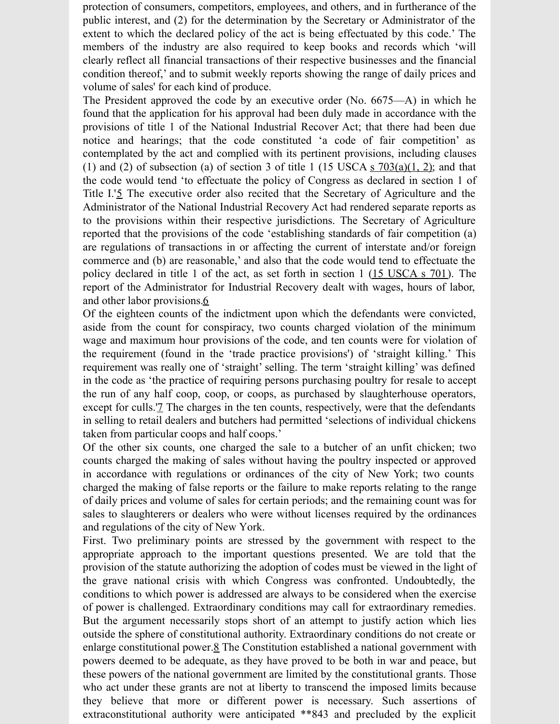protection of consumers, competitors, employees, and others, and in furtherance of the public interest, and (2) for the determination by the Secretary or Administrator of the extent to which the declared policy of the act is being effectuated by this code.' The members of the industry are also required to keep books and records which 'will clearly reflect all financial transactions of their respective businesses and the financial condition thereof,' and to submit weekly reports showing the range of daily prices and volume of sales' for each kind of produce.

The President approved the code by an executive order (No. 6675—A) in which he found that the application for his approval had been duly made in accordance with the provisions of title 1 of the National Industrial Recover Act; that there had been due notice and hearings; that the code constituted 'a code of fair competition' as contemplated by the act and complied with its pertinent provisions, including clauses (1) and (2) of subsection (a) of section 3 of title 1 (15 USCA  $\frac{s}{203(a)(1, 2)}$ ; and that the code would tend 'to effectuate the policy of Congress as declared in section 1 of Title I.'[5](https://1.next.westlaw.com/Document/If24576459cc111d9bdd1cfdd544ca3a4/View/FullText.html?transitionType=UniqueDocItem&contextData=(sc.Default)&userEnteredCitation=295+us+495#co_footnote_B00551935123814) The executive order also recited that the Secretary of Agriculture and the Administrator of the National Industrial Recovery Act had rendered separate reports as to the provisions within their respective jurisdictions. The Secretary of Agriculture reported that the provisions of the code 'establishing standards of fair competition (a) are regulations of transactions in or affecting the current of interstate and/or foreign commerce and (b) are reasonable,' and also that the code would tend to effectuate the policy declared in title 1 of the act, as set forth in section 1 (15 [USCA](https://1.next.westlaw.com/Link/Document/FullText?findType=L&pubNum=1000546&cite=15USCAS701&originatingDoc=If24576459cc111d9bdd1cfdd544ca3a4&refType=LQ&originationContext=document&transitionType=DocumentItem&ppcid=df098f66f6954b11933898b7a1873c82&contextData=(sc.UserEnteredCitation)) s 701). The report of the Administrator for Industrial Recovery dealt with wages, hours of labor, and other labor provisions[.6](https://1.next.westlaw.com/Document/If24576459cc111d9bdd1cfdd544ca3a4/View/FullText.html?transitionType=UniqueDocItem&contextData=(sc.Default)&userEnteredCitation=295+us+495#co_footnote_B00661935123814)

Of the eighteen counts of the indictment upon which the defendants were convicted, aside from the count for conspiracy, two counts charged violation of the minimum wage and maximum hour provisions of the code, and ten counts were for violation of the requirement (found in the 'trade practice provisions') of 'straight killing.' This requirement was really one of 'straight' selling. The term 'straight killing' was defined in the code as 'the practice of requiring persons purchasing poultry for resale to accept the run of any half coop, coop, or coops, as purchased by slaughterhouse operators, except for culls.'[7](https://1.next.westlaw.com/Document/If24576459cc111d9bdd1cfdd544ca3a4/View/FullText.html?transitionType=UniqueDocItem&contextData=(sc.Default)&userEnteredCitation=295+us+495#co_footnote_B00771935123814) The charges in the ten counts, respectively, were that the defendants in selling to retail dealers and butchers had permitted 'selections of individual chickens taken from particular coops and half coops.'

Of the other six counts, one charged the sale to a butcher of an unfit chicken; two counts charged the making of sales without having the poultry inspected or approved in accordance with regulations or ordinances of the city of New York; two counts charged the making of false reports or the failure to make reports relating to the range of daily prices and volume of sales for certain periods; and the remaining count was for sales to slaughterers or dealers who were without licenses required by the ordinances and regulations of the city of New York.

First. Two preliminary points are stressed by the government with respect to the appropriate approach to the important questions presented. We are told that the provision of the statute authorizing the adoption of codes must be viewed in the light of the grave national crisis with which Congress was confronted. Undoubtedly, the conditions to which power is addressed are always to be considered when the exercise of power is challenged. Extraordinary conditions may call for extraordinary remedies. But the argument necessarily stops short of an attempt to justify action which lies outside the sphere of constitutional authority. Extraordinary conditions do not create or enlarge constitutional power. $8$  The Constitution established a national government with powers deemed to be adequate, as they have proved to be both in war and peace, but these powers of the national government are limited by the constitutional grants. Those who act under these grants are not at liberty to transcend the imposed limits because they believe that more or different power is necessary. Such assertions of extraconstitutional authority were anticipated \*\*843 and precluded by the explicit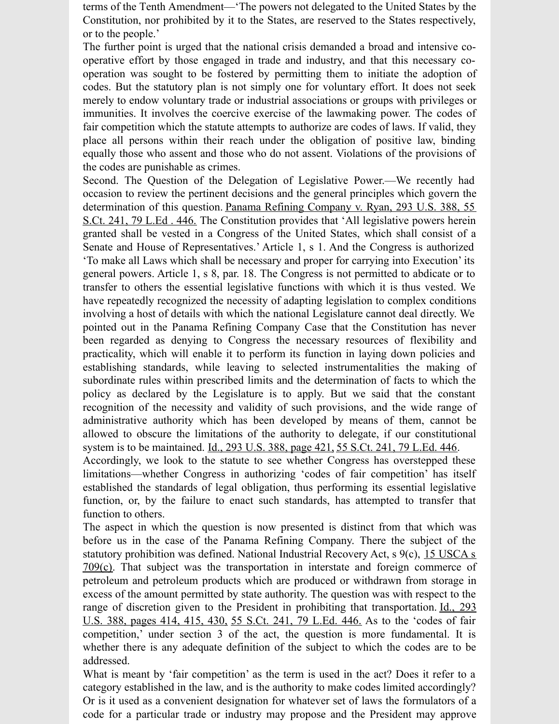terms of the Tenth Amendment—'The powers not delegated to the United States by the Constitution, nor prohibited by it to the States, are reserved to the States respectively, or to the people.'

The further point is urged that the national crisis demanded a broad and intensive cooperative effort by those engaged in trade and industry, and that this necessary cooperation was sought to be fostered by permitting them to initiate the adoption of codes. But the statutory plan is not simply one for voluntary effort. It does not seek merely to endow voluntary trade or industrial associations or groups with privileges or immunities. It involves the coercive exercise of the lawmaking power. The codes of fair competition which the statute attempts to authorize are codes of laws. If valid, they place all persons within their reach under the obligation of positive law, binding equally those who assent and those who do not assent. Violations of the provisions of the codes are punishable as crimes.

Second. The Question of the Delegation of Legislative Power.—We recently had occasion to review the pertinent decisions and the general principles which govern the [determination](https://1.next.westlaw.com/Link/Document/FullText?findType=Y&serNum=1935124094&pubNum=708&originatingDoc=If24576459cc111d9bdd1cfdd544ca3a4&refType=RP&originationContext=document&transitionType=DocumentItem&ppcid=df098f66f6954b11933898b7a1873c82&contextData=(sc.UserEnteredCitation)) of this question. Panama Refining Company v. Ryan, 293 U.S. 388, 55 S.Ct. 241, 79 L.Ed . 446. The Constitution provides that 'All legislative powers herein granted shall be vested in a Congress of the United States, which shall consist of a Senate and House of Representatives.' Article 1, s 1. And the Congress is authorized 'To make all Laws which shall be necessary and proper for carrying into Execution' its general powers. Article 1, s 8, par. 18. The Congress is not permitted to abdicate or to transfer to others the essential legislative functions with which it is thus vested. We have repeatedly recognized the necessity of adapting legislation to complex conditions involving a host of details with which the national Legislature cannot deal directly. We pointed out in the Panama Refining Company Case that the Constitution has never been regarded as denying to Congress the necessary resources of flexibility and practicality, which will enable it to perform its function in laying down policies and establishing standards, while leaving to selected instrumentalities the making of subordinate rules within prescribed limits and the determination of facts to which the policy as declared by the Legislature is to apply. But we said that the constant recognition of the necessity and validity of such provisions, and the wide range of administrative authority which has been developed by means of them, cannot be allowed to obscure the limitations of the authority to delegate, if our constitutional system is to be maintained. Id., 293 U.S. 388, [page](https://1.next.westlaw.com/Link/Document/FullText?findType=Y&serNum=1935124094&pubNum=780&originatingDoc=If24576459cc111d9bdd1cfdd544ca3a4&refType=RP&fi=co_pp_sp_780_421&originationContext=document&transitionType=DocumentItem&ppcid=df098f66f6954b11933898b7a1873c82&contextData=(sc.UserEnteredCitation)#co_pp_sp_780_421) 421, 55 S.Ct. 241, 79 [L.Ed.](https://1.next.westlaw.com/Link/Document/FullText?findType=Y&serNum=1935124094&pubNum=708&originatingDoc=If24576459cc111d9bdd1cfdd544ca3a4&refType=RP&originationContext=document&transitionType=DocumentItem&ppcid=df098f66f6954b11933898b7a1873c82&contextData=(sc.UserEnteredCitation)) 446.

Accordingly, we look to the statute to see whether Congress has overstepped these limitations—whether Congress in authorizing 'codes of fair competition' has itself established the standards of legal obligation, thus performing its essential legislative function, or, by the failure to enact such standards, has attempted to transfer that function to others.

The aspect in which the question is now presented is distinct from that which was before us in the case of the Panama Refining Company. There the subject of the statutory prohibition was defined. National Industrial Recovery Act,  $s \theta(c)$ , 15 USCA s 709(c). That subject was the [transportation](https://1.next.westlaw.com/Link/Document/FullText?findType=L&pubNum=1000546&cite=15USCAS709&originatingDoc=If24576459cc111d9bdd1cfdd544ca3a4&refType=LQ&originationContext=document&transitionType=DocumentItem&ppcid=df098f66f6954b11933898b7a1873c82&contextData=(sc.UserEnteredCitation)) in interstate and foreign commerce of petroleum and petroleum products which are produced or withdrawn from storage in excess of the amount permitted by state authority. The question was with respect to the range of discretion given to the President in prohibiting that [transportation.](https://1.next.westlaw.com/Link/Document/FullText?findType=Y&serNum=1935124094&pubNum=780&originatingDoc=If24576459cc111d9bdd1cfdd544ca3a4&refType=RP&fi=co_pp_sp_780_414&originationContext=document&transitionType=DocumentItem&ppcid=df098f66f6954b11933898b7a1873c82&contextData=(sc.UserEnteredCitation)#co_pp_sp_780_414) Id., 293 U.S. 388, pages 414, 415, 430, 55 S.Ct. 241, 79 [L.Ed.](https://1.next.westlaw.com/Link/Document/FullText?findType=Y&serNum=1935124094&pubNum=708&originatingDoc=If24576459cc111d9bdd1cfdd544ca3a4&refType=RP&originationContext=document&transitionType=DocumentItem&ppcid=df098f66f6954b11933898b7a1873c82&contextData=(sc.UserEnteredCitation)) 446. As to the 'codes of fair competition,' under section 3 of the act, the question is more fundamental. It is whether there is any adequate definition of the subject to which the codes are to be addressed.

What is meant by 'fair competition' as the term is used in the act? Does it refer to a category established in the law, and is the authority to make codes limited accordingly? Or is it used as a convenient designation for whatever set of laws the formulators of a code for a particular trade or industry may propose and the President may approve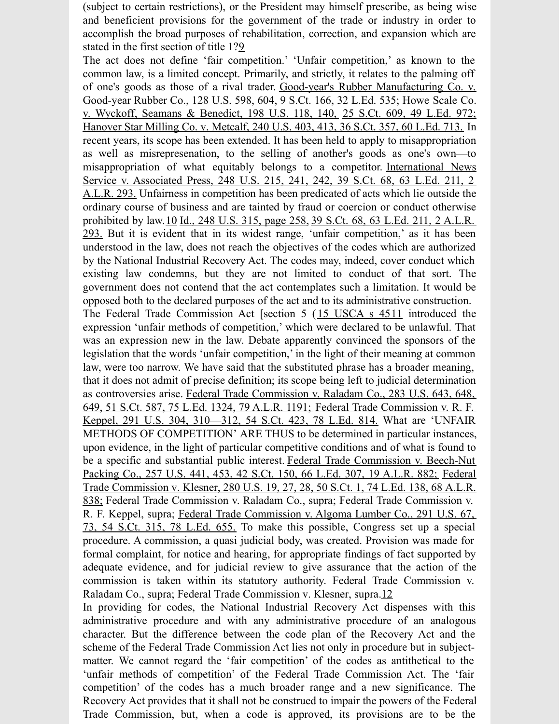(subject to certain restrictions), or the President may himself prescribe, as being wise and beneficient provisions for the government of the trade or industry in order to accomplish the broad purposes of rehabilitation, correction, and expansion which are stated in the first section of title 1?[9](https://1.next.westlaw.com/Document/If24576459cc111d9bdd1cfdd544ca3a4/View/FullText.html?transitionType=UniqueDocItem&contextData=(sc.Default)&userEnteredCitation=295+us+495#co_footnote_B00991935123814)

The act does not define 'fair competition.' 'Unfair competition,' as known to the common law, is a limited concept. Primarily, and strictly, it relates to the palming off of one's goods as those of a rival trader. Good-year's Rubber [Manufacturing](https://1.next.westlaw.com/Link/Document/FullText?findType=Y&serNum=1888180250&pubNum=708&originatingDoc=If24576459cc111d9bdd1cfdd544ca3a4&refType=RP&originationContext=document&transitionType=DocumentItem&ppcid=df098f66f6954b11933898b7a1873c82&contextData=(sc.UserEnteredCitation)) Co. v. [Good-year](https://1.next.westlaw.com/Link/Document/FullText?findType=Y&serNum=1905100557&pubNum=780&originatingDoc=If24576459cc111d9bdd1cfdd544ca3a4&refType=RP&fi=co_pp_sp_780_140&originationContext=document&transitionType=DocumentItem&ppcid=df098f66f6954b11933898b7a1873c82&contextData=(sc.UserEnteredCitation)#co_pp_sp_780_140) Rubber Co., 128 U.S. 598, 604, 9 S.Ct. 166, 32 L.Ed. 535; Howe Scale Co. v. Wyckoff, Seamans & Benedict, 198 U.S. 118, 140, 25 S.Ct. 609, 49 [L.Ed.](https://1.next.westlaw.com/Link/Document/FullText?findType=Y&serNum=1905100557&pubNum=708&originatingDoc=If24576459cc111d9bdd1cfdd544ca3a4&refType=RP&originationContext=document&transitionType=DocumentItem&ppcid=df098f66f6954b11933898b7a1873c82&contextData=(sc.UserEnteredCitation)) 972; [Hanover](https://1.next.westlaw.com/Link/Document/FullText?findType=Y&serNum=1916100392&pubNum=708&originatingDoc=If24576459cc111d9bdd1cfdd544ca3a4&refType=RP&originationContext=document&transitionType=DocumentItem&ppcid=df098f66f6954b11933898b7a1873c82&contextData=(sc.UserEnteredCitation)) Star Milling Co. v. Metcalf, 240 U.S. 403, 413, 36 S.Ct. 357, 60 L.Ed. 713. In recent years, its scope has been extended. It has been held to apply to misappropriation as well as misrepresenation, to the selling of another's goods as one's own—to [misappropriation](https://1.next.westlaw.com/Link/Document/FullText?findType=Y&serNum=1919100674&pubNum=104&originatingDoc=If24576459cc111d9bdd1cfdd544ca3a4&refType=RP&originationContext=document&transitionType=DocumentItem&ppcid=df098f66f6954b11933898b7a1873c82&contextData=(sc.UserEnteredCitation)) of what equitably belongs to a competitor. International News Service v. Associated Press, 248 U.S. 215, 241, 242, 39 S.Ct. 68, 63 L.Ed. 211, 2 A.L.R. 293. Unfairness in competition has been predicated of acts which lie outside the ordinary course of business and are tainted by fraud or coercion or conduct otherwise prohibited by law[.10](https://1.next.westlaw.com/Document/If24576459cc111d9bdd1cfdd544ca3a4/View/FullText.html?transitionType=UniqueDocItem&contextData=(sc.Default)&userEnteredCitation=295+us+495#co_footnote_B010101935123814) Id., 248 U.S. 315, [page](https://1.next.westlaw.com/Link/Document/FullText?findType=Y&serNum=1919100336&pubNum=780&originatingDoc=If24576459cc111d9bdd1cfdd544ca3a4&refType=RP&originationContext=document&transitionType=DocumentItem&ppcid=df098f66f6954b11933898b7a1873c82&contextData=(sc.UserEnteredCitation)) 258, 39 S.Ct. 68, 63 L.Ed. 211, 2 A.L.R. 293. But it is evident that in its widest range, 'unfair [competition,'](https://1.next.westlaw.com/Link/Document/FullText?findType=Y&serNum=1919100674&pubNum=104&originatingDoc=If24576459cc111d9bdd1cfdd544ca3a4&refType=RP&originationContext=document&transitionType=DocumentItem&ppcid=df098f66f6954b11933898b7a1873c82&contextData=(sc.UserEnteredCitation)) as it has been understood in the law, does not reach the objectives of the codes which are authorized by the National Industrial Recovery Act. The codes may, indeed, cover conduct which existing law condemns, but they are not limited to conduct of that sort. The government does not contend that the act contemplates such a limitation. It would be opposed both to the declared purposes of the act and to its administrative construction. The Federal Trade Commission Act [section 5 (15 [USCA](https://1.next.westlaw.com/Link/Document/FullText?findType=L&pubNum=1000546&cite=15USCAS45&originatingDoc=If24576459cc111d9bdd1cfdd544ca3a4&refType=LQ&originationContext=document&transitionType=DocumentItem&ppcid=df098f66f6954b11933898b7a1873c82&contextData=(sc.UserEnteredCitation)) s 45[11](https://1.next.westlaw.com/Document/If24576459cc111d9bdd1cfdd544ca3a4/View/FullText.html?transitionType=UniqueDocItem&contextData=(sc.Default)&userEnteredCitation=295+us+495#co_footnote_B011111935123814) introduced the expression 'unfair methods of competition,' which were declared to be unlawful. That was an expression new in the law. Debate apparently convinced the sponsors of the legislation that the words 'unfair competition,' in the light of their meaning at common law, were too narrow. We have said that the substituted phrase has a broader meaning, that it does not admit of precise definition; its scope being left to judicial determination as [controversies](https://1.next.westlaw.com/Link/Document/FullText?findType=Y&serNum=1931123592&pubNum=104&originatingDoc=If24576459cc111d9bdd1cfdd544ca3a4&refType=RP&originationContext=document&transitionType=DocumentItem&ppcid=df098f66f6954b11933898b7a1873c82&contextData=(sc.UserEnteredCitation)) arise. Federal Trade Commission v. Raladam Co., 283 U.S. 643, 648, 649, 51 S.Ct. 587, 75 L.Ed. 1324, 79 A.L.R. 1191; Federal Trade [Commission](https://1.next.westlaw.com/Link/Document/FullText?findType=Y&serNum=1934124032&pubNum=708&originatingDoc=If24576459cc111d9bdd1cfdd544ca3a4&refType=RP&originationContext=document&transitionType=DocumentItem&ppcid=df098f66f6954b11933898b7a1873c82&contextData=(sc.UserEnteredCitation)) v. R. F. Keppel, 291 U.S. 304, 310—312, 54 S.Ct. 423, 78 L.Ed. 814. What are 'UNFAIR METHODS OF COMPETITION' ARE THUS to be determined in particular instances, upon evidence, in the light of particular competitive conditions and of what is found to be a specific and substantial public interest. Federal Trade [Commission](https://1.next.westlaw.com/Link/Document/FullText?findType=Y&serNum=1922119305&pubNum=104&originatingDoc=If24576459cc111d9bdd1cfdd544ca3a4&refType=RP&originationContext=document&transitionType=DocumentItem&ppcid=df098f66f6954b11933898b7a1873c82&contextData=(sc.UserEnteredCitation)) v. Beech-Nut Packing Co., 257 U.S. 441, 453, 42 S.Ct. 150, 66 L.Ed. 307, 19 A.L.R. 882; Federal Trade Commission v. Klesner, 280 U.S. 19, 27, 28, 50 S.Ct. 1, 74 L.Ed. 138, 68 A.L.R. 838; Federal Trade Commission v. Raladam Co., supra; Federal Trade [Commission](https://1.next.westlaw.com/Link/Document/FullText?findType=Y&serNum=1929122115&pubNum=104&originatingDoc=If24576459cc111d9bdd1cfdd544ca3a4&refType=RP&originationContext=document&transitionType=DocumentItem&ppcid=df098f66f6954b11933898b7a1873c82&contextData=(sc.UserEnteredCitation)) v. R. F. Keppel, supra; Federal Trade [Commission](https://1.next.westlaw.com/Link/Document/FullText?findType=Y&serNum=1934124031&pubNum=708&originatingDoc=If24576459cc111d9bdd1cfdd544ca3a4&refType=RP&originationContext=document&transitionType=DocumentItem&ppcid=df098f66f6954b11933898b7a1873c82&contextData=(sc.UserEnteredCitation)) v. Algoma Lumber Co., 291 U.S. 67, 73, 54 S.Ct. 315, 78 L.Ed. 655. To make this possible, Congress set up a special procedure. A commission, a quasi judicial body, was created. Provision was made for formal complaint, for notice and hearing, for appropriate findings of fact supported by adequate evidence, and for judicial review to give assurance that the action of the commission is taken within its statutory authority. Federal Trade Commission v. Raladam Co., supra; Federal Trade Commission v. Klesner, supra[.12](https://1.next.westlaw.com/Document/If24576459cc111d9bdd1cfdd544ca3a4/View/FullText.html?transitionType=UniqueDocItem&contextData=(sc.Default)&userEnteredCitation=295+us+495#co_footnote_B012121935123814)

In providing for codes, the National Industrial Recovery Act dispenses with this administrative procedure and with any administrative procedure of an analogous character. But the difference between the code plan of the Recovery Act and the scheme of the Federal Trade Commission Act lies not only in procedure but in subjectmatter. We cannot regard the 'fair competition' of the codes as antithetical to the 'unfair methods of competition' of the Federal Trade Commission Act. The 'fair competition' of the codes has a much broader range and a new significance. The Recovery Act provides that it shall not be construed to impair the powers of the Federal Trade Commission, but, when a code is approved, its provisions are to be the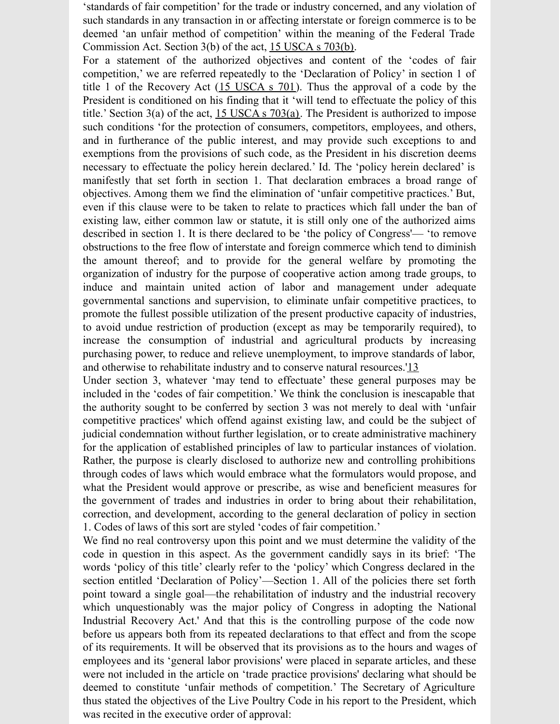'standards of fair competition' for the trade or industry concerned, and any violation of such standards in any transaction in or affecting interstate or foreign commerce is to be deemed 'an unfair method of competition' within the meaning of the Federal Trade Commission Act. Section 3(b) of the act, 15 USCA s [703\(b\)](https://1.next.westlaw.com/Link/Document/FullText?findType=L&pubNum=1000546&cite=15USCAS703&originatingDoc=If24576459cc111d9bdd1cfdd544ca3a4&refType=LQ&originationContext=document&transitionType=DocumentItem&ppcid=df098f66f6954b11933898b7a1873c82&contextData=(sc.UserEnteredCitation)).

For a statement of the authorized objectives and content of the 'codes of fair competition,' we are referred repeatedly to the 'Declaration of Policy' in section 1 of title 1 of the Recovery Act  $(15 \text{USCA s } 701)$  $(15 \text{USCA s } 701)$  $(15 \text{USCA s } 701)$ . Thus the approval of a code by the President is conditioned on his finding that it 'will tend to effectuate the policy of this title.' Section 3(a) of the act,  $15 \text{ USCA s } 703(a)$  $15 \text{ USCA s } 703(a)$  $15 \text{ USCA s } 703(a)$ . The President is authorized to impose such conditions 'for the protection of consumers, competitors, employees, and others, and in furtherance of the public interest, and may provide such exceptions to and exemptions from the provisions of such code, as the President in his discretion deems necessary to effectuate the policy herein declared.' Id. The 'policy herein declared' is manifestly that set forth in section 1. That declaration embraces a broad range of objectives. Among them we find the elimination of 'unfair competitive practices.' But, even if this clause were to be taken to relate to practices which fall under the ban of existing law, either common law or statute, it is still only one of the authorized aims described in section 1. It is there declared to be 'the policy of Congress'— 'to remove obstructions to the free flow of interstate and foreign commerce which tend to diminish the amount thereof; and to provide for the general welfare by promoting the organization of industry for the purpose of cooperative action among trade groups, to induce and maintain united action of labor and management under adequate governmental sanctions and supervision, to eliminate unfair competitive practices, to promote the fullest possible utilization of the present productive capacity of industries, to avoid undue restriction of production (except as may be temporarily required), to increase the consumption of industrial and agricultural products by increasing purchasing power, to reduce and relieve unemployment, to improve standards of labor, and otherwise to rehabilitate industry and to conserve natural resources.['13](https://1.next.westlaw.com/Document/If24576459cc111d9bdd1cfdd544ca3a4/View/FullText.html?transitionType=UniqueDocItem&contextData=(sc.Default)&userEnteredCitation=295+us+495#co_footnote_B013131935123814)

Under section 3, whatever 'may tend to effectuate' these general purposes may be included in the 'codes of fair competition.' We think the conclusion is inescapable that the authority sought to be conferred by section 3 was not merely to deal with 'unfair competitive practices' which offend against existing law, and could be the subject of judicial condemnation without further legislation, or to create administrative machinery for the application of established principles of law to particular instances of violation. Rather, the purpose is clearly disclosed to authorize new and controlling prohibitions through codes of laws which would embrace what the formulators would propose, and what the President would approve or prescribe, as wise and beneficient measures for the government of trades and industries in order to bring about their rehabilitation, correction, and development, according to the general declaration of policy in section 1. Codes of laws of this sort are styled 'codes of fair competition.'

We find no real controversy upon this point and we must determine the validity of the code in question in this aspect. As the government candidly says in its brief: 'The words 'policy of this title' clearly refer to the 'policy' which Congress declared in the section entitled 'Declaration of Policy'—Section 1. All of the policies there set forth point toward a single goal—the rehabilitation of industry and the industrial recovery which unquestionably was the major policy of Congress in adopting the National Industrial Recovery Act.' And that this is the controlling purpose of the code now before us appears both from its repeated declarations to that effect and from the scope of its requirements. It will be observed that its provisions as to the hours and wages of employees and its 'general labor provisions' were placed in separate articles, and these were not included in the article on 'trade practice provisions' declaring what should be deemed to constitute 'unfair methods of competition.' The Secretary of Agriculture thus stated the objectives of the Live Poultry Code in his report to the President, which was recited in the executive order of approval: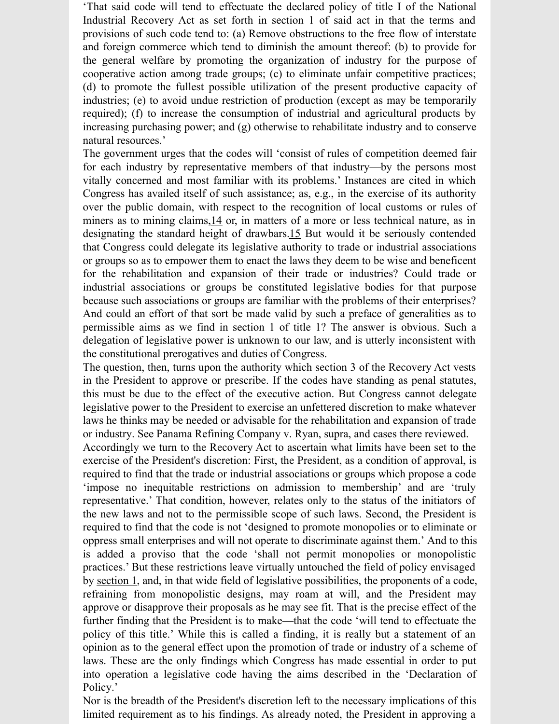'That said code will tend to effectuate the declared policy of title I of the National Industrial Recovery Act as set forth in section 1 of said act in that the terms and provisions of such code tend to: (a) Remove obstructions to the free flow of interstate and foreign commerce which tend to diminish the amount thereof: (b) to provide for the general welfare by promoting the organization of industry for the purpose of cooperative action among trade groups; (c) to eliminate unfair competitive practices; (d) to promote the fullest possible utilization of the present productive capacity of industries; (e) to avoid undue restriction of production (except as may be temporarily required); (f) to increase the consumption of industrial and agricultural products by increasing purchasing power; and (g) otherwise to rehabilitate industry and to conserve natural resources.'

The government urges that the codes will 'consist of rules of competition deemed fair for each industry by representative members of that industry—by the persons most vitally concerned and most familiar with its problems.' Instances are cited in which Congress has availed itself of such assistance; as, e.g., in the exercise of its authority over the public domain, with respect to the recognition of local customs or rules of miners as to mining claims, 14 or, in matters of a more or less technical nature, as in designating the standard height of drawbars[.15](https://1.next.westlaw.com/Document/If24576459cc111d9bdd1cfdd544ca3a4/View/FullText.html?transitionType=UniqueDocItem&contextData=(sc.Default)&userEnteredCitation=295+us+495#co_footnote_B015151935123814) But would it be seriously contended that Congress could delegate its legislative authority to trade or industrial associations or groups so as to empower them to enact the laws they deem to be wise and beneficent for the rehabilitation and expansion of their trade or industries? Could trade or industrial associations or groups be constituted legislative bodies for that purpose because such associations or groups are familiar with the problems of their enterprises? And could an effort of that sort be made valid by such a preface of generalities as to permissible aims as we find in section 1 of title 1? The answer is obvious. Such a delegation of legislative power is unknown to our law, and is utterly inconsistent with the constitutional prerogatives and duties of Congress.

The question, then, turns upon the authority which section 3 of the Recovery Act vests in the President to approve or prescribe. If the codes have standing as penal statutes, this must be due to the effect of the executive action. But Congress cannot delegate legislative power to the President to exercise an unfettered discretion to make whatever laws he thinks may be needed or advisable for the rehabilitation and expansion of trade or industry. See Panama Refining Company v. Ryan, supra, and cases there reviewed.

Accordingly we turn to the Recovery Act to ascertain what limits have been set to the exercise of the President's discretion: First, the President, as a condition of approval, is required to find that the trade or industrial associations or groups which propose a code 'impose no inequitable restrictions on admission to membership' and are 'truly representative.' That condition, however, relates only to the status of the initiators of the new laws and not to the permissible scope of such laws. Second, the President is required to find that the code is not 'designed to promote monopolies or to eliminate or oppress small enterprises and will not operate to discriminate against them.' And to this is added a proviso that the code 'shall not permit monopolies or monopolistic practices.' But these restrictions leave virtually untouched the field of policy envisaged by [section](https://1.next.westlaw.com/Link/Document/FullText?findType=L&pubNum=1000546&cite=45USCAS1&originatingDoc=If24576459cc111d9bdd1cfdd544ca3a4&refType=LQ&originationContext=document&transitionType=DocumentItem&ppcid=df098f66f6954b11933898b7a1873c82&contextData=(sc.UserEnteredCitation)) 1, and, in that wide field of legislative possibilities, the proponents of a code, refraining from monopolistic designs, may roam at will, and the President may approve or disapprove their proposals as he may see fit. That is the precise effect of the further finding that the President is to make—that the code 'will tend to effectuate the policy of this title.' While this is called a finding, it is really but a statement of an opinion as to the general effect upon the promotion of trade or industry of a scheme of laws. These are the only findings which Congress has made essential in order to put into operation a legislative code having the aims described in the 'Declaration of Policy.'

Nor is the breadth of the President's discretion left to the necessary implications of this limited requirement as to his findings. As already noted, the President in approving a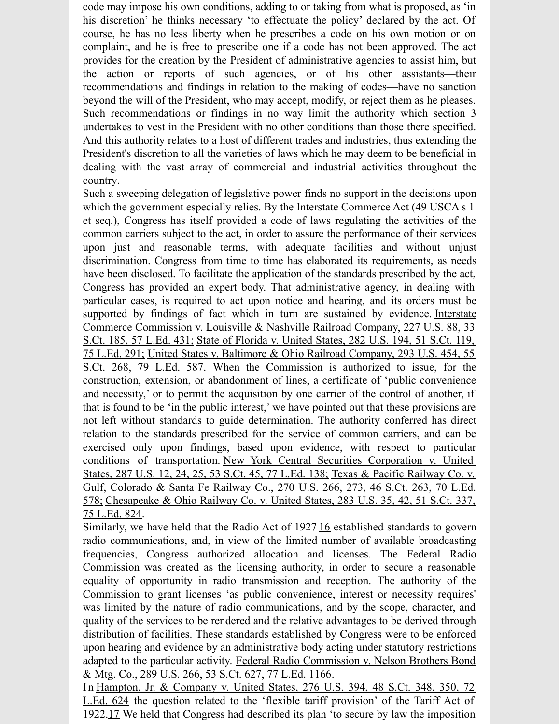code may impose his own conditions, adding to or taking from what is proposed, as 'in his discretion' he thinks necessary 'to effectuate the policy' declared by the act. Of course, he has no less liberty when he prescribes a code on his own motion or on complaint, and he is free to prescribe one if a code has not been approved. The act provides for the creation by the President of administrative agencies to assist him, but the action or reports of such agencies, or of his other assistants—their recommendations and findings in relation to the making of codes—have no sanction beyond the will of the President, who may accept, modify, or reject them as he pleases. Such recommendations or findings in no way limit the authority which section 3 undertakes to vest in the President with no other conditions than those there specified. And this authority relates to a host of different trades and industries, thus extending the President's discretion to all the varieties of laws which he may deem to be beneficial in dealing with the vast array of commercial and industrial activities throughout the country.

Such a sweeping delegation of legislative power finds no support in the decisions upon which the government especially relies. By the Interstate Commerce Act (49 USCA s 1) et seq.), Congress has itself provided a code of laws regulating the activities of the common carriers subject to the act, in order to assure the performance of their services upon just and reasonable terms, with adequate facilities and without unjust discrimination. Congress from time to time has elaborated its requirements, as needs have been disclosed. To facilitate the application of the standards prescribed by the act, Congress has provided an expert body. That administrative agency, in dealing with particular cases, is required to act upon notice and hearing, and its orders must be supported by findings of fact which in turn are sustained by evidence. Interstate Commerce [Commission](https://1.next.westlaw.com/Link/Document/FullText?findType=Y&serNum=1913100600&pubNum=708&originatingDoc=If24576459cc111d9bdd1cfdd544ca3a4&refType=RP&originationContext=document&transitionType=DocumentItem&ppcid=df098f66f6954b11933898b7a1873c82&contextData=(sc.UserEnteredCitation)) v. Louisville & Nashville Railroad Company, 227 U.S. 88, 33 S.Ct. 185, 57 L.Ed. 431; State of Florida v. United States, 282 U.S. 194, 51 S.Ct. 119, 75 L.Ed. 291; United States v. Baltimore & Ohio Railroad [Company,](https://1.next.westlaw.com/Link/Document/FullText?findType=Y&serNum=1931123940&pubNum=708&originatingDoc=If24576459cc111d9bdd1cfdd544ca3a4&refType=RP&originationContext=document&transitionType=DocumentItem&ppcid=df098f66f6954b11933898b7a1873c82&contextData=(sc.UserEnteredCitation)) 293 U.S. 454, 55 S.Ct. 268, 79 L.Ed. 587. When the [Commission](https://1.next.westlaw.com/Link/Document/FullText?findType=Y&serNum=1935124172&pubNum=708&originatingDoc=If24576459cc111d9bdd1cfdd544ca3a4&refType=RP&originationContext=document&transitionType=DocumentItem&ppcid=df098f66f6954b11933898b7a1873c82&contextData=(sc.UserEnteredCitation)) is authorized to issue, for the construction, extension, or abandonment of lines, a certificate of 'public convenience and necessity,' or to permit the acquisition by one carrier of the control of another, if that is found to be 'in the public interest,' we have pointed out that these provisions are not left without standards to guide determination. The authority conferred has direct relation to the standards prescribed for the service of common carriers, and can be exercised only upon findings, based upon evidence, with respect to particular conditions of [transportation.](https://1.next.westlaw.com/Link/Document/FullText?findType=Y&serNum=1932123409&pubNum=708&originatingDoc=If24576459cc111d9bdd1cfdd544ca3a4&refType=RP&originationContext=document&transitionType=DocumentItem&ppcid=df098f66f6954b11933898b7a1873c82&contextData=(sc.UserEnteredCitation)) New York Central Securities Corporation v. United States, 287 U.S. 12, 24, 25, 53 S.Ct. 45, 77 L.Ed. 138; Texas & Pacific Railway Co. v. Gulf, Colorado & Santa Fe Railway Co., 270 U.S. 266, 273, 46 S.Ct. 263, 70 L.Ed. 578; [Chesapeake](https://1.next.westlaw.com/Link/Document/FullText?findType=Y&serNum=1926121595&pubNum=708&originatingDoc=If24576459cc111d9bdd1cfdd544ca3a4&refType=RP&originationContext=document&transitionType=DocumentItem&ppcid=df098f66f6954b11933898b7a1873c82&contextData=(sc.UserEnteredCitation)) & Ohio Railway Co. v. United States, 283 U.S. 35, 42, 51 S.Ct. 337, 75 L.Ed. 824.

Similarly, we have held that the Radio Act of 1927 [16](https://1.next.westlaw.com/Document/If24576459cc111d9bdd1cfdd544ca3a4/View/FullText.html?transitionType=UniqueDocItem&contextData=(sc.Default)&userEnteredCitation=295+us+495#co_footnote_B016161935123814) established standards to govern radio communications, and, in view of the limited number of available broadcasting frequencies, Congress authorized allocation and licenses. The Federal Radio Commission was created as the licensing authority, in order to secure a reasonable equality of opportunity in radio transmission and reception. The authority of the Commission to grant licenses 'as public convenience, interest or necessity requires' was limited by the nature of radio communications, and by the scope, character, and quality of the services to be rendered and the relative advantages to be derived through distribution of facilities. These standards established by Congress were to be enforced upon hearing and evidence by an administrative body acting under statutory restrictions adapted to the particular activity. Federal Radio [Commission](https://1.next.westlaw.com/Link/Document/FullText?findType=Y&serNum=1933122805&pubNum=708&originatingDoc=If24576459cc111d9bdd1cfdd544ca3a4&refType=RP&originationContext=document&transitionType=DocumentItem&ppcid=df098f66f6954b11933898b7a1873c82&contextData=(sc.UserEnteredCitation)) v. Nelson Brothers Bond & Mtg. Co., 289 U.S. 266, 53 S.Ct. 627, 77 L.Ed. 1166.

In Hampton, Jr. & Company v. United States, 276 U.S. 394, 48 S.Ct. 348, 350, 72 L.Ed. 624 the question related to the 'flexible tariff [provision'](https://1.next.westlaw.com/Link/Document/FullText?findType=Y&serNum=1928126227&pubNum=708&originatingDoc=If24576459cc111d9bdd1cfdd544ca3a4&refType=RP&fi=co_pp_sp_708_350&originationContext=document&transitionType=DocumentItem&ppcid=df098f66f6954b11933898b7a1873c82&contextData=(sc.UserEnteredCitation)#co_pp_sp_708_350) of the Tariff Act of 1922[.17](https://1.next.westlaw.com/Document/If24576459cc111d9bdd1cfdd544ca3a4/View/FullText.html?transitionType=UniqueDocItem&contextData=(sc.Default)&userEnteredCitation=295+us+495#co_footnote_B017171935123814) We held that Congress had described its plan 'to secure by law the imposition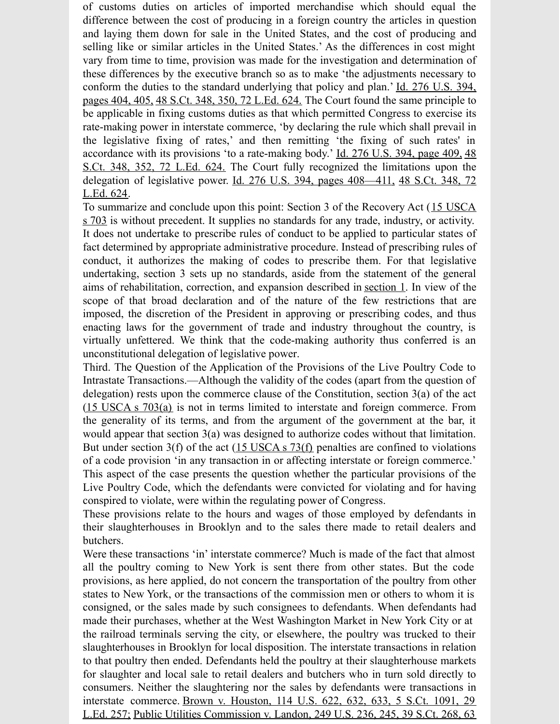of customs duties on articles of imported merchandise which should equal the difference between the cost of producing in a foreign country the articles in question and laying them down for sale in the United States, and the cost of producing and selling like or similar articles in the United States.' As the differences in cost might vary from time to time, provision was made for the investigation and determination of these differences by the executive branch so as to make 'the adjustments necessary to conform the duties to the standard [underlying](https://1.next.westlaw.com/Link/Document/FullText?findType=Y&serNum=1928126227&pubNum=780&originatingDoc=If24576459cc111d9bdd1cfdd544ca3a4&refType=RP&fi=co_pp_sp_780_404&originationContext=document&transitionType=DocumentItem&ppcid=df098f66f6954b11933898b7a1873c82&contextData=(sc.UserEnteredCitation)#co_pp_sp_780_404) that policy and plan.' Id. 276 U.S. 394, pages 404, 405, 48 S.Ct. 348, 350, 72 [L.Ed.](https://1.next.westlaw.com/Link/Document/FullText?findType=Y&serNum=1928126227&pubNum=708&originatingDoc=If24576459cc111d9bdd1cfdd544ca3a4&refType=RP&fi=co_pp_sp_708_350&originationContext=document&transitionType=DocumentItem&ppcid=df098f66f6954b11933898b7a1873c82&contextData=(sc.UserEnteredCitation)#co_pp_sp_708_350) 624. The Court found the same principle to be applicable in fixing customs duties as that which permitted Congress to exercise its rate-making power in interstate commerce, 'by declaring the rule which shall prevail in the legislative fixing of rates,' and then remitting 'the fixing of such rates' in accordance with its provisions 'to a [rate-making](https://1.next.westlaw.com/Link/Document/FullText?findType=Y&serNum=1928126227&pubNum=708&originatingDoc=If24576459cc111d9bdd1cfdd544ca3a4&refType=RP&fi=co_pp_sp_708_352&originationContext=document&transitionType=DocumentItem&ppcid=df098f66f6954b11933898b7a1873c82&contextData=(sc.UserEnteredCitation)#co_pp_sp_708_352) body.' Id. 276 U.S. 394, [page](https://1.next.westlaw.com/Link/Document/FullText?findType=Y&serNum=1928126227&pubNum=780&originatingDoc=If24576459cc111d9bdd1cfdd544ca3a4&refType=RP&fi=co_pp_sp_780_409&originationContext=document&transitionType=DocumentItem&ppcid=df098f66f6954b11933898b7a1873c82&contextData=(sc.UserEnteredCitation)#co_pp_sp_780_409) 409, 48 S.Ct. 348, 352, 72 L.Ed. 624. The Court fully recognized the limitations upon the delegation of legislative power. Id. 276 U.S. 394[,](https://1.next.westlaw.com/Link/Document/FullText?findType=Y&serNum=1928126227&pubNum=708&originatingDoc=If24576459cc111d9bdd1cfdd544ca3a4&refType=RP&originationContext=document&transitionType=DocumentItem&ppcid=df098f66f6954b11933898b7a1873c82&contextData=(sc.UserEnteredCitation)) pages 408–411, 48 S.Ct. 348, 72 L.Ed. 624.

To [summarize](https://1.next.westlaw.com/Link/Document/FullText?findType=L&pubNum=1000546&cite=15USCAS703&originatingDoc=If24576459cc111d9bdd1cfdd544ca3a4&refType=LQ&originationContext=document&transitionType=DocumentItem&ppcid=df098f66f6954b11933898b7a1873c82&contextData=(sc.UserEnteredCitation)) and conclude upon this point: Section 3 of the Recovery Act (15 USCA s 703 is without precedent. It supplies no standards for any trade, industry, or activity. It does not undertake to prescribe rules of conduct to be applied to particular states of fact determined by appropriate administrative procedure. Instead of prescribing rules of conduct, it authorizes the making of codes to prescribe them. For that legislative undertaking, section 3 sets up no standards, aside from the statement of the general aims of rehabilitation, correction, and expansion described in [section](https://1.next.westlaw.com/Link/Document/FullText?findType=L&pubNum=1000546&cite=45USCAS1&originatingDoc=If24576459cc111d9bdd1cfdd544ca3a4&refType=LQ&originationContext=document&transitionType=DocumentItem&ppcid=df098f66f6954b11933898b7a1873c82&contextData=(sc.UserEnteredCitation)) 1. In view of the scope of that broad declaration and of the nature of the few restrictions that are imposed, the discretion of the President in approving or prescribing codes, and thus enacting laws for the government of trade and industry throughout the country, is virtually unfettered. We think that the code-making authority thus conferred is an unconstitutional delegation of legislative power.

Third. The Question of the Application of the Provisions of the Live Poultry Code to Intrastate Transactions.—Although the validity of the codes (apart from the question of delegation) rests upon the commerce clause of the Constitution, section 3(a) of the act (15 [USCA](https://1.next.westlaw.com/Link/Document/FullText?findType=L&pubNum=1000546&cite=15USCAS703&originatingDoc=If24576459cc111d9bdd1cfdd544ca3a4&refType=LQ&originationContext=document&transitionType=DocumentItem&ppcid=df098f66f6954b11933898b7a1873c82&contextData=(sc.UserEnteredCitation)) s 703(a) is not in terms limited to interstate and foreign commerce. From the generality of its terms, and from the argument of the government at the bar, it would appear that section 3(a) was designed to authorize codes without that limitation. But under section 3(f) of the act (15 [USCA](https://1.next.westlaw.com/Link/Document/FullText?findType=L&pubNum=1000546&cite=15USCAS73&originatingDoc=If24576459cc111d9bdd1cfdd544ca3a4&refType=LQ&originationContext=document&transitionType=DocumentItem&ppcid=df098f66f6954b11933898b7a1873c82&contextData=(sc.UserEnteredCitation)) s 73(f) penalties are confined to violations of a code provision 'in any transaction in or affecting interstate or foreign commerce.' This aspect of the case presents the question whether the particular provisions of the Live Poultry Code, which the defendants were convicted for violating and for having conspired to violate, were within the regulating power of Congress.

These provisions relate to the hours and wages of those employed by defendants in their slaughterhouses in Brooklyn and to the sales there made to retail dealers and butchers.

Were these transactions 'in' interstate commerce? Much is made of the fact that almost all the poultry coming to New York is sent there from other states. But the code provisions, as here applied, do not concern the transportation of the poultry from other states to New York, or the transactions of the commission men or others to whom it is consigned, or the sales made by such consignees to defendants. When defendants had made their purchases, whether at the West Washington Market in New York City or at the railroad terminals serving the city, or elsewhere, the poultry was trucked to their slaughterhouses in Brooklyn for local disposition. The interstate transactions in relation to that poultry then ended. Defendants held the poultry at their slaughterhouse markets for slaughter and local sale to retail dealers and butchers who in turn sold directly to consumers. Neither the slaughtering nor the sales by defendants were transactions in interstate commerce. Brown v. Houston, 114 U.S. 622, 632, 633, 5 S.Ct. 1091, 29 L.Ed. 257; Public Utilities [Commission](https://1.next.westlaw.com/Link/Document/FullText?findType=Y&serNum=1919100353&pubNum=708&originatingDoc=If24576459cc111d9bdd1cfdd544ca3a4&refType=RP&originationContext=document&transitionType=DocumentItem&ppcid=df098f66f6954b11933898b7a1873c82&contextData=(sc.UserEnteredCitation)) v. Landon, 249 U.S. 236, 245, 39 S.Ct. 268, 63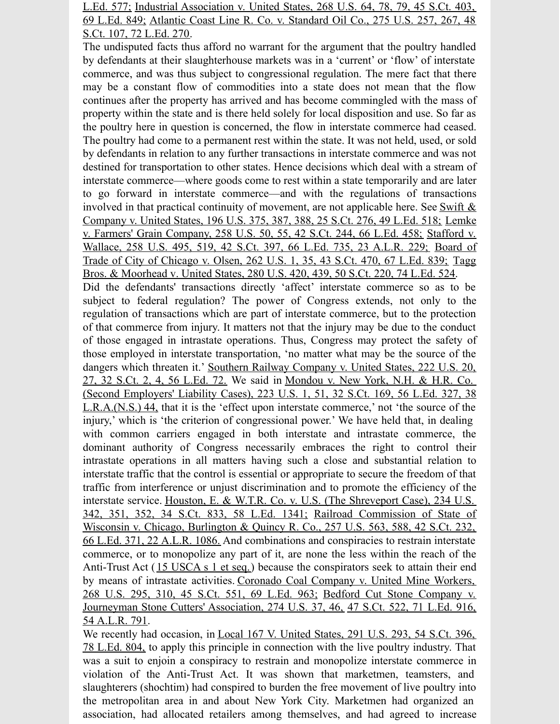L.Ed. 577; Industrial [Association](https://1.next.westlaw.com/Link/Document/FullText?findType=Y&serNum=1925124220&pubNum=708&originatingDoc=If24576459cc111d9bdd1cfdd544ca3a4&refType=RP&originationContext=document&transitionType=DocumentItem&ppcid=df098f66f6954b11933898b7a1873c82&contextData=(sc.UserEnteredCitation)) v. United States, 268 U.S. 64, 78, 79, 45 S.Ct. 403, 69 L.Ed. 849; Atlantic Coast Line R. Co. v. [Standard](https://1.next.westlaw.com/Link/Document/FullText?findType=Y&serNum=1927123608&pubNum=708&originatingDoc=If24576459cc111d9bdd1cfdd544ca3a4&refType=RP&originationContext=document&transitionType=DocumentItem&ppcid=df098f66f6954b11933898b7a1873c82&contextData=(sc.UserEnteredCitation)) Oil Co., 275 U.S. 257, 267, 48 S.Ct. 107, 72 L.Ed. 270.

The undisputed facts thus afford no warrant for the argument that the poultry handled by defendants at their slaughterhouse markets was in a 'current' or 'flow' of interstate commerce, and was thus subject to congressional regulation. The mere fact that there may be a constant flow of commodities into a state does not mean that the flow continues after the property has arrived and has become commingled with the mass of property within the state and is there held solely for local disposition and use. So far as the poultry here in question is concerned, the flow in interstate commerce had ceased. The poultry had come to a permanent rest within the state. It was not held, used, or sold by defendants in relation to any further transactions in interstate commerce and was not destined for transportation to other states. Hence decisions which deal with a stream of interstate commerce—where goods come to rest within a state temporarily and are later to go forward in interstate commerce—and with the regulations of transactions involved in that practical continuity of [movement,](https://1.next.westlaw.com/Link/Document/FullText?findType=Y&serNum=1905100375&pubNum=708&originatingDoc=If24576459cc111d9bdd1cfdd544ca3a4&refType=RP&originationContext=document&transitionType=DocumentItem&ppcid=df098f66f6954b11933898b7a1873c82&contextData=(sc.UserEnteredCitation)) are not applicable here. See Swift  $\&$ Company v. United States, 196 U.S. 375, 387, 388, 25 S.Ct. 276, 49 L.Ed. 518; Lemke v. Farmers' Grain [Company,](https://1.next.westlaw.com/Link/Document/FullText?findType=Y&serNum=1922118056&pubNum=104&originatingDoc=If24576459cc111d9bdd1cfdd544ca3a4&refType=RP&originationContext=document&transitionType=DocumentItem&ppcid=df098f66f6954b11933898b7a1873c82&contextData=(sc.UserEnteredCitation)) 258 U.S. 50, 55, 42 S.Ct. 244, 66 L.Ed. 458; Stafford v. [Wallace,](https://1.next.westlaw.com/Link/Document/FullText?findType=Y&serNum=1923120072&pubNum=708&originatingDoc=If24576459cc111d9bdd1cfdd544ca3a4&refType=RP&originationContext=document&transitionType=DocumentItem&ppcid=df098f66f6954b11933898b7a1873c82&contextData=(sc.UserEnteredCitation)) 258 U.S. 495, 519, 42 S.Ct. 397, 66 L.Ed. 735, 23 A.L.R. 229; Board of Trade of City of Chicago v. Olsen, 262 U.S. 1, 35, 43 S.Ct. 470, 67 L.Ed. 839; Tagg Bros. & [Moorhead](https://1.next.westlaw.com/Link/Document/FullText?findType=Y&serNum=1930122662&pubNum=708&originatingDoc=If24576459cc111d9bdd1cfdd544ca3a4&refType=RP&originationContext=document&transitionType=DocumentItem&ppcid=df098f66f6954b11933898b7a1873c82&contextData=(sc.UserEnteredCitation)) v. United States, 280 U.S. 420, 439, 50 S.Ct. 220, 74 L.Ed. 524.

Did the defendants' transactions directly 'affect' interstate commerce so as to be subject to federal regulation? The power of Congress extends, not only to the regulation of transactions which are part of interstate commerce, but to the protection of that commerce from injury. It matters not that the injury may be due to the conduct of those engaged in intrastate operations. Thus, Congress may protect the safety of those employed in interstate transportation, 'no matter what may be the source of the dangers which threaten it.' Southern Railway [Company](https://1.next.westlaw.com/Link/Document/FullText?findType=Y&serNum=1911103550&pubNum=708&originatingDoc=If24576459cc111d9bdd1cfdd544ca3a4&refType=RP&fi=co_pp_sp_708_4&originationContext=document&transitionType=DocumentItem&ppcid=df098f66f6954b11933898b7a1873c82&contextData=(sc.UserEnteredCitation)#co_pp_sp_708_4) v. United States, 222 U.S. 20, 27, 32 S.Ct. 2, 4, 56 L.Ed. 72. We said in Mondou v. New York, N.H. & H.R. Co. (Second Employers' Liability Cases), 223 U.S. 1, 51, 32 S.Ct. 169, 56 L.Ed. 327, 38 [L.R.A.\(N.S.\)](https://1.next.westlaw.com/Link/Document/FullText?findType=Y&serNum=1912100321&pubNum=708&originatingDoc=If24576459cc111d9bdd1cfdd544ca3a4&refType=RP&originationContext=document&transitionType=DocumentItem&ppcid=df098f66f6954b11933898b7a1873c82&contextData=(sc.UserEnteredCitation)) 44, that it is the 'effect upon interstate commerce,' not 'the source of the injury,' which is 'the criterion of congressional power.' We have held that, in dealing with common carriers engaged in both interstate and intrastate commerce, the dominant authority of Congress necessarily embraces the right to control their intrastate operations in all matters having such a close and substantial relation to interstate traffic that the control is essential or appropriate to secure the freedom of that traffic from interference or unjust discrimination and to promote the efficiency of the interstate service. Houston, E. & W.T.R. Co. v. U.S. (The Shreveport Case), 234 U.S. 342, 351, 352, 34 S.Ct. 833, 58 L.Ed. 1341; Railroad [Commission](https://1.next.westlaw.com/Link/Document/FullText?findType=Y&serNum=1922118039&pubNum=104&originatingDoc=If24576459cc111d9bdd1cfdd544ca3a4&refType=RP&originationContext=document&transitionType=DocumentItem&ppcid=df098f66f6954b11933898b7a1873c82&contextData=(sc.UserEnteredCitation)) of State of Wisconsin v. Chicago, Burlington & Quincy R. Co., 257 U.S. 563, 588, 42 S.Ct. 232, 66 L.Ed. 371, 22 A.L.R. 1086. And combinations and conspiracies to restrain interstate commerce, or to monopolize any part of it, are none the less within the reach of the Anti-Trust Act (15 [USCA](https://1.next.westlaw.com/Link/Document/FullText?findType=L&pubNum=1000546&cite=15USCAS1&originatingDoc=If24576459cc111d9bdd1cfdd544ca3a4&refType=LQ&originationContext=document&transitionType=DocumentItem&ppcid=df098f66f6954b11933898b7a1873c82&contextData=(sc.UserEnteredCitation)) s 1 et seq.) because the conspirators seek to attain their end by means of intrastate activities. [Coronado](https://1.next.westlaw.com/Link/Document/FullText?findType=Y&serNum=1925121304&pubNum=708&originatingDoc=If24576459cc111d9bdd1cfdd544ca3a4&refType=RP&originationContext=document&transitionType=DocumentItem&ppcid=df098f66f6954b11933898b7a1873c82&contextData=(sc.UserEnteredCitation)) Coal Company v. United Mine Workers, 268 U.S. 295, 310, 45 S.Ct. 551, 69 L.Ed. 963; Bedford Cut Stone Company v. Journeyman Stone Cutters' [Association,](https://1.next.westlaw.com/Link/Document/FullText?findType=Y&serNum=1927123634&pubNum=780&originatingDoc=If24576459cc111d9bdd1cfdd544ca3a4&refType=RP&fi=co_pp_sp_780_46&originationContext=document&transitionType=DocumentItem&ppcid=df098f66f6954b11933898b7a1873c82&contextData=(sc.UserEnteredCitation)#co_pp_sp_780_46) 274 U.S. 37, 46, 47 S.Ct. 522, 71 L.Ed. 916, 54 A.L.R. 791.

We recently had occasion, in Local 167 V. United States, 291 U.S. 293, 54 S.Ct. 396, 78 L.Ed. 804, to apply this principle in [connection](https://1.next.westlaw.com/Link/Document/FullText?findType=Y&serNum=1934124224&pubNum=708&originatingDoc=If24576459cc111d9bdd1cfdd544ca3a4&refType=RP&originationContext=document&transitionType=DocumentItem&ppcid=df098f66f6954b11933898b7a1873c82&contextData=(sc.UserEnteredCitation)) with the live poultry industry. That was a suit to enjoin a conspiracy to restrain and monopolize interstate commerce in violation of the Anti-Trust Act. It was shown that marketmen, teamsters, and slaughterers (shochtim) had conspired to burden the free movement of live poultry into the metropolitan area in and about New York City. Marketmen had organized an association, had allocated retailers among themselves, and had agreed to increase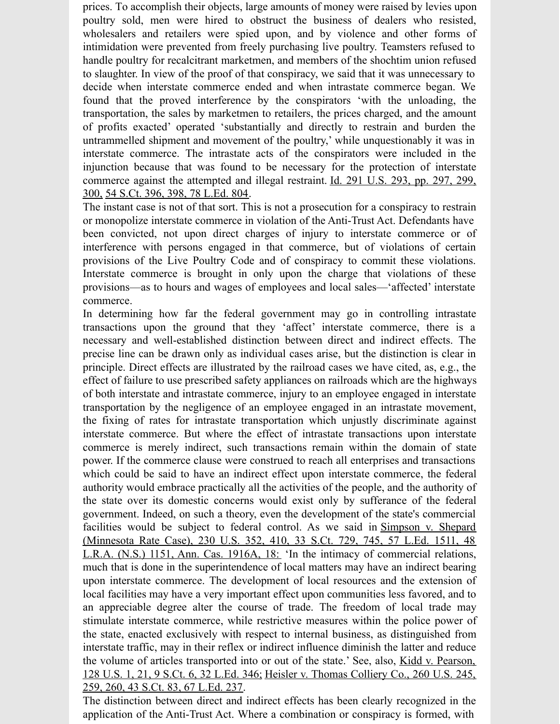prices. To accomplish their objects, large amounts of money were raised by levies upon poultry sold, men were hired to obstruct the business of dealers who resisted, wholesalers and retailers were spied upon, and by violence and other forms of intimidation were prevented from freely purchasing live poultry. Teamsters refused to handle poultry for recalcitrant marketmen, and members of the shochtim union refused to slaughter. In view of the proof of that conspiracy, we said that it was unnecessary to decide when interstate commerce ended and when intrastate commerce began. We found that the proved interference by the conspirators 'with the unloading, the transportation, the sales by marketmen to retailers, the prices charged, and the amount of profits exacted' operated 'substantially and directly to restrain and burden the untrammelled shipment and movement of the poultry,' while unquestionably it was in interstate commerce. The intrastate acts of the conspirators were included in the injunction because that was found to be necessary for the protection of interstate [commerce](https://1.next.westlaw.com/Link/Document/FullText?findType=Y&serNum=1934124224&pubNum=780&originatingDoc=If24576459cc111d9bdd1cfdd544ca3a4&refType=RP&fi=co_pp_sp_780_297&originationContext=document&transitionType=DocumentItem&ppcid=df098f66f6954b11933898b7a1873c82&contextData=(sc.UserEnteredCitation)#co_pp_sp_780_297) against the attempted and illegal restraint. Id. 291 U.S. 293, pp. 297, 299, 300, 54 S.Ct. 396, 398, 78 [L.Ed.](https://1.next.westlaw.com/Link/Document/FullText?findType=Y&serNum=1934124224&pubNum=708&originatingDoc=If24576459cc111d9bdd1cfdd544ca3a4&refType=RP&fi=co_pp_sp_708_398&originationContext=document&transitionType=DocumentItem&ppcid=df098f66f6954b11933898b7a1873c82&contextData=(sc.UserEnteredCitation)#co_pp_sp_708_398) 804.

The instant case is not of that sort. This is not a prosecution for a conspiracy to restrain or monopolize interstate commerce in violation of the Anti-Trust Act. Defendants have been convicted, not upon direct charges of injury to interstate commerce or of interference with persons engaged in that commerce, but of violations of certain provisions of the Live Poultry Code and of conspiracy to commit these violations. Interstate commerce is brought in only upon the charge that violations of these provisions—as to hours and wages of employees and local sales—'affected' interstate commerce.

In determining how far the federal government may go in controlling intrastate transactions upon the ground that they 'affect' interstate commerce, there is a necessary and well-established distinction between direct and indirect effects. The precise line can be drawn only as individual cases arise, but the distinction is clear in principle. Direct effects are illustrated by the railroad cases we have cited, as, e.g., the effect of failure to use prescribed safety appliances on railroads which are the highways of both interstate and intrastate commerce, injury to an employee engaged in interstate transportation by the negligence of an employee engaged in an intrastate movement, the fixing of rates for intrastate transportation which unjustly discriminate against interstate commerce. But where the effect of intrastate transactions upon interstate commerce is merely indirect, such transactions remain within the domain of state power. If the commerce clause were construed to reach all enterprises and transactions which could be said to have an indirect effect upon interstate commerce, the federal authority would embrace practically all the activities of the people, and the authority of the state over its domestic concerns would exist only by sufferance of the federal government. Indeed, on such a theory, even the development of the state's commercial facilities would be subject to federal control. As we said in Simpson v. Shepard (Minnesota Rate Case), 230 U.S. 352, 410, 33 S.Ct. 729, 745, 57 L.Ed. 1511, 48 L.R.A. (N.S.) 1151, Ann. Cas. 1916A, 18: 'In the intimacy of [commercial](https://1.next.westlaw.com/Link/Document/FullText?findType=Y&serNum=1913100522&pubNum=708&originatingDoc=If24576459cc111d9bdd1cfdd544ca3a4&refType=RP&fi=co_pp_sp_708_745&originationContext=document&transitionType=DocumentItem&ppcid=df098f66f6954b11933898b7a1873c82&contextData=(sc.UserEnteredCitation)#co_pp_sp_708_745) relations, much that is done in the superintendence of local matters may have an indirect bearing upon interstate commerce. The development of local resources and the extension of local facilities may have a very important effect upon communities less favored, and to an appreciable degree alter the course of trade. The freedom of local trade may stimulate interstate commerce, while restrictive measures within the police power of the state, enacted exclusively with respect to internal business, as distinguished from interstate traffic, may in their reflex or indirect influence diminish the latter and reduce the volume of articles [transported](https://1.next.westlaw.com/Link/Document/FullText?findType=Y&serNum=1888180229&pubNum=708&originatingDoc=If24576459cc111d9bdd1cfdd544ca3a4&refType=RP&originationContext=document&transitionType=DocumentItem&ppcid=df098f66f6954b11933898b7a1873c82&contextData=(sc.UserEnteredCitation)) into or out of the state.' See, also, Kidd v. Pearson, 128 U.S. 1, 21, 9 S.Ct. 6, 32 L.Ed. 346; Heisler v. Thomas [Colliery](https://1.next.westlaw.com/Link/Document/FullText?findType=Y&serNum=1922117984&pubNum=708&originatingDoc=If24576459cc111d9bdd1cfdd544ca3a4&refType=RP&originationContext=document&transitionType=DocumentItem&ppcid=df098f66f6954b11933898b7a1873c82&contextData=(sc.UserEnteredCitation)) Co., 260 U.S. 245, 259, 260, 43 S.Ct. 83, 67 L.Ed. 237.

The distinction between direct and indirect effects has been clearly recognized in the application of the Anti-Trust Act. Where a combination or conspiracy is formed, with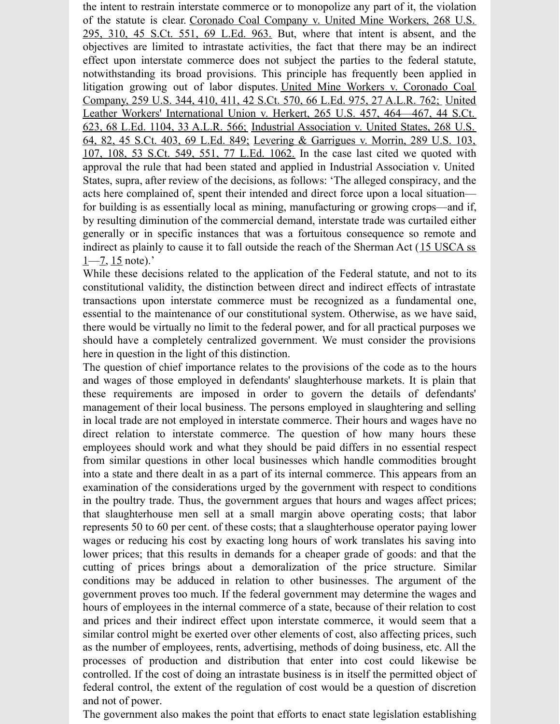the intent to restrain interstate commerce or to monopolize any part of it, the violation of the statute is clear. [Coronado](https://1.next.westlaw.com/Link/Document/FullText?findType=Y&serNum=1925121304&pubNum=708&originatingDoc=If24576459cc111d9bdd1cfdd544ca3a4&refType=RP&originationContext=document&transitionType=DocumentItem&ppcid=df098f66f6954b11933898b7a1873c82&contextData=(sc.UserEnteredCitation)) Coal Company v. United Mine Workers, 268 U.S. 295, 310, 45 S.Ct. 551, 69 L.Ed. 963. But, where that intent is absent, and the objectives are limited to intrastate activities, the fact that there may be an indirect effect upon interstate commerce does not subject the parties to the federal statute, notwithstanding its broad provisions. This principle has frequently been applied in litigation growing out of labor disputes. United Mine Workers v. Coronado Coal [Company,](https://1.next.westlaw.com/Link/Document/FullText?findType=Y&serNum=1922117877&pubNum=104&originatingDoc=If24576459cc111d9bdd1cfdd544ca3a4&refType=RP&originationContext=document&transitionType=DocumentItem&ppcid=df098f66f6954b11933898b7a1873c82&contextData=(sc.UserEnteredCitation)) 259 U.S. 344, 410, 411, 42 S.Ct. 570, 66 L.Ed. 975, 27 A.L.R. 762; United Leather Workers' [International](https://1.next.westlaw.com/Link/Document/FullText?findType=Y&serNum=1924120893&pubNum=104&originatingDoc=If24576459cc111d9bdd1cfdd544ca3a4&refType=RP&originationContext=document&transitionType=DocumentItem&ppcid=df098f66f6954b11933898b7a1873c82&contextData=(sc.UserEnteredCitation)) Union v. Herkert, 265 U.S. 457, 464—467, 44 S.Ct. 623, 68 L.Ed. 1104, 33 A.L.R. 566; Industrial [Association](https://1.next.westlaw.com/Link/Document/FullText?findType=Y&serNum=1925124220&pubNum=708&originatingDoc=If24576459cc111d9bdd1cfdd544ca3a4&refType=RP&originationContext=document&transitionType=DocumentItem&ppcid=df098f66f6954b11933898b7a1873c82&contextData=(sc.UserEnteredCitation)) v. United States, 268 U.S. 64, 82, 45 S.Ct. 403, 69 L.Ed. 849; Levering & [Garrigues](https://1.next.westlaw.com/Link/Document/FullText?findType=Y&serNum=1933130492&pubNum=708&originatingDoc=If24576459cc111d9bdd1cfdd544ca3a4&refType=RP&fi=co_pp_sp_708_551&originationContext=document&transitionType=DocumentItem&ppcid=df098f66f6954b11933898b7a1873c82&contextData=(sc.UserEnteredCitation)#co_pp_sp_708_551) v. Morrin, 289 U.S. 103, 107, 108, 53 S.Ct. 549, 551, 77 L.Ed. 1062. In the case last cited we quoted with approval the rule that had been stated and applied in Industrial Association v. United States, supra, after review of the decisions, as follows: 'The alleged conspiracy, and the acts here complained of, spent their intended and direct force upon a local situation for building is as essentially local as mining, manufacturing or growing crops—and if, by resulting diminution of the commercial demand, interstate trade was curtailed either generally or in specific instances that was a fortuitous consequence so remote and indirect as plainly to cause it to fall outside the reach of the [Sherman](https://1.next.westlaw.com/Link/Document/FullText?findType=L&pubNum=1000546&cite=15USCAS1&originatingDoc=If24576459cc111d9bdd1cfdd544ca3a4&refType=LQ&originationContext=document&transitionType=DocumentItem&ppcid=df098f66f6954b11933898b7a1873c82&contextData=(sc.UserEnteredCitation)) Act (15 USCA ss)  $1 - 7$ , [15](https://1.next.westlaw.com/Link/Document/FullText?findType=L&pubNum=1000546&cite=15USCAS15&originatingDoc=If24576459cc111d9bdd1cfdd544ca3a4&refType=LQ&originationContext=document&transitionType=DocumentItem&ppcid=df098f66f6954b11933898b7a1873c82&contextData=(sc.UserEnteredCitation)) note).'

While these decisions related to the application of the Federal statute, and not to its constitutional validity, the distinction between direct and indirect effects of intrastate transactions upon interstate commerce must be recognized as a fundamental one, essential to the maintenance of our constitutional system. Otherwise, as we have said, there would be virtually no limit to the federal power, and for all practical purposes we should have a completely centralized government. We must consider the provisions here in question in the light of this distinction.

The question of chief importance relates to the provisions of the code as to the hours and wages of those employed in defendants' slaughterhouse markets. It is plain that these requirements are imposed in order to govern the details of defendants' management of their local business. The persons employed in slaughtering and selling in local trade are not employed in interstate commerce. Their hours and wages have no direct relation to interstate commerce. The question of how many hours these employees should work and what they should be paid differs in no essential respect from similar questions in other local businesses which handle commodities brought into a state and there dealt in as a part of its internal commerce. This appears from an examination of the considerations urged by the government with respect to conditions in the poultry trade. Thus, the government argues that hours and wages affect prices; that slaughterhouse men sell at a small margin above operating costs; that labor represents 50 to 60 per cent. of these costs; that a slaughterhouse operator paying lower wages or reducing his cost by exacting long hours of work translates his saving into lower prices; that this results in demands for a cheaper grade of goods: and that the cutting of prices brings about a demoralization of the price structure. Similar conditions may be adduced in relation to other businesses. The argument of the government proves too much. If the federal government may determine the wages and hours of employees in the internal commerce of a state, because of their relation to cost and prices and their indirect effect upon interstate commerce, it would seem that a similar control might be exerted over other elements of cost, also affecting prices, such as the number of employees, rents, advertising, methods of doing business, etc. All the processes of production and distribution that enter into cost could likewise be controlled. If the cost of doing an intrastate business is in itself the permitted object of federal control, the extent of the regulation of cost would be a question of discretion and not of power.

The government also makes the point that efforts to enact state legislation establishing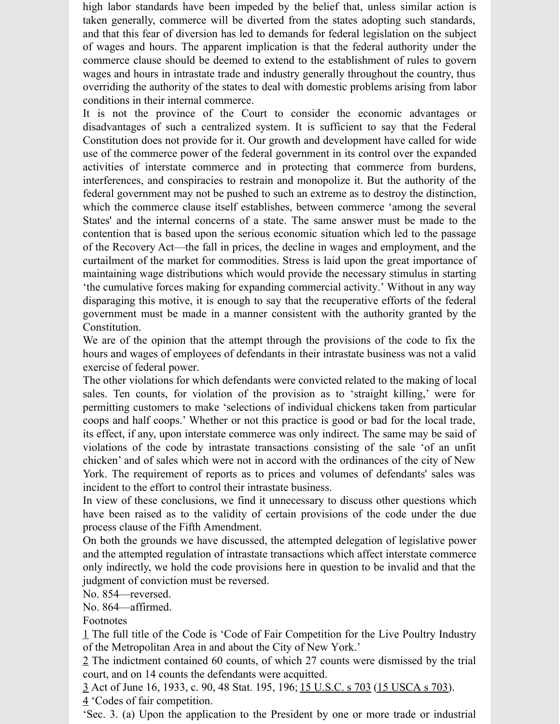high labor standards have been impeded by the belief that, unless similar action is taken generally, commerce will be diverted from the states adopting such standards, and that this fear of diversion has led to demands for federal legislation on the subject of wages and hours. The apparent implication is that the federal authority under the commerce clause should be deemed to extend to the establishment of rules to govern wages and hours in intrastate trade and industry generally throughout the country, thus overriding the authority of the states to deal with domestic problems arising from labor conditions in their internal commerce.

It is not the province of the Court to consider the economic advantages or disadvantages of such a centralized system. It is sufficient to say that the Federal Constitution does not provide for it. Our growth and development have called for wide use of the commerce power of the federal government in its control over the expanded activities of interstate commerce and in protecting that commerce from burdens, interferences, and conspiracies to restrain and monopolize it. But the authority of the federal government may not be pushed to such an extreme as to destroy the distinction, which the commerce clause itself establishes, between commerce 'among the several States' and the internal concerns of a state. The same answer must be made to the contention that is based upon the serious economic situation which led to the passage of the Recovery Act—the fall in prices, the decline in wages and employment, and the curtailment of the market for commodities. Stress is laid upon the great importance of maintaining wage distributions which would provide the necessary stimulus in starting 'the cumulative forces making for expanding commercial activity.' Without in any way disparaging this motive, it is enough to say that the recuperative efforts of the federal government must be made in a manner consistent with the authority granted by the Constitution.

We are of the opinion that the attempt through the provisions of the code to fix the hours and wages of employees of defendants in their intrastate business was not a valid exercise of federal power.

The other violations for which defendants were convicted related to the making of local sales. Ten counts, for violation of the provision as to 'straight killing,' were for permitting customers to make 'selections of individual chickens taken from particular coops and half coops.' Whether or not this practice is good or bad for the local trade, its effect, if any, upon interstate commerce was only indirect. The same may be said of violations of the code by intrastate transactions consisting of the sale 'of an unfit chicken' and of sales which were not in accord with the ordinances of the city of New York. The requirement of reports as to prices and volumes of defendants' sales was incident to the effort to control their intrastate business.

In view of these conclusions, we find it unnecessary to discuss other questions which have been raised as to the validity of certain provisions of the code under the due process clause of the Fifth Amendment.

On both the grounds we have discussed, the attempted delegation of legislative power and the attempted regulation of intrastate transactions which affect interstate commerce only indirectly, we hold the code provisions here in question to be invalid and that the judgment of conviction must be reversed.

No. 854—reversed.

No. 864—affirmed.

Footnotes

[1](https://1.next.westlaw.com/Document/If24576459cc111d9bdd1cfdd544ca3a4/View/FullText.html?transitionType=UniqueDocItem&contextData=(sc.UserEnteredCitation)&userEnteredCitation=295+us+495#co_fnRef_B00111935123814_ID0EPLAG) The full title of the Code is 'Code of Fair Competition for the Live Poultry Industry of the Metropolitan Area in and about the City of New York.'

[2](https://1.next.westlaw.com/Document/If24576459cc111d9bdd1cfdd544ca3a4/View/FullText.html?transitionType=UniqueDocItem&contextData=(sc.UserEnteredCitation)&userEnteredCitation=295+us+495#co_fnRef_B00221935123814_ID0EWLAG) The indictment contained 60 counts, of which 27 counts were dismissed by the trial court, and on 14 counts the defendants were acquitted.

[3](https://1.next.westlaw.com/Document/If24576459cc111d9bdd1cfdd544ca3a4/View/FullText.html?transitionType=UniqueDocItem&contextData=(sc.UserEnteredCitation)&userEnteredCitation=295+us+495#co_fnRef_B00331935123814_ID0ECRAG) Act of June 16, 1933, c. 90, 48 Stat. 195, 196; 15 [U.S.C.](https://1.next.westlaw.com/Link/Document/FullText?findType=L&pubNum=1000546&cite=15USCAS703&originatingDoc=If24576459cc111d9bdd1cfdd544ca3a4&refType=LQ&originationContext=document&transitionType=DocumentItem&ppcid=32cf866c5e974e47bcea441588d3d9e2&contextData=(sc.UserEnteredCitation)) s 703 (15 [USCA](https://1.next.westlaw.com/Link/Document/FullText?findType=L&pubNum=1000546&cite=15USCAS703&originatingDoc=If24576459cc111d9bdd1cfdd544ca3a4&refType=LQ&originationContext=document&transitionType=DocumentItem&ppcid=32cf866c5e974e47bcea441588d3d9e2&contextData=(sc.UserEnteredCitation)) s 703). [4](https://1.next.westlaw.com/Document/If24576459cc111d9bdd1cfdd544ca3a4/View/FullText.html?transitionType=UniqueDocItem&contextData=(sc.UserEnteredCitation)&userEnteredCitation=295+us+495#co_fnRef_B00441935123814_ID0EMRAG) 'Codes of fair competition.

'Sec. 3. (a) Upon the application to the President by one or more trade or industrial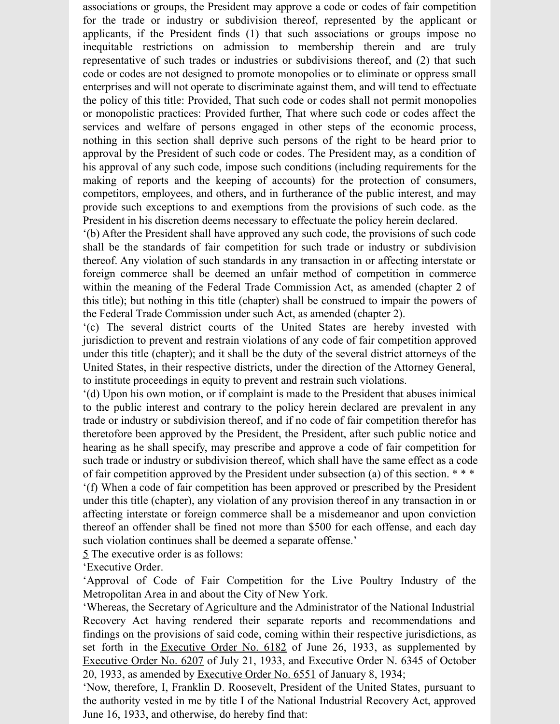associations or groups, the President may approve a code or codes of fair competition for the trade or industry or subdivision thereof, represented by the applicant or applicants, if the President finds (1) that such associations or groups impose no inequitable restrictions on admission to membership therein and are truly representative of such trades or industries or subdivisions thereof, and (2) that such code or codes are not designed to promote monopolies or to eliminate or oppress small enterprises and will not operate to discriminate against them, and will tend to effectuate the policy of this title: Provided, That such code or codes shall not permit monopolies or monopolistic practices: Provided further, That where such code or codes affect the services and welfare of persons engaged in other steps of the economic process, nothing in this section shall deprive such persons of the right to be heard prior to approval by the President of such code or codes. The President may, as a condition of his approval of any such code, impose such conditions (including requirements for the making of reports and the keeping of accounts) for the protection of consumers, competitors, employees, and others, and in furtherance of the public interest, and may provide such exceptions to and exemptions from the provisions of such code. as the President in his discretion deems necessary to effectuate the policy herein declared.

'(b) After the President shall have approved any such code, the provisions of such code shall be the standards of fair competition for such trade or industry or subdivision thereof. Any violation of such standards in any transaction in or affecting interstate or foreign commerce shall be deemed an unfair method of competition in commerce within the meaning of the Federal Trade Commission Act, as amended (chapter 2 of this title); but nothing in this title (chapter) shall be construed to impair the powers of the Federal Trade Commission under such Act, as amended (chapter 2).

'(c) The several district courts of the United States are hereby invested with jurisdiction to prevent and restrain violations of any code of fair competition approved under this title (chapter); and it shall be the duty of the several district attorneys of the United States, in their respective districts, under the direction of the Attorney General, to institute proceedings in equity to prevent and restrain such violations.

'(d) Upon his own motion, or if complaint is made to the President that abuses inimical to the public interest and contrary to the policy herein declared are prevalent in any trade or industry or subdivision thereof, and if no code of fair competition therefor has theretofore been approved by the President, the President, after such public notice and hearing as he shall specify, may prescribe and approve a code of fair competition for such trade or industry or subdivision thereof, which shall have the same effect as a code of fair competition approved by the President under subsection (a) of this section. \* \* \* '(f) When a code of fair competition has been approved or prescribed by the President under this title (chapter), any violation of any provision thereof in any transaction in or affecting interstate or foreign commerce shall be a misdemeanor and upon conviction thereof an offender shall be fined not more than \$500 for each offense, and each day such violation continues shall be deemed a separate offense.'

[5](https://1.next.westlaw.com/Document/If24576459cc111d9bdd1cfdd544ca3a4/View/FullText.html?transitionType=UniqueDocItem&contextData=(sc.UserEnteredCitation)&userEnteredCitation=295+us+495#co_fnRef_B00551935123814_ID0E34AG) The executive order is as follows:

'Executive Order.

'Approval of Code of Fair Competition for the Live Poultry Industry of the Metropolitan Area in and about the City of New York.

'Whereas, the Secretary of Agriculture and the Administrator of the National Industrial Recovery Act having rendered their separate reports and recommendations and findings on the provisions of said code, coming within their respective jurisdictions, as set forth in the [Executive](https://1.next.westlaw.com/Link/Document/FullText?findType=Y&cite=EXECORDERNO6182&originatingDoc=If24576459cc111d9bdd1cfdd544ca3a4&refType=DE&originationContext=document&transitionType=DocumentItem&ppcid=32cf866c5e974e47bcea441588d3d9e2&contextData=(sc.UserEnteredCitation)) Order No. 6182 of June 26, 1933, as supplemented by [Executive](https://1.next.westlaw.com/Link/Document/FullText?findType=Y&cite=EXECORDERNO6207&originatingDoc=If24576459cc111d9bdd1cfdd544ca3a4&refType=DE&originationContext=document&transitionType=DocumentItem&ppcid=32cf866c5e974e47bcea441588d3d9e2&contextData=(sc.UserEnteredCitation)) Order No. 6207 of July 21, 1933, and Executive Order N. 6345 of October 20, 1933, as amended by [Executive](https://1.next.westlaw.com/Link/Document/FullText?findType=Y&cite=EXECORDERNO6551&originatingDoc=If24576459cc111d9bdd1cfdd544ca3a4&refType=DE&originationContext=document&transitionType=DocumentItem&ppcid=32cf866c5e974e47bcea441588d3d9e2&contextData=(sc.UserEnteredCitation)) Order No. 6551 of January 8, 1934;

'Now, therefore, I, Franklin D. Roosevelt, President of the United States, pursuant to the authority vested in me by title I of the National Industrial Recovery Act, approved June 16, 1933, and otherwise, do hereby find that: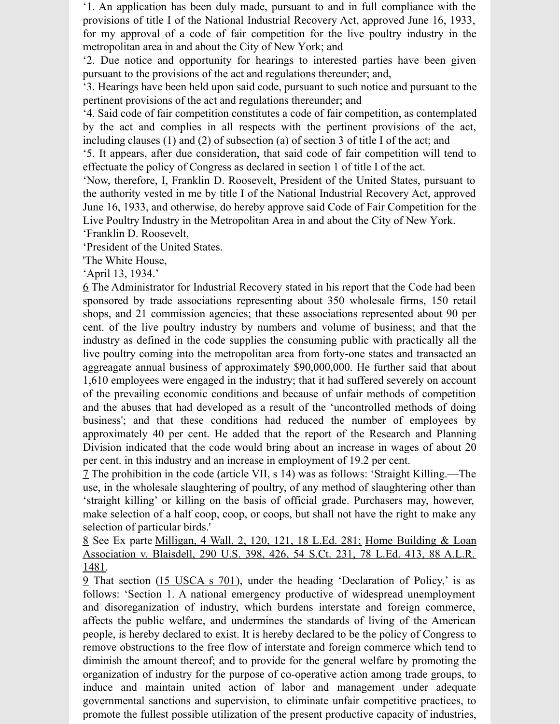'1. An application has been duly made, pursuant to and in full compliance with the provisions of title I of the National Industrial Recovery Act, approved June 16, 1933, for my approval of a code of fair competition for the live poultry industry in the metropolitan area in and about the City of New York; and

'2. Due notice and opportunity for hearings to interested parties have been given pursuant to the provisions of the act and regulations thereunder; and,

'3. Hearings have been held upon said code, pursuant to such notice and pursuant to the pertinent provisions of the act and regulations thereunder; and

'4. Said code of fair competition constitutes a code of fair competition, as contemplated by the act and complies in all respects with the pertinent provisions of the act, including clauses (1) and (2) of [subsection](https://1.next.westlaw.com/Link/Document/FullText?findType=L&pubNum=1000546&cite=1USCAS3&originatingDoc=If24576459cc111d9bdd1cfdd544ca3a4&refType=LQ&originationContext=document&transitionType=DocumentItem&ppcid=32cf866c5e974e47bcea441588d3d9e2&contextData=(sc.UserEnteredCitation)) (a) of section  $\overline{3}$  of title I of the act; and

'5. It appears, after due consideration, that said code of fair competition will tend to effectuate the policy of Congress as declared in section 1 of title I of the act.

'Now, therefore, I, Franklin D. Roosevelt, President of the United States, pursuant to the authority vested in me by title I of the National Industrial Recovery Act, approved June 16, 1933, and otherwise, do hereby approve said Code of Fair Competition for the Live Poultry Industry in the Metropolitan Area in and about the City of New York.

'Franklin D. Roosevelt,

'President of the United States.

'The White House,

'April 13, 1934.'

[6](https://1.next.westlaw.com/Document/If24576459cc111d9bdd1cfdd544ca3a4/View/FullText.html?transitionType=UniqueDocItem&contextData=(sc.UserEnteredCitation)&userEnteredCitation=295+us+495#co_fnRef_B00661935123814_ID0EY6AG) The Administrator for Industrial Recovery stated in his report that the Code had been sponsored by trade associations representing about 350 wholesale firms, 150 retail shops, and 21 commission agencies; that these associations represented about 90 per cent. of the live poultry industry by numbers and volume of business; and that the industry as defined in the code supplies the consuming public with practically all the live poultry coming into the metropolitan area from forty-one states and transacted an aggreagate annual business of approximately \$90,000,000. He further said that about 1,610 employees were engaged in the industry; that it had suffered severely on account of the prevailing economic conditions and because of unfair methods of competition and the abuses that had developed as a result of the 'uncontrolled methods of doing business'; and that these conditions had reduced the number of employees by approximately 40 per cent. He added that the report of the Research and Planning Division indicated that the code would bring about an increase in wages of about 20 per cent. in this industry and an increase in employment of 19.2 per cent.

[7](https://1.next.westlaw.com/Document/If24576459cc111d9bdd1cfdd544ca3a4/View/FullText.html?transitionType=UniqueDocItem&contextData=(sc.UserEnteredCitation)&userEnteredCitation=295+us+495#co_fnRef_B00771935123814_ID0EWFBG) The prohibition in the code (article VII, s 14) was as follows: 'Straight Killing.—The use, in the wholesale slaughtering of poultry, of any method of slaughtering other than 'straight killing' or killing on the basis of official grade. Purchasers may, however, make selection of a half coop, coop, or coops, but shall not have the right to make any selection of particular birds.'

[8](https://1.next.westlaw.com/Document/If24576459cc111d9bdd1cfdd544ca3a4/View/FullText.html?transitionType=UniqueDocItem&contextData=(sc.UserEnteredCitation)&userEnteredCitation=295+us+495#co_fnRef_B00881935123814_ID0ENIBG) See Ex parte [Milligan,](https://1.next.westlaw.com/Link/Document/FullText?findType=Y&serNum=1866105255&pubNum=780&originatingDoc=If24576459cc111d9bdd1cfdd544ca3a4&refType=RP&fi=co_pp_sp_780_120&originationContext=document&transitionType=DocumentItem&ppcid=32cf866c5e974e47bcea441588d3d9e2&contextData=(sc.UserEnteredCitation)#co_pp_sp_780_120) 4 Wall. 2, 120, 121, 18 L.Ed. 281; Home Building & Loan [Association](https://1.next.westlaw.com/Link/Document/FullText?findType=Y&serNum=1934124145&pubNum=104&originatingDoc=If24576459cc111d9bdd1cfdd544ca3a4&refType=RP&originationContext=document&transitionType=DocumentItem&ppcid=32cf866c5e974e47bcea441588d3d9e2&contextData=(sc.UserEnteredCitation)) v. Blaisdell, 290 U.S. 398, 426, 54 S.Ct. 231, 78 L.Ed. 413, 88 A.L.R. 1481.

[9](https://1.next.westlaw.com/Document/If24576459cc111d9bdd1cfdd544ca3a4/View/FullText.html?transitionType=UniqueDocItem&contextData=(sc.UserEnteredCitation)&userEnteredCitation=295+us+495#co_fnRef_B00991935123814_ID0ERRBG) That section (15 [USCA](https://1.next.westlaw.com/Link/Document/FullText?findType=L&pubNum=1000546&cite=15USCAS701&originatingDoc=If24576459cc111d9bdd1cfdd544ca3a4&refType=LQ&originationContext=document&transitionType=DocumentItem&ppcid=32cf866c5e974e47bcea441588d3d9e2&contextData=(sc.UserEnteredCitation)) s 701), under the heading 'Declaration of Policy,' is as follows: 'Section 1. A national emergency productive of widespread unemployment and disoreganization of industry, which burdens interstate and foreign commerce, affects the public welfare, and undermines the standards of living of the American people, is hereby declared to exist. It is hereby declared to be the policy of Congress to remove obstructions to the free flow of interstate and foreign commerce which tend to diminish the amount thereof; and to provide for the general welfare by promoting the organization of industry for the purpose of co-operative action among trade groups, to induce and maintain united action of labor and management under adequate governmental sanctions and supervision, to eliminate unfair competitive practices, to promote the fullest possible utilization of the present productive capacity of industries,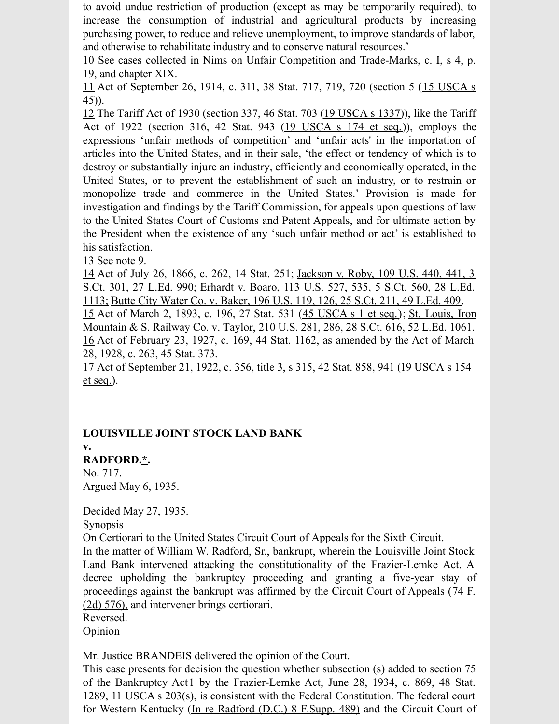to avoid undue restriction of production (except as may be temporarily required), to increase the consumption of industrial and agricultural products by increasing purchasing power, to reduce and relieve unemployment, to improve standards of labor, and otherwise to rehabilitate industry and to conserve natural resources.'

[10](https://1.next.westlaw.com/Document/If24576459cc111d9bdd1cfdd544ca3a4/View/FullText.html?transitionType=UniqueDocItem&contextData=(sc.UserEnteredCitation)&userEnteredCitation=295+us+495#co_fnRef_B010101935123814_ID0EWVBG) See cases collected in Nims on Unfair Competition and Trade-Marks, c. I, s 4, p. 19, and chapter XIX.

[11](https://1.next.westlaw.com/Document/If24576459cc111d9bdd1cfdd544ca3a4/View/FullText.html?transitionType=UniqueDocItem&contextData=(sc.UserEnteredCitation)&userEnteredCitation=295+us+495#co_fnRef_B011111935123814_ID0E2XBG) Act of [September](https://1.next.westlaw.com/Link/Document/FullText?findType=L&pubNum=1000546&cite=15USCAS45&originatingDoc=If24576459cc111d9bdd1cfdd544ca3a4&refType=LQ&originationContext=document&transitionType=DocumentItem&ppcid=32cf866c5e974e47bcea441588d3d9e2&contextData=(sc.UserEnteredCitation)) 26, 1914, c. 311, 38 Stat. 717, 719, 720 (section 5 (15 USCA s  $45)$ ).

[12](https://1.next.westlaw.com/Document/If24576459cc111d9bdd1cfdd544ca3a4/View/FullText.html?transitionType=UniqueDocItem&contextData=(sc.UserEnteredCitation)&userEnteredCitation=295+us+495#co_fnRef_B012121935123814_ID0EF2BG) The Tariff Act of 1930 (section 337, 46 Stat. 703 (19 [USCA](https://1.next.westlaw.com/Link/Document/FullText?findType=L&pubNum=1000546&cite=19USCAS1337&originatingDoc=If24576459cc111d9bdd1cfdd544ca3a4&refType=LQ&originationContext=document&transitionType=DocumentItem&ppcid=32cf866c5e974e47bcea441588d3d9e2&contextData=(sc.UserEnteredCitation)) s 1337)), like the Tariff Act of 1922 (section 316, 42 Stat. 943 (19 [USCA](https://1.next.westlaw.com/Link/Document/FullText?findType=L&pubNum=1000546&cite=19USCAS174&originatingDoc=If24576459cc111d9bdd1cfdd544ca3a4&refType=LQ&originationContext=document&transitionType=DocumentItem&ppcid=32cf866c5e974e47bcea441588d3d9e2&contextData=(sc.UserEnteredCitation)) s 174 et seq.)), employs the expressions 'unfair methods of competition' and 'unfair acts' in the importation of articles into the United States, and in their sale, 'the effect or tendency of which is to destroy or substantially injure an industry, efficiently and economically operated, in the United States, or to prevent the establishment of such an industry, or to restrain or monopolize trade and commerce in the United States.' Provision is made for investigation and findings by the Tariff Commission, for appeals upon questions of law to the United States Court of Customs and Patent Appeals, and for ultimate action by the President when the existence of any 'such unfair method or act' is established to his satisfaction.

[13](https://1.next.westlaw.com/Document/If24576459cc111d9bdd1cfdd544ca3a4/View/FullText.html?transitionType=UniqueDocItem&contextData=(sc.UserEnteredCitation)&userEnteredCitation=295+us+495#co_fnRef_B013131935123814_ID0ELCAI) See note 9.

[14](https://1.next.westlaw.com/Document/If24576459cc111d9bdd1cfdd544ca3a4/View/FullText.html?transitionType=UniqueDocItem&contextData=(sc.UserEnteredCitation)&userEnteredCitation=295+us+495#co_fnRef_B014141935123814_ID0E1HAI) Act of July 26, 1866, c. 262, 14 Stat. 251; [Jackson](https://1.next.westlaw.com/Link/Document/FullText?findType=Y&serNum=1883180295&pubNum=708&originatingDoc=If24576459cc111d9bdd1cfdd544ca3a4&refType=RP&originationContext=document&transitionType=DocumentItem&ppcid=32cf866c5e974e47bcea441588d3d9e2&contextData=(sc.UserEnteredCitation)) v. Roby, 109 U.S. 440, 441, 3 S.Ct. 301, 27 L.Ed. 990; [Erhardt](https://1.next.westlaw.com/Link/Document/FullText?findType=Y&serNum=1885180028&pubNum=708&originatingDoc=If24576459cc111d9bdd1cfdd544ca3a4&refType=RP&originationContext=document&transitionType=DocumentItem&ppcid=32cf866c5e974e47bcea441588d3d9e2&contextData=(sc.UserEnteredCitation)) v. Boaro, 113 U.S. 527, 535, 5 S.Ct. 560, 28 L.Ed.

1113; Butte City Water Co. v. [Baker,](https://1.next.westlaw.com/Link/Document/FullText?findType=Y&serNum=1906100029&pubNum=708&originatingDoc=If24576459cc111d9bdd1cfdd544ca3a4&refType=RP&originationContext=document&transitionType=DocumentItem&ppcid=32cf866c5e974e47bcea441588d3d9e2&contextData=(sc.UserEnteredCitation)) 196 U.S. 119, 126, 25 S.Ct. 211, 49 L.Ed. 409.

[15](https://1.next.westlaw.com/Document/If24576459cc111d9bdd1cfdd544ca3a4/View/FullText.html?transitionType=UniqueDocItem&contextData=(sc.UserEnteredCitation)&userEnteredCitation=295+us+495#co_fnRef_B015151935123814_ID0EBIAI) Act of March 2, 1893, c. 196, 27 Stat. 531 (45 [USCA](https://1.next.westlaw.com/Link/Document/FullText?findType=L&pubNum=1000546&cite=45USCAS1&originatingDoc=If24576459cc111d9bdd1cfdd544ca3a4&refType=LQ&originationContext=document&transitionType=DocumentItem&ppcid=32cf866c5e974e47bcea441588d3d9e2&contextData=(sc.UserEnteredCitation)) s 1 et seq.); St. Louis, Iron [Mountain](https://1.next.westlaw.com/Link/Document/FullText?findType=Y&serNum=1908100290&pubNum=708&originatingDoc=If24576459cc111d9bdd1cfdd544ca3a4&refType=RP&originationContext=document&transitionType=DocumentItem&ppcid=32cf866c5e974e47bcea441588d3d9e2&contextData=(sc.UserEnteredCitation)) & S. Railway Co. v. Taylor, 210 U.S. 281, 286, 28 S.Ct. 616, 52 L.Ed. 1061. [16](https://1.next.westlaw.com/Document/If24576459cc111d9bdd1cfdd544ca3a4/View/FullText.html?transitionType=UniqueDocItem&contextData=(sc.UserEnteredCitation)&userEnteredCitation=295+us+495#co_fnRef_B016161935123814_ID0EETAI) Act of February 23, 1927, c. 169, 44 Stat. 1162, as amended by the Act of March 28, 1928, c. 263, 45 Stat. 373.

[17](https://1.next.westlaw.com/Document/If24576459cc111d9bdd1cfdd544ca3a4/View/FullText.html?transitionType=UniqueDocItem&contextData=(sc.UserEnteredCitation)&userEnteredCitation=295+us+495#co_fnRef_B017171935123814_ID0EPVAI) Act of [September](https://1.next.westlaw.com/Link/Document/FullText?findType=L&pubNum=1000546&cite=19USCAS154&originatingDoc=If24576459cc111d9bdd1cfdd544ca3a4&refType=LQ&originationContext=document&transitionType=DocumentItem&ppcid=32cf866c5e974e47bcea441588d3d9e2&contextData=(sc.UserEnteredCitation)) 21, 1922, c. 356, title 3, s 315, 42 Stat. 858, 941 (19 USCA s 154 et seq.).

### **LOUISVILLE JOINT STOCK LAND BANK**

**v.**

## **RADFORD[.\\*](https://1.next.westlaw.com/Document/I2e311b099ca411d9bdd1cfdd544ca3a4/View/FullText.html?transitionType=UniqueDocItem&contextData=(sc.Default)&userEnteredCitation=295+us+555#co_footnote_B0011935124038).**

No. 717. Argued May 6, 1935.

Decided May 27, 1935.

Synopsis

On Certiorari to the United States Circuit Court of Appeals for the Sixth Circuit. In the matter of William W. Radford, Sr., bankrupt, wherein the Louisville Joint Stock Land Bank intervened attacking the constitutionality of the Frazier-Lemke Act. A decree upholding the bankruptcy proceeding and granting a five-year stay of [proceedings](https://1.next.westlaw.com/Link/Document/FullText?findType=Y&serNum=1935123349&pubNum=350&originatingDoc=I2e311b099ca411d9bdd1cfdd544ca3a4&refType=RP&originationContext=document&transitionType=DocumentItem&ppcid=017ac81debd04f5598f75f207a5064fd&contextData=(sc.UserEnteredCitation)) against the bankrupt was affirmed by the Circuit Court of Appeals (74 F. (2d) 576), and intervener brings certiorari.

Reversed.

Opinion

Mr. Justice BRANDEIS delivered the opinion of the Court.

This case presents for decision the question whether subsection (s) added to section 75 of the Bankruptcy Act[1](https://1.next.westlaw.com/Document/I2e311b099ca411d9bdd1cfdd544ca3a4/View/FullText.html?transitionType=UniqueDocItem&contextData=(sc.Default)&userEnteredCitation=295+us+555#co_footnote_B00211935124038) by the Frazier-Lemke Act, June 28, 1934, c. 869, 48 Stat. 1289, 11 USCA s 203(s), is consistent with the Federal Constitution. The federal court for Western Kentucky (In re [Radford](https://1.next.westlaw.com/Link/Document/FullText?findType=Y&serNum=1934130162&pubNum=345&originatingDoc=I2e311b099ca411d9bdd1cfdd544ca3a4&refType=RP&originationContext=document&transitionType=DocumentItem&ppcid=017ac81debd04f5598f75f207a5064fd&contextData=(sc.UserEnteredCitation)) (D.C.) 8 F.Supp. 489) and the Circuit Court of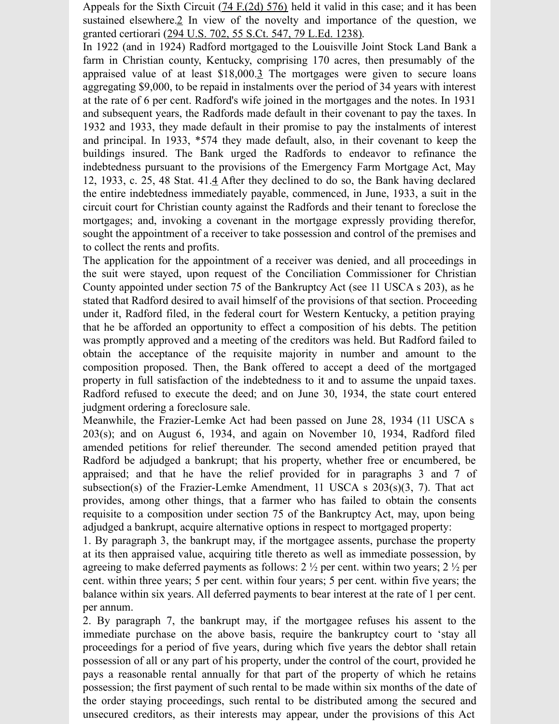Appeals for the Sixth Circuit  $(74 \text{ F} \cdot (2d) 576)$  held it valid in this case; and it has been sustained elsewhere[.2](https://1.next.westlaw.com/Document/I2e311b099ca411d9bdd1cfdd544ca3a4/View/FullText.html?transitionType=UniqueDocItem&contextData=(sc.Default)&userEnteredCitation=295+us+555#co_footnote_B00321935124038) In view of the novelty and importance of the question, we granted certiorari (294 U.S. 702, 55 S.Ct. 547, 79 L.Ed. [1238\)](https://1.next.westlaw.com/Link/Document/FullText?findType=Y&serNum=1935201870&pubNum=708&originatingDoc=I2e311b099ca411d9bdd1cfdd544ca3a4&refType=RP&originationContext=document&transitionType=DocumentItem&ppcid=017ac81debd04f5598f75f207a5064fd&contextData=(sc.UserEnteredCitation)).

In 1922 (and in 1924) Radford mortgaged to the Louisville Joint Stock Land Bank a farm in Christian county, Kentucky, comprising 170 acres, then presumably of the appraised value of at least \$18,000[.3](https://1.next.westlaw.com/Document/I2e311b099ca411d9bdd1cfdd544ca3a4/View/FullText.html?transitionType=UniqueDocItem&contextData=(sc.Default)&userEnteredCitation=295+us+555#co_footnote_B00431935124038) The mortgages were given to secure loans aggregating \$9,000, to be repaid in instalments over the period of 34 years with interest at the rate of 6 per cent. Radford's wife joined in the mortgages and the notes. In 1931 and subsequent years, the Radfords made default in their covenant to pay the taxes. In 1932 and 1933, they made default in their promise to pay the instalments of interest and principal. In 1933, \*574 they made default, also, in their covenant to keep the buildings insured. The Bank urged the Radfords to endeavor to refinance the indebtedness pursuant to the provisions of the Emergency Farm Mortgage Act, May 12, 1933, c. 25, 48 Stat. 41[.4](https://1.next.westlaw.com/Document/I2e311b099ca411d9bdd1cfdd544ca3a4/View/FullText.html?transitionType=UniqueDocItem&contextData=(sc.Default)&userEnteredCitation=295+us+555#co_footnote_B00541935124038) After they declined to do so, the Bank having declared the entire indebtedness immediately payable, commenced, in June, 1933, a suit in the circuit court for Christian county against the Radfords and their tenant to foreclose the mortgages; and, invoking a covenant in the mortgage expressly providing therefor, sought the appointment of a receiver to take possession and control of the premises and to collect the rents and profits.

The application for the appointment of a receiver was denied, and all proceedings in the suit were stayed, upon request of the Conciliation Commissioner for Christian County appointed under section 75 of the Bankruptcy Act (see 11 USCA s 203), as he stated that Radford desired to avail himself of the provisions of that section. Proceeding under it, Radford filed, in the federal court for Western Kentucky, a petition praying that he be afforded an opportunity to effect a composition of his debts. The petition was promptly approved and a meeting of the creditors was held. But Radford failed to obtain the acceptance of the requisite majority in number and amount to the composition proposed. Then, the Bank offered to accept a deed of the mortgaged property in full satisfaction of the indebtedness to it and to assume the unpaid taxes. Radford refused to execute the deed; and on June 30, 1934, the state court entered judgment ordering a foreclosure sale.

Meanwhile, the Frazier-Lemke Act had been passed on June 28, 1934 (11 USCA s 203(s); and on August 6, 1934, and again on November 10, 1934, Radford filed amended petitions for relief thereunder. The second amended petition prayed that Radford be adjudged a bankrupt; that his property, whether free or encumbered, be appraised; and that he have the relief provided for in paragraphs 3 and 7 of subsection(s) of the Frazier-Lemke Amendment, 11 USCA s 203(s)(3, 7). That act provides, among other things, that a farmer who has failed to obtain the consents requisite to a composition under section 75 of the Bankruptcy Act, may, upon being adjudged a bankrupt, acquire alternative options in respect to mortgaged property:

1. By paragraph 3, the bankrupt may, if the mortgagee assents, purchase the property at its then appraised value, acquiring title thereto as well as immediate possession, by agreeing to make deferred payments as follows:  $2 \frac{1}{2}$  per cent. within two years;  $2 \frac{1}{2}$  per cent. within three years; 5 per cent. within four years; 5 per cent. within five years; the balance within six years. All deferred payments to bear interest at the rate of 1 per cent. per annum.

2. By paragraph 7, the bankrupt may, if the mortgagee refuses his assent to the immediate purchase on the above basis, require the bankruptcy court to 'stay all proceedings for a period of five years, during which five years the debtor shall retain possession of all or any part of his property, under the control of the court, provided he pays a reasonable rental annually for that part of the property of which he retains possession; the first payment of such rental to be made within six months of the date of the order staying proceedings, such rental to be distributed among the secured and unsecured creditors, as their interests may appear, under the provisions of this Act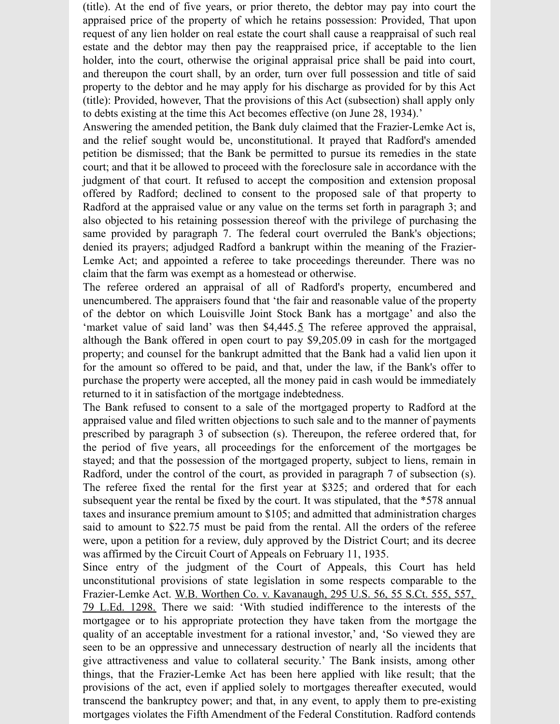(title). At the end of five years, or prior thereto, the debtor may pay into court the appraised price of the property of which he retains possession: Provided, That upon request of any lien holder on real estate the court shall cause a reappraisal of such real estate and the debtor may then pay the reappraised price, if acceptable to the lien holder, into the court, otherwise the original appraisal price shall be paid into court, and thereupon the court shall, by an order, turn over full possession and title of said property to the debtor and he may apply for his discharge as provided for by this Act (title): Provided, however, That the provisions of this Act (subsection) shall apply only to debts existing at the time this Act becomes effective (on June 28, 1934).'

Answering the amended petition, the Bank duly claimed that the Frazier-Lemke Act is, and the relief sought would be, unconstitutional. It prayed that Radford's amended petition be dismissed; that the Bank be permitted to pursue its remedies in the state court; and that it be allowed to proceed with the foreclosure sale in accordance with the judgment of that court. It refused to accept the composition and extension proposal offered by Radford; declined to consent to the proposed sale of that property to Radford at the appraised value or any value on the terms set forth in paragraph 3; and also objected to his retaining possession thereof with the privilege of purchasing the same provided by paragraph 7. The federal court overruled the Bank's objections; denied its prayers; adjudged Radford a bankrupt within the meaning of the Frazier-Lemke Act; and appointed a referee to take proceedings thereunder. There was no claim that the farm was exempt as a homestead or otherwise.

The referee ordered an appraisal of all of Radford's property, encumbered and unencumbered. The appraisers found that 'the fair and reasonable value of the property of the debtor on which Louisville Joint Stock Bank has a mortgage' and also the 'market value of said land' was then \$4,445.[5](https://1.next.westlaw.com/Document/I2e311b099ca411d9bdd1cfdd544ca3a4/View/FullText.html?transitionType=UniqueDocItem&contextData=(sc.Default)&userEnteredCitation=295+us+555#co_footnote_B00651935124038) The referee approved the appraisal, although the Bank offered in open court to pay \$9,205.09 in cash for the mortgaged property; and counsel for the bankrupt admitted that the Bank had a valid lien upon it for the amount so offered to be paid, and that, under the law, if the Bank's offer to purchase the property were accepted, all the money paid in cash would be immediately returned to it in satisfaction of the mortgage indebtedness.

The Bank refused to consent to a sale of the mortgaged property to Radford at the appraised value and filed written objections to such sale and to the manner of payments prescribed by paragraph 3 of subsection (s). Thereupon, the referee ordered that, for the period of five years, all proceedings for the enforcement of the mortgages be stayed; and that the possession of the mortgaged property, subject to liens, remain in Radford, under the control of the court, as provided in paragraph 7 of subsection (s). The referee fixed the rental for the first year at \$325; and ordered that for each subsequent year the rental be fixed by the court. It was stipulated, that the \*578 annual taxes and insurance premium amount to \$105; and admitted that administration charges said to amount to \$22.75 must be paid from the rental. All the orders of the referee were, upon a petition for a review, duly approved by the District Court; and its decree was affirmed by the Circuit Court of Appeals on February 11, 1935.

Since entry of the judgment of the Court of Appeals, this Court has held unconstitutional provisions of state legislation in some respects comparable to the [Frazier-Lemke](https://1.next.westlaw.com/Link/Document/FullText?findType=Y&serNum=1935124197&pubNum=708&originatingDoc=I2e311b099ca411d9bdd1cfdd544ca3a4&refType=RP&fi=co_pp_sp_708_557&originationContext=document&transitionType=DocumentItem&ppcid=017ac81debd04f5598f75f207a5064fd&contextData=(sc.UserEnteredCitation)#co_pp_sp_708_557) Act. W.B. Worthen Co. v. Kavanaugh, 295 U.S. 56, 55 S.Ct. 555, 557, 79 L.Ed. 1298. There we said: 'With studied indifference to the interests of the mortgagee or to his appropriate protection they have taken from the mortgage the quality of an acceptable investment for a rational investor,' and, 'So viewed they are seen to be an oppressive and unnecessary destruction of nearly all the incidents that give attractiveness and value to collateral security.' The Bank insists, among other things, that the Frazier-Lemke Act has been here applied with like result; that the provisions of the act, even if applied solely to mortgages thereafter executed, would transcend the bankruptcy power; and that, in any event, to apply them to pre-existing mortgages violates the Fifth Amendment of the Federal Constitution. Radford contends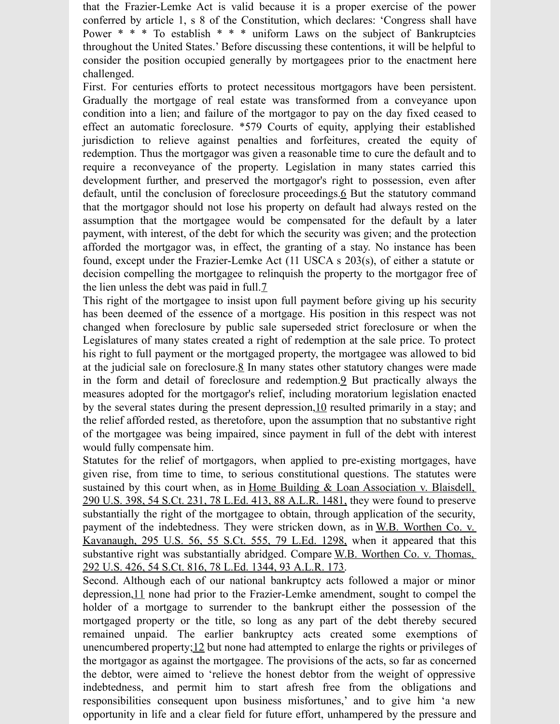that the Frazier-Lemke Act is valid because it is a proper exercise of the power conferred by article 1, s 8 of the Constitution, which declares: 'Congress shall have Power  $* * *$  To establish  $* * *$  uniform Laws on the subject of Bankruptcies throughout the United States.' Before discussing these contentions, it will be helpful to consider the position occupied generally by mortgagees prior to the enactment here challenged.

First. For centuries efforts to protect necessitous mortgagors have been persistent. Gradually the mortgage of real estate was transformed from a conveyance upon condition into a lien; and failure of the mortgagor to pay on the day fixed ceased to effect an automatic foreclosure. \*579 Courts of equity, applying their established jurisdiction to relieve against penalties and forfeitures, created the equity of redemption. Thus the mortgagor was given a reasonable time to cure the default and to require a reconveyance of the property. Legislation in many states carried this development further, and preserved the mortgagor's right to possession, even after default, until the conclusion of foreclosure proceedings. <u>6</u> But the statutory command that the mortgagor should not lose his property on default had always rested on the assumption that the mortgagee would be compensated for the default by a later payment, with interest, of the debt for which the security was given; and the protection afforded the mortgagor was, in effect, the granting of a stay. No instance has been found, except under the Frazier-Lemke Act (11 USCA s 203(s), of either a statute or decision compelling the mortgagee to relinquish the property to the mortgagor free of the lien unless the debt was paid in full[.7](https://1.next.westlaw.com/Document/I2e311b099ca411d9bdd1cfdd544ca3a4/View/FullText.html?transitionType=UniqueDocItem&contextData=(sc.Default)&userEnteredCitation=295+us+555#co_footnote_B00871935124038)

This right of the mortgagee to insist upon full payment before giving up his security has been deemed of the essence of a mortgage. His position in this respect was not changed when foreclosure by public sale superseded strict foreclosure or when the Legislatures of many states created a right of redemption at the sale price. To protect his right to full payment or the mortgaged property, the mortgagee was allowed to bid at the judicial sale on foreclosure[.8](https://1.next.westlaw.com/Document/I2e311b099ca411d9bdd1cfdd544ca3a4/View/FullText.html?transitionType=UniqueDocItem&contextData=(sc.Default)&userEnteredCitation=295+us+555#co_footnote_B00981935124038) In many states other statutory changes were made in the form and detail of foreclosure and redemption[.9](https://1.next.westlaw.com/Document/I2e311b099ca411d9bdd1cfdd544ca3a4/View/FullText.html?transitionType=UniqueDocItem&contextData=(sc.Default)&userEnteredCitation=295+us+555#co_footnote_B01091935124038) But practically always the measures adopted for the mortgagor's relief, including moratorium legislation enacted by the several states during the present depression, 10 resulted primarily in a stay; and the relief afforded rested, as theretofore, upon the assumption that no substantive right of the mortgagee was being impaired, since payment in full of the debt with interest would fully compensate him.

Statutes for the relief of mortgagors, when applied to pre-existing mortgages, have given rise, from time to time, to serious constitutional questions. The statutes were sustained by this court when, as in Home Building & Loan [Association](https://1.next.westlaw.com/Link/Document/FullText?findType=Y&serNum=1934124145&pubNum=104&originatingDoc=I2e311b099ca411d9bdd1cfdd544ca3a4&refType=RP&originationContext=document&transitionType=DocumentItem&ppcid=017ac81debd04f5598f75f207a5064fd&contextData=(sc.UserEnteredCitation)) v. Blaisdell, 290 U.S. 398, 54 S.Ct. 231, 78 L.Ed. 413, 88 A.L.R. 1481, they were found to preserve substantially the right of the mortgagee to obtain, through application of the security, payment of the [indebtedness.](https://1.next.westlaw.com/Link/Document/FullText?findType=Y&serNum=1935124197&pubNum=708&originatingDoc=I2e311b099ca411d9bdd1cfdd544ca3a4&refType=RP&originationContext=document&transitionType=DocumentItem&ppcid=017ac81debd04f5598f75f207a5064fd&contextData=(sc.UserEnteredCitation)) They were stricken down, as in W.B. Worthen Co. v. Kavanaugh, 295 U.S. 56, 55 S.Ct. 555, 79 L.Ed. 1298, when it appeared that this substantive right was [substantially](https://1.next.westlaw.com/Link/Document/FullText?findType=Y&serNum=1934124603&pubNum=104&originatingDoc=I2e311b099ca411d9bdd1cfdd544ca3a4&refType=RP&originationContext=document&transitionType=DocumentItem&ppcid=017ac81debd04f5598f75f207a5064fd&contextData=(sc.UserEnteredCitation)) abridged. Compare W.B. Worthen Co. v. Thomas, 292 U.S. 426, 54 S.Ct. 816, 78 L.Ed. 1344, 93 A.L.R. 173.

Second. Although each of our national bankruptcy acts followed a major or minor depression[,11](https://1.next.westlaw.com/Document/I2e311b099ca411d9bdd1cfdd544ca3a4/View/FullText.html?transitionType=UniqueDocItem&contextData=(sc.Default)&userEnteredCitation=295+us+555#co_footnote_B012111935124038) none had prior to the Frazier-Lemke amendment, sought to compel the holder of a mortgage to surrender to the bankrupt either the possession of the mortgaged property or the title, so long as any part of the debt thereby secured remained unpaid. The earlier bankruptcy acts created some exemptions of unencumbered property[;12](https://1.next.westlaw.com/Document/I2e311b099ca411d9bdd1cfdd544ca3a4/View/FullText.html?transitionType=UniqueDocItem&contextData=(sc.Default)&userEnteredCitation=295+us+555#co_footnote_B013121935124038) but none had attempted to enlarge the rights or privileges of the mortgagor as against the mortgagee. The provisions of the acts, so far as concerned the debtor, were aimed to 'relieve the honest debtor from the weight of oppressive indebtedness, and permit him to start afresh free from the obligations and responsibilities consequent upon business misfortunes,' and to give him 'a new opportunity in life and a clear field for future effort, unhampered by the pressure and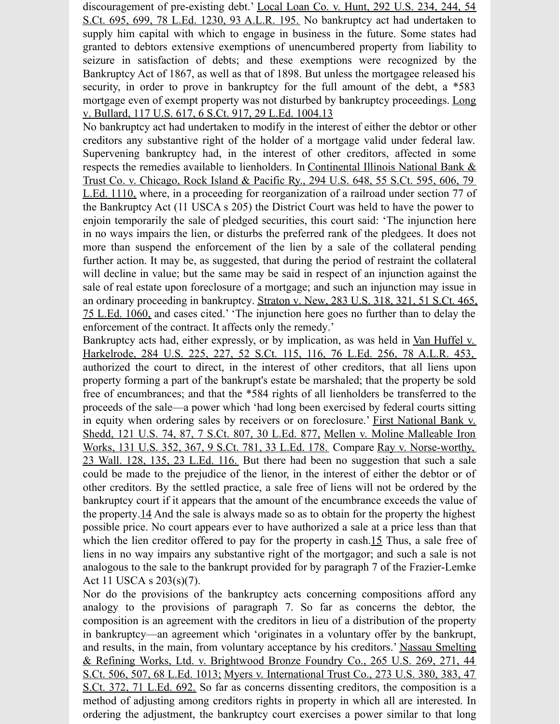[discouragement](https://1.next.westlaw.com/Link/Document/FullText?findType=Y&serNum=1934124223&pubNum=104&originatingDoc=I2e311b099ca411d9bdd1cfdd544ca3a4&refType=RP&originationContext=document&transitionType=DocumentItem&ppcid=017ac81debd04f5598f75f207a5064fd&contextData=(sc.UserEnteredCitation)) of pre-existing debt.' Local Loan Co. v. Hunt, 292 U.S. 234, 244, 54 S.Ct. 695, 699, 78 L.Ed. 1230, 93 A.L.R. 195. No bankruptcy act had undertaken to supply him capital with which to engage in business in the future. Some states had granted to debtors extensive exemptions of unencumbered property from liability to seizure in satisfaction of debts; and these exemptions were recognized by the Bankruptcy Act of 1867, as well as that of 1898. But unless the mortgagee released his security, in order to prove in bankruptcy for the full amount of the debt, a \*583 mortgage even of exempt property was not disturbed by bankruptcy [proceedings.](https://1.next.westlaw.com/Link/Document/FullText?findType=Y&serNum=1886180067&pubNum=708&originatingDoc=I2e311b099ca411d9bdd1cfdd544ca3a4&refType=RP&originationContext=document&transitionType=DocumentItem&ppcid=017ac81debd04f5598f75f207a5064fd&contextData=(sc.UserEnteredCitation)) Long v. Bullard, 117 U.S. 617, 6 S.Ct. 917, 29 L.Ed. 1004[.13](https://1.next.westlaw.com/Document/I2e311b099ca411d9bdd1cfdd544ca3a4/View/FullText.html?transitionType=UniqueDocItem&contextData=(sc.Default)&userEnteredCitation=295+us+555#co_footnote_B014131935124038)

No bankruptcy act had undertaken to modify in the interest of either the debtor or other creditors any substantive right of the holder of a mortgage valid under federal law. Supervening bankruptcy had, in the interest of other creditors, affected in some respects the remedies available to lienholders. In Continental Illinois National Bank & Trust Co. v. Chicago, Rock Island & Pacific Ry., 294 U.S. 648, 55 S.Ct. 595, 606, 79 L.Ed. 1110, where, in a proceeding for [reorganization](https://1.next.westlaw.com/Link/Document/FullText?findType=Y&serNum=1935123899&pubNum=708&originatingDoc=I2e311b099ca411d9bdd1cfdd544ca3a4&refType=RP&fi=co_pp_sp_708_606&originationContext=document&transitionType=DocumentItem&ppcid=017ac81debd04f5598f75f207a5064fd&contextData=(sc.UserEnteredCitation)#co_pp_sp_708_606) of a railroad under section 77 of the Bankruptcy Act (11 USCA s 205) the District Court was held to have the power to enjoin temporarily the sale of pledged securities, this court said: 'The injunction here in no ways impairs the lien, or disturbs the preferred rank of the pledgees. It does not more than suspend the enforcement of the lien by a sale of the collateral pending further action. It may be, as suggested, that during the period of restraint the collateral will decline in value; but the same may be said in respect of an injunction against the sale of real estate upon foreclosure of a mortgage; and such an injunction may issue in an ordinary proceeding in [bankruptcy.](https://1.next.westlaw.com/Link/Document/FullText?findType=Y&serNum=1931123957&pubNum=708&originatingDoc=I2e311b099ca411d9bdd1cfdd544ca3a4&refType=RP&originationContext=document&transitionType=DocumentItem&ppcid=017ac81debd04f5598f75f207a5064fd&contextData=(sc.UserEnteredCitation)) Straton v. New, 283 U.S. 318, 321, 51 S.Ct. 465, 75 L.Ed. 1060, and cases cited.' 'The injunction here goes no further than to delay the enforcement of the contract. It affects only the remedy.'

Bankruptcy acts had, either expressly, or by [implication,](https://1.next.westlaw.com/Link/Document/FullText?findType=Y&serNum=1931124030&pubNum=104&originatingDoc=I2e311b099ca411d9bdd1cfdd544ca3a4&refType=RP&originationContext=document&transitionType=DocumentItem&ppcid=017ac81debd04f5598f75f207a5064fd&contextData=(sc.UserEnteredCitation)) as was held in <u>Van Huffel v.</u> Harkelrode, 284 U.S. 225, 227, 52 S.Ct. 115, 116, 76 L.Ed. 256, 78 A.L.R. 453, authorized the court to direct, in the interest of other creditors, that all liens upon property forming a part of the bankrupt's estate be marshaled; that the property be sold free of encumbrances; and that the \*584 rights of all lienholders be transferred to the proceeds of the sale—a power which 'had long been exercised by federal courts sitting in equity when ordering sales by receivers or on [foreclosure.'](https://1.next.westlaw.com/Link/Document/FullText?findType=Y&serNum=1887180039&pubNum=708&originatingDoc=I2e311b099ca411d9bdd1cfdd544ca3a4&refType=RP&originationContext=document&transitionType=DocumentItem&ppcid=017ac81debd04f5598f75f207a5064fd&contextData=(sc.UserEnteredCitation)) First National Bank v. Shedd, 121 U.S. 74, 87, 7 S.Ct. 807, 30 L.Ed. 877, Mellen v. Moline Malleable Iron Works, 131 U.S. 352, 367, 9 S.Ct. 781, 33 L.Ed. 178. Compare Ray v. [Norse-worthy,](https://1.next.westlaw.com/Link/Document/FullText?findType=Y&serNum=1874198781&pubNum=780&originatingDoc=I2e311b099ca411d9bdd1cfdd544ca3a4&refType=RP&fi=co_pp_sp_780_135&originationContext=document&transitionType=DocumentItem&ppcid=017ac81debd04f5598f75f207a5064fd&contextData=(sc.UserEnteredCitation)#co_pp_sp_780_135) 23 Wall. 128, 135, 23 L.Ed. 116. But there had been no suggestion that such a sale could be made to the prejudice of the lienor, in the interest of either the debtor or of other creditors. By the settled practice, a sale free of liens will not be ordered by the bankruptcy court if it appears that the amount of the encumbrance exceeds the value of the property.[14](https://1.next.westlaw.com/Document/I2e311b099ca411d9bdd1cfdd544ca3a4/View/FullText.html?transitionType=UniqueDocItem&contextData=(sc.Default)&userEnteredCitation=295+us+555#co_footnote_B015141935124038) And the sale is always made so as to obtain for the property the highest possible price. No court appears ever to have authorized a sale at a price less than that which the lien creditor offered to pay for the property in cash.<sup>15</sup> Thus, a sale free of liens in no way impairs any substantive right of the mortgagor; and such a sale is not analogous to the sale to the bankrupt provided for by paragraph 7 of the Frazier-Lemke Act 11 USCA s 203(s)(7).

Nor do the provisions of the bankruptcy acts concerning compositions afford any analogy to the provisions of paragraph 7. So far as concerns the debtor, the composition is an agreement with the creditors in lieu of a distribution of the property in bankruptcy—an agreement which 'originates in a voluntary offer by the bankrupt, and results, in the main, from voluntary acceptance by his creditors.' Nassau Smelting & Refining Works, Ltd. v. Brightwood Bronze Foundry Co., 265 U.S. 269, 271, 44 S.Ct. 506, 507, 68 L.Ed. 1013; Myers v. [International](https://1.next.westlaw.com/Link/Document/FullText?findType=Y&serNum=1927124175&pubNum=708&originatingDoc=I2e311b099ca411d9bdd1cfdd544ca3a4&refType=RP&originationContext=document&transitionType=DocumentItem&ppcid=017ac81debd04f5598f75f207a5064fd&contextData=(sc.UserEnteredCitation)) Trust Co., 273 U.S. 380, 383, 47 S.Ct. 372, 71 L.Ed. 692. So far as concerns dissenting creditors, the composition is a method of adjusting among creditors rights in property in which all are interested. In ordering the adjustment, the bankruptcy court exercises a power similar to that long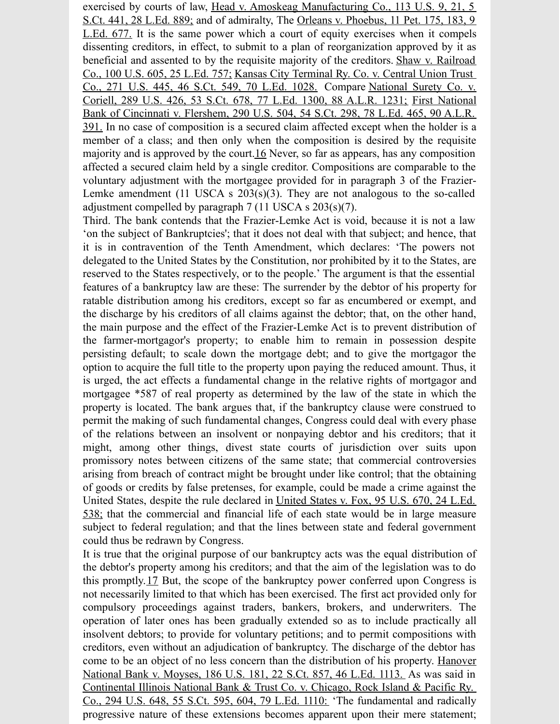exercised by courts of law, Head v. Amoskeag [Manufacturing](https://1.next.westlaw.com/Link/Document/FullText?findType=Y&serNum=1885180154&pubNum=708&originatingDoc=I2e311b099ca411d9bdd1cfdd544ca3a4&refType=RP&originationContext=document&transitionType=DocumentItem&ppcid=017ac81debd04f5598f75f207a5064fd&contextData=(sc.UserEnteredCitation)) Co., 113 U.S. 9, 21, 5 S.Ct. 441, 28 L.Ed. 889; and of [admiralty,](https://1.next.westlaw.com/Link/Document/FullText?findType=Y&serNum=1837135647&pubNum=780&originatingDoc=I2e311b099ca411d9bdd1cfdd544ca3a4&refType=RP&fi=co_pp_sp_780_183&originationContext=document&transitionType=DocumentItem&ppcid=017ac81debd04f5598f75f207a5064fd&contextData=(sc.UserEnteredCitation)#co_pp_sp_780_183) The Orleans v. Phoebus, 11 Pet. 175, 183, 9 L.Ed. 677. It is the same power which a court of equity exercises when it compels dissenting creditors, in effect, to submit to a plan of reorganization approved by it as [beneficial](https://1.next.westlaw.com/Link/Document/FullText?findType=Y&serNum=1800106459&pubNum=780&originatingDoc=I2e311b099ca411d9bdd1cfdd544ca3a4&refType=RP&originationContext=document&transitionType=DocumentItem&ppcid=017ac81debd04f5598f75f207a5064fd&contextData=(sc.UserEnteredCitation)) and assented to by the requisite majority of the creditors. Shaw v. Railroad Co., 100 U.S. 605, 25 L.Ed. 757; Kansas City Terminal Ry. Co. v. Central Union Trust Co., 271 U.S. 445, 46 S.Ct. 549, 70 L.Ed. 1028. [Compare](https://1.next.westlaw.com/Link/Document/FullText?findType=Y&serNum=1926121991&pubNum=708&originatingDoc=I2e311b099ca411d9bdd1cfdd544ca3a4&refType=RP&originationContext=document&transitionType=DocumentItem&ppcid=017ac81debd04f5598f75f207a5064fd&contextData=(sc.UserEnteredCitation)) National Surety Co. v. Coriell, 289 U.S. 426, 53 S.Ct. 678, 77 L.Ed. 1300, 88 A.L.R. 1231; First National Bank of Cincinnati v. Flershem, 290 U.S. 504, 54 S.Ct. 298, 78 L.Ed. 465, 90 A.L.R. 391. In no case of [composition](https://1.next.westlaw.com/Link/Document/FullText?findType=Y&serNum=1934124037&pubNum=104&originatingDoc=I2e311b099ca411d9bdd1cfdd544ca3a4&refType=RP&originationContext=document&transitionType=DocumentItem&ppcid=017ac81debd04f5598f75f207a5064fd&contextData=(sc.UserEnteredCitation)) is a secured claim affected except when the holder is a member of a class; and then only when the composition is desired by the requisite majority and is approved by the court.  $16$  Never, so far as appears, has any composition affected a secured claim held by a single creditor. Compositions are comparable to the voluntary adjustment with the mortgagee provided for in paragraph 3 of the Frazier-Lemke amendment  $(11 \text{USCA s } 203(s)(3))$ . They are not analogous to the so-called adjustment compelled by paragraph 7 (11 USCA s 203(s)(7).

Third. The bank contends that the Frazier-Lemke Act is void, because it is not a law 'on the subject of Bankruptcies'; that it does not deal with that subject; and hence, that it is in contravention of the Tenth Amendment, which declares: 'The powers not delegated to the United States by the Constitution, nor prohibited by it to the States, are reserved to the States respectively, or to the people.' The argument is that the essential features of a bankruptcy law are these: The surrender by the debtor of his property for ratable distribution among his creditors, except so far as encumbered or exempt, and the discharge by his creditors of all claims against the debtor; that, on the other hand, the main purpose and the effect of the Frazier-Lemke Act is to prevent distribution of the farmer-mortgagor's property; to enable him to remain in possession despite persisting default; to scale down the mortgage debt; and to give the mortgagor the option to acquire the full title to the property upon paying the reduced amount. Thus, it is urged, the act effects a fundamental change in the relative rights of mortgagor and mortgagee \*587 of real property as determined by the law of the state in which the property is located. The bank argues that, if the bankruptcy clause were construed to permit the making of such fundamental changes, Congress could deal with every phase of the relations between an insolvent or nonpaying debtor and his creditors; that it might, among other things, divest state courts of jurisdiction over suits upon promissory notes between citizens of the same state; that commercial controversies arising from breach of contract might be brought under like control; that the obtaining of goods or credits by false pretenses, for example, could be made a crime against the United States, despite the rule declared in United States v. Fox, 95 U.S. 670, 24 L.Ed. 538; that the [commercial](https://1.next.westlaw.com/Link/Document/FullText?findType=Y&serNum=1877185258&pubNum=780&originatingDoc=I2e311b099ca411d9bdd1cfdd544ca3a4&refType=RP&originationContext=document&transitionType=DocumentItem&ppcid=017ac81debd04f5598f75f207a5064fd&contextData=(sc.UserEnteredCitation)) and financial life of each state would be in large measure subject to federal regulation; and that the lines between state and federal government could thus be redrawn by Congress.

It is true that the original purpose of our bankruptcy acts was the equal distribution of the debtor's property among his creditors; and that the aim of the legislation was to do this promptly.[17](https://1.next.westlaw.com/Document/I2e311b099ca411d9bdd1cfdd544ca3a4/View/FullText.html?transitionType=UniqueDocItem&contextData=(sc.Default)&userEnteredCitation=295+us+555#co_footnote_B018171935124038) But, the scope of the bankruptcy power conferred upon Congress is not necessarily limited to that which has been exercised. The first act provided only for compulsory proceedings against traders, bankers, brokers, and underwriters. The operation of later ones has been gradually extended so as to include practically all insolvent debtors; to provide for voluntary petitions; and to permit compositions with creditors, even without an adjudication of bankruptcy. The discharge of the debtor has come to be an object of no less concern than the [distribution](https://1.next.westlaw.com/Link/Document/FullText?findType=Y&serNum=1902100355&pubNum=708&originatingDoc=I2e311b099ca411d9bdd1cfdd544ca3a4&refType=RP&originationContext=document&transitionType=DocumentItem&ppcid=017ac81debd04f5598f75f207a5064fd&contextData=(sc.UserEnteredCitation)) of his property. Hanover National Bank v. Moyses, 186 U.S. 181, 22 S.Ct. 857, 46 L.Ed. 1113. As was said in Continental Illinois National Bank & Trust Co. v. Chicago, Rock Island & Pacific Ry. Co., 294 U.S. 648, 55 S.Ct. 595, 604, 79 L.Ed. 1110: 'The [fundamental](https://1.next.westlaw.com/Link/Document/FullText?findType=Y&serNum=1935123899&pubNum=708&originatingDoc=I2e311b099ca411d9bdd1cfdd544ca3a4&refType=RP&fi=co_pp_sp_708_604&originationContext=document&transitionType=DocumentItem&ppcid=017ac81debd04f5598f75f207a5064fd&contextData=(sc.UserEnteredCitation)#co_pp_sp_708_604) and radically progressive nature of these extensions becomes apparent upon their mere statement;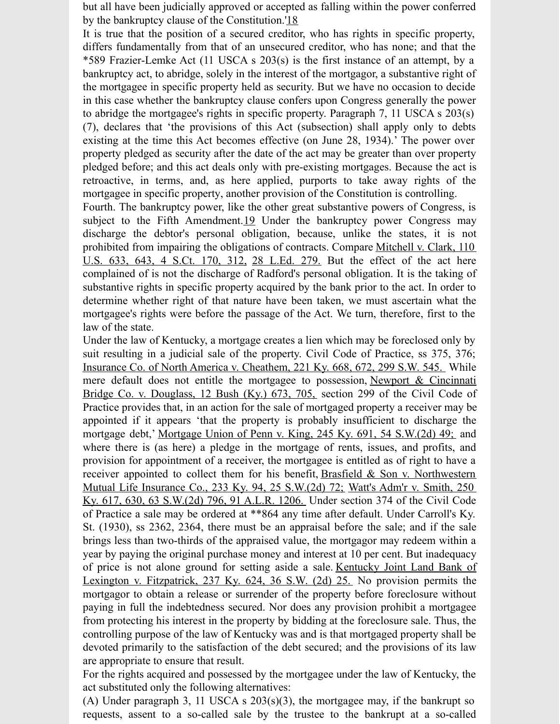but all have been judicially approved or accepted as falling within the power conferred by the bankruptcy clause of the Constitution.['18](https://1.next.westlaw.com/Document/I2e311b099ca411d9bdd1cfdd544ca3a4/View/FullText.html?transitionType=UniqueDocItem&contextData=(sc.Default)&userEnteredCitation=295+us+555#co_footnote_B019181935124038)

It is true that the position of a secured creditor, who has rights in specific property, differs fundamentally from that of an unsecured creditor, who has none; and that the \*589 Frazier-Lemke Act (11 USCA s 203(s) is the first instance of an attempt, by a bankruptcy act, to abridge, solely in the interest of the mortgagor, a substantive right of the mortgagee in specific property held as security. But we have no occasion to decide in this case whether the bankruptcy clause confers upon Congress generally the power to abridge the mortgagee's rights in specific property. Paragraph 7, 11 USCA s 203(s) (7), declares that 'the provisions of this Act (subsection) shall apply only to debts existing at the time this Act becomes effective (on June 28, 1934).' The power over property pledged as security after the date of the act may be greater than over property pledged before; and this act deals only with pre-existing mortgages. Because the act is retroactive, in terms, and, as here applied, purports to take away rights of the mortgagee in specific property, another provision of the Constitution is controlling.

Fourth. The bankruptcy power, like the other great substantive powers of Congress, is subject to the Fifth Amendment.<sup>19</sup> Under the bankruptcy power Congress may discharge the debtor's personal obligation, because, unlike the states, it is not prohibited from impairing the [obligations](https://1.next.westlaw.com/Link/Document/FullText?findType=Y&serNum=1884180173&pubNum=708&originatingDoc=I2e311b099ca411d9bdd1cfdd544ca3a4&refType=RP&fi=co_pp_sp_708_312&originationContext=document&transitionType=DocumentItem&ppcid=017ac81debd04f5598f75f207a5064fd&contextData=(sc.UserEnteredCitation)#co_pp_sp_708_312) of contracts. Compare Mitchell v. Clark, 110 U.S. 633, 643, 4 S.Ct. 170, 312, 28 [L.Ed.](https://1.next.westlaw.com/Link/Document/FullText?findType=Y&serNum=1884180173&pubNum=470&originatingDoc=I2e311b099ca411d9bdd1cfdd544ca3a4&refType=RP&originationContext=document&transitionType=DocumentItem&ppcid=017ac81debd04f5598f75f207a5064fd&contextData=(sc.UserEnteredCitation)) 279. But the effect of the act here complained of is not the discharge of Radford's personal obligation. It is the taking of substantive rights in specific property acquired by the bank prior to the act. In order to determine whether right of that nature have been taken, we must ascertain what the mortgagee's rights were before the passage of the Act. We turn, therefore, first to the law of the state.

Under the law of Kentucky, a mortgage creates a lien which may be foreclosed only by suit resulting in a judicial sale of the property. Civil Code of Practice, ss 375, 376; Insurance Co. of North America v. [Cheathem,](https://1.next.westlaw.com/Link/Document/FullText?findType=Y&serNum=1927120415&pubNum=712&originatingDoc=I2e311b099ca411d9bdd1cfdd544ca3a4&refType=RP&originationContext=document&transitionType=DocumentItem&ppcid=017ac81debd04f5598f75f207a5064fd&contextData=(sc.UserEnteredCitation)) 221 Ky. 668, 672, 299 S.W. 545. While mere default does not entitle the mortgagee to [possession,](https://1.next.westlaw.com/Link/Document/FullText?findType=Y&serNum=1877013228&pubNum=2211&originatingDoc=I2e311b099ca411d9bdd1cfdd544ca3a4&refType=RP&fi=co_pp_sp_2211_705&originationContext=document&transitionType=DocumentItem&ppcid=017ac81debd04f5598f75f207a5064fd&contextData=(sc.UserEnteredCitation)#co_pp_sp_2211_705) Newport & Cincinnati Bridge Co. v. Douglass, 12 Bush (Ky.) 673, 705, section 299 of the Civil Code of Practice provides that, in an action for the sale of mortgaged property a receiver may be appointed if it appears 'that the property is probably insufficient to discharge the mortgage debt,' [Mortgage](https://1.next.westlaw.com/Link/Document/FullText?findType=Y&serNum=1932118988&pubNum=713&originatingDoc=I2e311b099ca411d9bdd1cfdd544ca3a4&refType=RP&originationContext=document&transitionType=DocumentItem&ppcid=017ac81debd04f5598f75f207a5064fd&contextData=(sc.UserEnteredCitation)) Union of Penn v. King, 245 Ky. 691, 54 S.W.(2d) 49; and where there is (as here) a pledge in the mortgage of rents, issues, and profits, and provision for appointment of a receiver, the mortgagee is entitled as of right to have a receiver appointed to collect them for his benefit, Brasfield & Son v. [Northwestern](https://1.next.westlaw.com/Link/Document/FullText?findType=Y&serNum=1930117937&pubNum=713&originatingDoc=I2e311b099ca411d9bdd1cfdd544ca3a4&refType=RP&originationContext=document&transitionType=DocumentItem&ppcid=017ac81debd04f5598f75f207a5064fd&contextData=(sc.UserEnteredCitation)) Mutual Life [Insurance](https://1.next.westlaw.com/Link/Document/FullText?findType=Y&serNum=1933118842&pubNum=104&originatingDoc=I2e311b099ca411d9bdd1cfdd544ca3a4&refType=RP&originationContext=document&transitionType=DocumentItem&ppcid=017ac81debd04f5598f75f207a5064fd&contextData=(sc.UserEnteredCitation)) Co., 233 Ky. 94, 25 S.W.(2d) 72; Watt's Adm'r v. Smith, 250 Ky. 617, 630, 63 S.W.(2d) 796, 91 A.L.R. 1206. Under section 374 of the Civil Code of Practice a sale may be ordered at \*\*864 any time after default. Under Carroll's Ky. St. (1930), ss 2362, 2364, there must be an appraisal before the sale; and if the sale brings less than two-thirds of the appraised value, the mortgagor may redeem within a year by paying the original purchase money and interest at 10 per cent. But inadequacy of price is not alone ground for setting aside a sale. Kentucky Joint Land Bank of Lexington v. [Fitzpatrick,](https://1.next.westlaw.com/Link/Document/FullText?findType=Y&serNum=1931118658&pubNum=713&originatingDoc=I2e311b099ca411d9bdd1cfdd544ca3a4&refType=RP&originationContext=document&transitionType=DocumentItem&ppcid=017ac81debd04f5598f75f207a5064fd&contextData=(sc.UserEnteredCitation)) 237 Ky. 624, 36 S.W. (2d) 25. No provision permits the mortgagor to obtain a release or surrender of the property before foreclosure without paying in full the indebtedness secured. Nor does any provision prohibit a mortgagee from protecting his interest in the property by bidding at the foreclosure sale. Thus, the controlling purpose of the law of Kentucky was and is that mortgaged property shall be devoted primarily to the satisfaction of the debt secured; and the provisions of its law are appropriate to ensure that result.

For the rights acquired and possessed by the mortgagee under the law of Kentucky, the act substituted only the following alternatives:

(A) Under paragraph 3, 11 USCA s  $203(s)(3)$ , the mortgagee may, if the bankrupt so requests, assent to a so-called sale by the trustee to the bankrupt at a so-called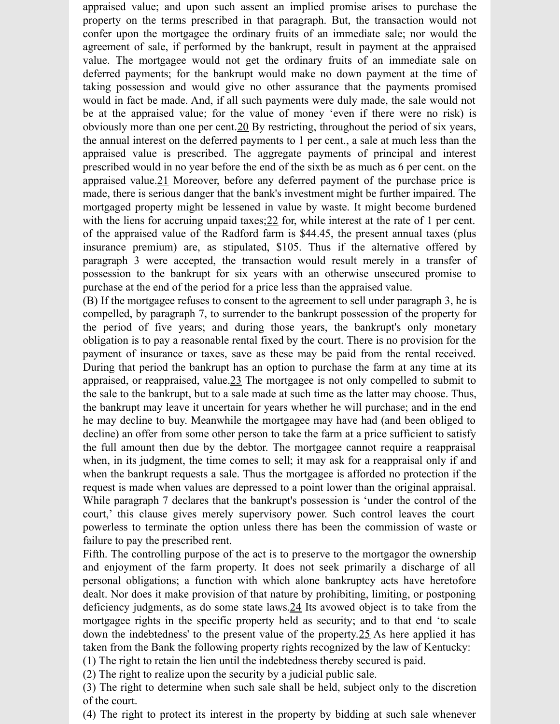appraised value; and upon such assent an implied promise arises to purchase the property on the terms prescribed in that paragraph. But, the transaction would not confer upon the mortgagee the ordinary fruits of an immediate sale; nor would the agreement of sale, if performed by the bankrupt, result in payment at the appraised value. The mortgagee would not get the ordinary fruits of an immediate sale on deferred payments; for the bankrupt would make no down payment at the time of taking possession and would give no other assurance that the payments promised would in fact be made. And, if all such payments were duly made, the sale would not be at the appraised value; for the value of money 'even if there were no risk) is obviously more than one per cent[.20](https://1.next.westlaw.com/Document/I2e311b099ca411d9bdd1cfdd544ca3a4/View/FullText.html?transitionType=UniqueDocItem&contextData=(sc.Default)&userEnteredCitation=295+us+555#co_footnote_B021201935124038) By restricting, throughout the period of six years, the annual interest on the deferred payments to 1 per cent., a sale at much less than the appraised value is prescribed. The aggregate payments of principal and interest prescribed would in no year before the end of the sixth be as much as 6 per cent. on the appraised value.[21](https://1.next.westlaw.com/Document/I2e311b099ca411d9bdd1cfdd544ca3a4/View/FullText.html?transitionType=UniqueDocItem&contextData=(sc.Default)&userEnteredCitation=295+us+555#co_footnote_B022211935124038) Moreover, before any deferred payment of the purchase price is made, there is serious danger that the bank's investment might be further impaired. The mortgaged property might be lessened in value by waste. It might become burdened with the liens for accruing unpaid taxes; [22](https://1.next.westlaw.com/Document/I2e311b099ca411d9bdd1cfdd544ca3a4/View/FullText.html?transitionType=UniqueDocItem&contextData=(sc.Default)&userEnteredCitation=295+us+555#co_footnote_B023221935124038) for, while interest at the rate of 1 per cent. of the appraised value of the Radford farm is \$44.45, the present annual taxes (plus insurance premium) are, as stipulated, \$105. Thus if the alternative offered by paragraph 3 were accepted, the transaction would result merely in a transfer of possession to the bankrupt for six years with an otherwise unsecured promise to purchase at the end of the period for a price less than the appraised value.

(B) If the mortgagee refuses to consent to the agreement to sell under paragraph 3, he is compelled, by paragraph 7, to surrender to the bankrupt possession of the property for the period of five years; and during those years, the bankrupt's only monetary obligation is to pay a reasonable rental fixed by the court. There is no provision for the payment of insurance or taxes, save as these may be paid from the rental received. During that period the bankrupt has an option to purchase the farm at any time at its appraised, or reappraised, value.[23](https://1.next.westlaw.com/Document/I2e311b099ca411d9bdd1cfdd544ca3a4/View/FullText.html?transitionType=UniqueDocItem&contextData=(sc.Default)&userEnteredCitation=295+us+555#co_footnote_B024231935124038) The mortgagee is not only compelled to submit to the sale to the bankrupt, but to a sale made at such time as the latter may choose. Thus, the bankrupt may leave it uncertain for years whether he will purchase; and in the end he may decline to buy. Meanwhile the mortgagee may have had (and been obliged to decline) an offer from some other person to take the farm at a price sufficient to satisfy the full amount then due by the debtor. The mortgagee cannot require a reappraisal when, in its judgment, the time comes to sell; it may ask for a reappraisal only if and when the bankrupt requests a sale. Thus the mortgagee is afforded no protection if the request is made when values are depressed to a point lower than the original appraisal. While paragraph 7 declares that the bankrupt's possession is 'under the control of the court,' this clause gives merely supervisory power. Such control leaves the court powerless to terminate the option unless there has been the commission of waste or failure to pay the prescribed rent.

Fifth. The controlling purpose of the act is to preserve to the mortgagor the ownership and enjoyment of the farm property. It does not seek primarily a discharge of all personal obligations; a function with which alone bankruptcy acts have heretofore dealt. Nor does it make provision of that nature by prohibiting, limiting, or postponing deficiency judgments, as do some state laws[.24](https://1.next.westlaw.com/Document/I2e311b099ca411d9bdd1cfdd544ca3a4/View/FullText.html?transitionType=UniqueDocItem&contextData=(sc.Default)&userEnteredCitation=295+us+555#co_footnote_B025241935124038) Its avowed object is to take from the mortgagee rights in the specific property held as security; and to that end 'to scale down the indebtedness' to the present value of the property[.25](https://1.next.westlaw.com/Document/I2e311b099ca411d9bdd1cfdd544ca3a4/View/FullText.html?transitionType=UniqueDocItem&contextData=(sc.Default)&userEnteredCitation=295+us+555#co_footnote_B026251935124038) As here applied it has taken from the Bank the following property rights recognized by the law of Kentucky: (1) The right to retain the lien until the indebtedness thereby secured is paid.

(2) The right to realize upon the security by a judicial public sale.

(3) The right to determine when such sale shall be held, subject only to the discretion of the court.

(4) The right to protect its interest in the property by bidding at such sale whenever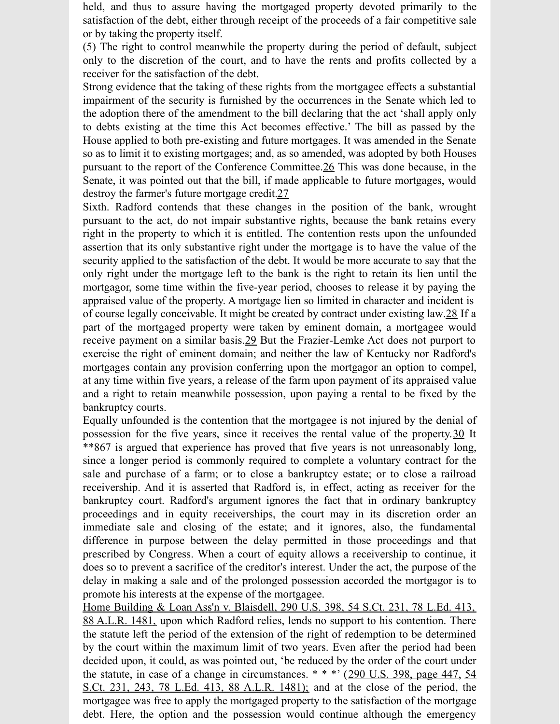held, and thus to assure having the mortgaged property devoted primarily to the satisfaction of the debt, either through receipt of the proceeds of a fair competitive sale or by taking the property itself.

(5) The right to control meanwhile the property during the period of default, subject only to the discretion of the court, and to have the rents and profits collected by a receiver for the satisfaction of the debt.

Strong evidence that the taking of these rights from the mortgagee effects a substantial impairment of the security is furnished by the occurrences in the Senate which led to the adoption there of the amendment to the bill declaring that the act 'shall apply only to debts existing at the time this Act becomes effective.' The bill as passed by the House applied to both pre-existing and future mortgages. It was amended in the Senate so as to limit it to existing mortgages; and, as so amended, was adopted by both Houses pursuant to the report of the Conference Committee[.26](https://1.next.westlaw.com/Document/I2e311b099ca411d9bdd1cfdd544ca3a4/View/FullText.html?transitionType=UniqueDocItem&contextData=(sc.Default)&userEnteredCitation=295+us+555#co_footnote_B027261935124038) This was done because, in the Senate, it was pointed out that the bill, if made applicable to future mortgages, would destroy the farmer's future mortgage credit[.27](https://1.next.westlaw.com/Document/I2e311b099ca411d9bdd1cfdd544ca3a4/View/FullText.html?transitionType=UniqueDocItem&contextData=(sc.Default)&userEnteredCitation=295+us+555#co_footnote_B028271935124038)

Sixth. Radford contends that these changes in the position of the bank, wrought pursuant to the act, do not impair substantive rights, because the bank retains every right in the property to which it is entitled. The contention rests upon the unfounded assertion that its only substantive right under the mortgage is to have the value of the security applied to the satisfaction of the debt. It would be more accurate to say that the only right under the mortgage left to the bank is the right to retain its lien until the mortgagor, some time within the five-year period, chooses to release it by paying the appraised value of the property. A mortgage lien so limited in character and incident is of course legally conceivable. It might be created by contract under existing law.[28](https://1.next.westlaw.com/Document/I2e311b099ca411d9bdd1cfdd544ca3a4/View/FullText.html?transitionType=UniqueDocItem&contextData=(sc.Default)&userEnteredCitation=295+us+555#co_footnote_B029281935124038) If a part of the mortgaged property were taken by eminent domain, a mortgagee would receive payment on a similar basis.[29](https://1.next.westlaw.com/Document/I2e311b099ca411d9bdd1cfdd544ca3a4/View/FullText.html?transitionType=UniqueDocItem&contextData=(sc.Default)&userEnteredCitation=295+us+555#co_footnote_B030291935124038) But the Frazier-Lemke Act does not purport to exercise the right of eminent domain; and neither the law of Kentucky nor Radford's mortgages contain any provision conferring upon the mortgagor an option to compel, at any time within five years, a release of the farm upon payment of its appraised value and a right to retain meanwhile possession, upon paying a rental to be fixed by the bankruptcy courts.

Equally unfounded is the contention that the mortgagee is not injured by the denial of possession for the five years, since it receives the rental value of the property.[30](https://1.next.westlaw.com/Document/I2e311b099ca411d9bdd1cfdd544ca3a4/View/FullText.html?transitionType=UniqueDocItem&contextData=(sc.Default)&userEnteredCitation=295+us+555#co_footnote_B031301935124038) It \*\*867 is argued that experience has proved that five years is not unreasonably long, since a longer period is commonly required to complete a voluntary contract for the sale and purchase of a farm; or to close a bankruptcy estate; or to close a railroad receivership. And it is asserted that Radford is, in effect, acting as receiver for the bankruptcy court. Radford's argument ignores the fact that in ordinary bankruptcy proceedings and in equity receiverships, the court may in its discretion order an immediate sale and closing of the estate; and it ignores, also, the fundamental difference in purpose between the delay permitted in those proceedings and that prescribed by Congress. When a court of equity allows a receivership to continue, it does so to prevent a sacrifice of the creditor's interest. Under the act, the purpose of the delay in making a sale and of the prolonged possession accorded the mortgagor is to promote his interests at the expense of the mortgagee.

Home Building & Loan Ass'n v. Blaisdell, 290 U.S. 398, 54 S.Ct. 231, 78 L.Ed. 413, 88 A.L.R. 1481, upon which Radford relies, lends no support to his [contention.](https://1.next.westlaw.com/Link/Document/FullText?findType=Y&serNum=1934124145&pubNum=104&originatingDoc=I2e311b099ca411d9bdd1cfdd544ca3a4&refType=RP&originationContext=document&transitionType=DocumentItem&ppcid=017ac81debd04f5598f75f207a5064fd&contextData=(sc.UserEnteredCitation)) There the statute left the period of the extension of the right of redemption to be determined by the court within the maximum limit of two years. Even after the period had been decided upon, it could, as was pointed out, 'be reduced by the order of the court under the statute, in case of a change in [circumstances.](https://1.next.westlaw.com/Link/Document/FullText?findType=Y&serNum=1934124145&pubNum=104&originatingDoc=I2e311b099ca411d9bdd1cfdd544ca3a4&refType=RP&originationContext=document&transitionType=DocumentItem&ppcid=017ac81debd04f5598f75f207a5064fd&contextData=(sc.UserEnteredCitation))  $***$  (290 U.S. 398, [page](https://1.next.westlaw.com/Link/Document/FullText?findType=Y&serNum=1934124145&pubNum=780&originatingDoc=I2e311b099ca411d9bdd1cfdd544ca3a4&refType=RP&fi=co_pp_sp_780_447&originationContext=document&transitionType=DocumentItem&ppcid=017ac81debd04f5598f75f207a5064fd&contextData=(sc.UserEnteredCitation)#co_pp_sp_780_447) 447, 54) S.Ct. 231, 243, 78 L.Ed. 413, 88 A.L.R. 1481); and at the close of the period, the mortgagee was free to apply the mortgaged property to the satisfaction of the mortgage debt. Here, the option and the possession would continue although the emergency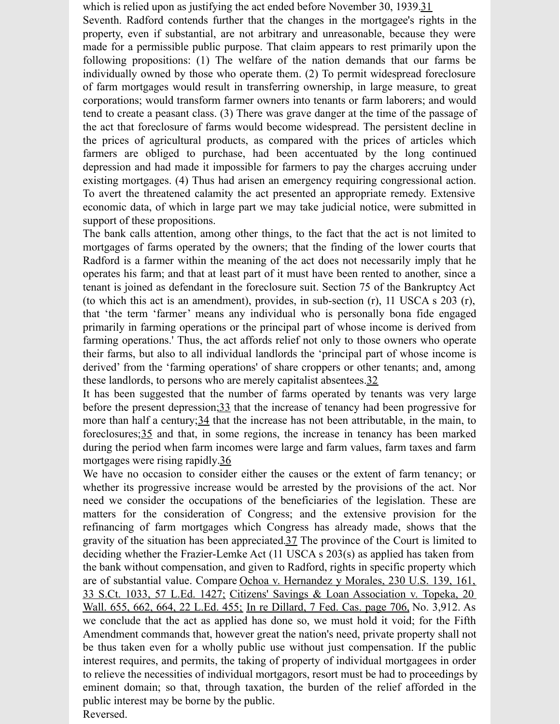which is relied upon as justifying the act ended before November 30, 1939[.31](https://1.next.westlaw.com/Document/I2e311b099ca411d9bdd1cfdd544ca3a4/View/FullText.html?transitionType=UniqueDocItem&contextData=(sc.Default)&userEnteredCitation=295+us+555#co_footnote_B032311935124038)

Seventh. Radford contends further that the changes in the mortgagee's rights in the property, even if substantial, are not arbitrary and unreasonable, because they were made for a permissible public purpose. That claim appears to rest primarily upon the following propositions: (1) The welfare of the nation demands that our farms be individually owned by those who operate them. (2) To permit widespread foreclosure of farm mortgages would result in transferring ownership, in large measure, to great corporations; would transform farmer owners into tenants or farm laborers; and would tend to create a peasant class. (3) There was grave danger at the time of the passage of the act that foreclosure of farms would become widespread. The persistent decline in the prices of agricultural products, as compared with the prices of articles which farmers are obliged to purchase, had been accentuated by the long continued depression and had made it impossible for farmers to pay the charges accruing under existing mortgages. (4) Thus had arisen an emergency requiring congressional action. To avert the threatened calamity the act presented an appropriate remedy. Extensive economic data, of which in large part we may take judicial notice, were submitted in support of these propositions.

The bank calls attention, among other things, to the fact that the act is not limited to mortgages of farms operated by the owners; that the finding of the lower courts that Radford is a farmer within the meaning of the act does not necessarily imply that he operates his farm; and that at least part of it must have been rented to another, since a tenant is joined as defendant in the foreclosure suit. Section 75 of the Bankruptcy Act (to which this act is an amendment), provides, in sub-section (r), 11 USCA s 203 (r), that 'the term 'farmer' means any individual who is personally bona fide engaged primarily in farming operations or the principal part of whose income is derived from farming operations.' Thus, the act affords relief not only to those owners who operate their farms, but also to all individual landlords the 'principal part of whose income is derived' from the 'farming operations' of share croppers or other tenants; and, among these landlords, to persons who are merely capitalist absentees. 32

It has been suggested that the number of farms operated by tenants was very large before the present depression[;33](https://1.next.westlaw.com/Document/I2e311b099ca411d9bdd1cfdd544ca3a4/View/FullText.html?transitionType=UniqueDocItem&contextData=(sc.Default)&userEnteredCitation=295+us+555#co_footnote_B034331935124038) that the increase of tenancy had been progressive for more than half a century;  $34$  that the increase has not been attributable, in the main, to foreclosures[;35](https://1.next.westlaw.com/Document/I2e311b099ca411d9bdd1cfdd544ca3a4/View/FullText.html?transitionType=UniqueDocItem&contextData=(sc.Default)&userEnteredCitation=295+us+555#co_footnote_B036351935124038) and that, in some regions, the increase in tenancy has been marked during the period when farm incomes were large and farm values, farm taxes and farm mortgages were rising rapidly[.36](https://1.next.westlaw.com/Document/I2e311b099ca411d9bdd1cfdd544ca3a4/View/FullText.html?transitionType=UniqueDocItem&contextData=(sc.Default)&userEnteredCitation=295+us+555#co_footnote_B037361935124038)

We have no occasion to consider either the causes or the extent of farm tenancy; or whether its progressive increase would be arrested by the provisions of the act. Nor need we consider the occupations of the beneficiaries of the legislation. These are matters for the consideration of Congress; and the extensive provision for the refinancing of farm mortgages which Congress has already made, shows that the gravity of the situation has been appreciated[.37](https://1.next.westlaw.com/Document/I2e311b099ca411d9bdd1cfdd544ca3a4/View/FullText.html?transitionType=UniqueDocItem&contextData=(sc.Default)&userEnteredCitation=295+us+555#co_footnote_B038371935124038) The province of the Court is limited to deciding whether the Frazier-Lemke Act (11 USCA s 203(s) as applied has taken from the bank without compensation, and given to Radford, rights in specific property which are of substantial value. Compare Ochoa v. Hernandez y Morales, 230 U.S. 139, 161, 33 S.Ct. 1033, 57 L.Ed. 1427; Citizens' Savings & Loan [Association](https://1.next.westlaw.com/Link/Document/FullText?findType=Y&serNum=1874148828&pubNum=780&originatingDoc=I2e311b099ca411d9bdd1cfdd544ca3a4&refType=RP&fi=co_pp_sp_780_662&originationContext=document&transitionType=DocumentItem&ppcid=017ac81debd04f5598f75f207a5064fd&contextData=(sc.UserEnteredCitation)#co_pp_sp_780_662) v. Topeka, 20 Wall. 655, 662, 664, 22 L.Ed. 455; In re [Dillard,](https://1.next.westlaw.com/Link/Document/FullText?findType=Y&serNum=1800151143&pubNum=349&originatingDoc=I2e311b099ca411d9bdd1cfdd544ca3a4&refType=RP&fi=co_pp_sp_349_706&originationContext=document&transitionType=DocumentItem&ppcid=017ac81debd04f5598f75f207a5064fd&contextData=(sc.UserEnteredCitation)#co_pp_sp_349_706) 7 Fed. Cas. page 706, No. 3,912. As we conclude that the act as applied has done so, we must hold it void; for the Fifth Amendment commands that, however great the nation's need, private property shall not be thus taken even for a wholly public use without just compensation. If the public interest requires, and permits, the taking of property of individual mortgagees in order to relieve the necessities of individual mortgagors, resort must be had to proceedings by eminent domain; so that, through taxation, the burden of the relief afforded in the public interest may be borne by the public. Reversed.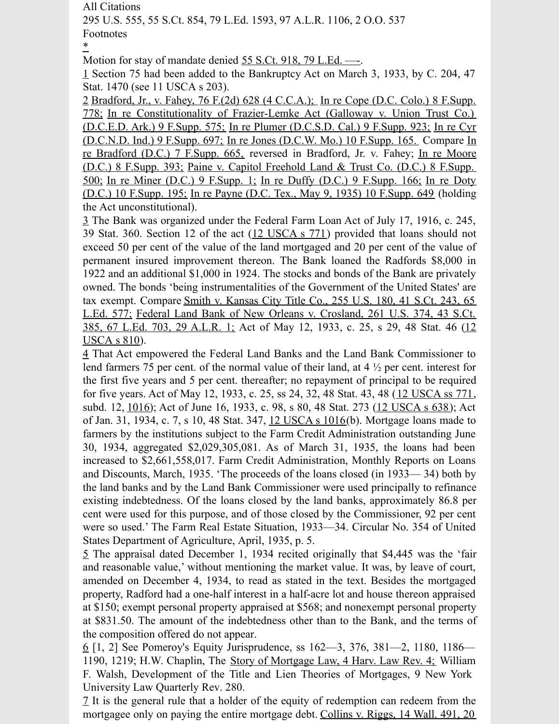All Citations 295 U.S. 555, 55 S.Ct. 854, 79 L.Ed. 1593, 97 A.L.R. 1106, 2 O.O. 537 Footnotes

[\\*](https://1.next.westlaw.com/Document/I2e311b099ca411d9bdd1cfdd544ca3a4/View/FullText.html?transitionType=UniqueDocItem&contextData=(sc.Default)&userEnteredCitation=295+us+555#co_fnRef_B0011935124038_ID0EAAAC)

Motion for stay of mandate denied 55 S.Ct. 918, 79 [L.Ed.](https://1.next.westlaw.com/Link/Document/FullText?findType=Y&pubNum=708&cite=55SCT918&originatingDoc=I2e311b099ca411d9bdd1cfdd544ca3a4&refType=RP&originationContext=document&transitionType=DocumentItem&ppcid=017ac81debd04f5598f75f207a5064fd&contextData=(sc.UserEnteredCitation)) —-.

[1](https://1.next.westlaw.com/Document/I2e311b099ca411d9bdd1cfdd544ca3a4/View/FullText.html?transitionType=UniqueDocItem&contextData=(sc.Default)&userEnteredCitation=295+us+555#co_fnRef_B00211935124038_ID0ELCAG) Section 75 had been added to the Bankruptcy Act on March 3, 1933, by C. 204, 47 Stat. 1470 (see 11 USCA s 203).

[2](https://1.next.westlaw.com/Document/I2e311b099ca411d9bdd1cfdd544ca3a4/View/FullText.html?transitionType=UniqueDocItem&contextData=(sc.Default)&userEnteredCitation=295+us+555#co_fnRef_B00321935124038_ID0EWDAG) [Bradford,](https://1.next.westlaw.com/Link/Document/FullText?findType=Y&serNum=1925121261&pubNum=350&originatingDoc=I2e311b099ca411d9bdd1cfdd544ca3a4&refType=RP&originationContext=document&transitionType=DocumentItem&ppcid=017ac81debd04f5598f75f207a5064fd&contextData=(sc.UserEnteredCitation)) Jr., v. Fahey, 76 F.(2d) 628 (4 C.C.A.); In re Cope (D.C. Colo.) 8 F.Supp. 778; In re [Constitutionality](https://1.next.westlaw.com/Link/Document/FullText?findType=Y&serNum=1934130102&pubNum=345&originatingDoc=I2e311b099ca411d9bdd1cfdd544ca3a4&refType=RP&originationContext=document&transitionType=DocumentItem&ppcid=017ac81debd04f5598f75f207a5064fd&contextData=(sc.UserEnteredCitation)) of Frazier-Lemke Act (Galloway v. Union Trust Co.) [\(D.C.E.D.](https://1.next.westlaw.com/Link/Document/FullText?findType=Y&serNum=1935130195&pubNum=345&originatingDoc=I2e311b099ca411d9bdd1cfdd544ca3a4&refType=RP&originationContext=document&transitionType=DocumentItem&ppcid=017ac81debd04f5598f75f207a5064fd&contextData=(sc.UserEnteredCitation)) Ark.) 9 F.Supp. 575; In re Plumer [\(D.C.S.D.](https://1.next.westlaw.com/Link/Document/FullText?findType=Y&serNum=1935123502&pubNum=345&originatingDoc=I2e311b099ca411d9bdd1cfdd544ca3a4&refType=RP&originationContext=document&transitionType=DocumentItem&ppcid=017ac81debd04f5598f75f207a5064fd&contextData=(sc.UserEnteredCitation)) Cal.) 9 F.Supp. 923; In re Cyr [\(D.C.N.D.](https://1.next.westlaw.com/Link/Document/FullText?findType=Y&serNum=1934122329&pubNum=345&originatingDoc=I2e311b099ca411d9bdd1cfdd544ca3a4&refType=RP&originationContext=document&transitionType=DocumentItem&ppcid=017ac81debd04f5598f75f207a5064fd&contextData=(sc.UserEnteredCitation)) Ind.) 9 F.Supp. 697; In re Jones [\(D.C.W.](https://1.next.westlaw.com/Link/Document/FullText?findType=Y&serNum=1935126051&pubNum=345&originatingDoc=I2e311b099ca411d9bdd1cfdd544ca3a4&refType=RP&originationContext=document&transitionType=DocumentItem&ppcid=017ac81debd04f5598f75f207a5064fd&contextData=(sc.UserEnteredCitation)) Mo.) 10 F.Supp. 165. Compare In re Bradford (D.C.) 7 F.Supp. 665, reversed in [Bradford,](https://1.next.westlaw.com/Link/Document/FullText?findType=Y&serNum=1934129305&pubNum=345&originatingDoc=I2e311b099ca411d9bdd1cfdd544ca3a4&refType=RP&originationContext=document&transitionType=DocumentItem&ppcid=017ac81debd04f5598f75f207a5064fd&contextData=(sc.UserEnteredCitation)) Jr. v. Fahey; In re Moore (D.C.) 8 F.Supp. 393; Paine v. Capitol [Freehold](https://1.next.westlaw.com/Link/Document/FullText?findType=Y&serNum=1934129818&pubNum=345&originatingDoc=I2e311b099ca411d9bdd1cfdd544ca3a4&refType=RP&originationContext=document&transitionType=DocumentItem&ppcid=017ac81debd04f5598f75f207a5064fd&contextData=(sc.UserEnteredCitation)) Land & Trust Co. (D.C.) 8 F.Supp. 500; In re Miner (D.C.) 9 [F.Supp.](https://1.next.westlaw.com/Link/Document/FullText?findType=Y&serNum=1935123404&pubNum=345&originatingDoc=I2e311b099ca411d9bdd1cfdd544ca3a4&refType=RP&originationContext=document&transitionType=DocumentItem&ppcid=017ac81debd04f5598f75f207a5064fd&contextData=(sc.UserEnteredCitation)) 1; In re Duffy (D.C.) 9 [F.Supp.](https://1.next.westlaw.com/Link/Document/FullText?findType=Y&serNum=1935125373&pubNum=345&originatingDoc=I2e311b099ca411d9bdd1cfdd544ca3a4&refType=RP&originationContext=document&transitionType=DocumentItem&ppcid=017ac81debd04f5598f75f207a5064fd&contextData=(sc.UserEnteredCitation)) 166; In re Doty (D.C.) 10 F.Supp. 195; In re Payne (D.C. Tex., May 9, 1935) 10 [F.Supp.](https://1.next.westlaw.com/Link/Document/FullText?findType=Y&serNum=1935126756&pubNum=345&originatingDoc=I2e311b099ca411d9bdd1cfdd544ca3a4&refType=RP&originationContext=document&transitionType=DocumentItem&ppcid=017ac81debd04f5598f75f207a5064fd&contextData=(sc.UserEnteredCitation)) 649 [\(holding](https://1.next.westlaw.com/Link/Document/FullText?findType=Y&serNum=1935125356&pubNum=345&originatingDoc=I2e311b099ca411d9bdd1cfdd544ca3a4&refType=RP&originationContext=document&transitionType=DocumentItem&ppcid=017ac81debd04f5598f75f207a5064fd&contextData=(sc.UserEnteredCitation)) the Act unconstitutional).

[3](https://1.next.westlaw.com/Document/I2e311b099ca411d9bdd1cfdd544ca3a4/View/FullText.html?transitionType=UniqueDocItem&contextData=(sc.Default)&userEnteredCitation=295+us+555#co_fnRef_B00431935124038_ID0EPJAG) The Bank was organized under the Federal Farm Loan Act of July 17, 1916, c. 245, 39 Stat. 360. Section 12 of the act (12 [USCA](https://1.next.westlaw.com/Link/Document/FullText?findType=L&pubNum=1000546&cite=12USCAS771&originatingDoc=I2e311b099ca411d9bdd1cfdd544ca3a4&refType=LQ&originationContext=document&transitionType=DocumentItem&ppcid=017ac81debd04f5598f75f207a5064fd&contextData=(sc.UserEnteredCitation)) s 771) provided that loans should not exceed 50 per cent of the value of the land mortgaged and 20 per cent of the value of permanent insured improvement thereon. The Bank loaned the Radfords \$8,000 in 1922 and an additional \$1,000 in 1924. The stocks and bonds of the Bank are privately owned. The bonds 'being instrumentalities of the Government of the United States' are tax exempt. [Compare](https://1.next.westlaw.com/Link/Document/FullText?findType=Y&serNum=1921116204&pubNum=708&originatingDoc=I2e311b099ca411d9bdd1cfdd544ca3a4&refType=RP&originationContext=document&transitionType=DocumentItem&ppcid=017ac81debd04f5598f75f207a5064fd&contextData=(sc.UserEnteredCitation)) Smith v. Kansas City Title Co., 255 U.S. 180, 41 S.Ct. 243, 65 L.Ed. 577; Federal Land Bank of New Orleans v. [Crosland,](https://1.next.westlaw.com/Link/Document/FullText?findType=Y&serNum=1923120383&pubNum=104&originatingDoc=I2e311b099ca411d9bdd1cfdd544ca3a4&refType=RP&originationContext=document&transitionType=DocumentItem&ppcid=017ac81debd04f5598f75f207a5064fd&contextData=(sc.UserEnteredCitation)) 261 U.S. 374, 43 S.Ct. 385, 67 L.Ed. 703, 29 [A.L.R.](https://1.next.westlaw.com/Link/Document/FullText?findType=L&pubNum=1000546&cite=12USCAS810&originatingDoc=I2e311b099ca411d9bdd1cfdd544ca3a4&refType=LQ&originationContext=document&transitionType=DocumentItem&ppcid=017ac81debd04f5598f75f207a5064fd&contextData=(sc.UserEnteredCitation)) 1; Act of May 12, 1933, c. 25, s 29, 48 Stat. 46 (12 USCA s 810).

[4](https://1.next.westlaw.com/Document/I2e311b099ca411d9bdd1cfdd544ca3a4/View/FullText.html?transitionType=UniqueDocItem&contextData=(sc.Default)&userEnteredCitation=295+us+555#co_fnRef_B00541935124038_ID0EPKAG) That Act empowered the Federal Land Banks and the Land Bank Commissioner to lend farmers 75 per cent. of the normal value of their land, at 4 ½ per cent. interest for the first five years and 5 per cent. thereafter; no repayment of principal to be required for five years. Act of May 12, 1933, c. 25, ss 24, 32, 48 Stat. 43, 48 (12 [USCA](https://1.next.westlaw.com/Link/Document/FullText?findType=L&pubNum=1000546&cite=12USCAS771&originatingDoc=I2e311b099ca411d9bdd1cfdd544ca3a4&refType=LQ&originationContext=document&transitionType=DocumentItem&ppcid=017ac81debd04f5598f75f207a5064fd&contextData=(sc.UserEnteredCitation)) ss 771, subd. 12, [1016](https://1.next.westlaw.com/Link/Document/FullText?findType=L&pubNum=1000546&cite=12USCAS1016&originatingDoc=I2e311b099ca411d9bdd1cfdd544ca3a4&refType=LQ&originationContext=document&transitionType=DocumentItem&ppcid=017ac81debd04f5598f75f207a5064fd&contextData=(sc.UserEnteredCitation))); Act of June 16, 1933, c. 98, s 80, 48 Stat. 273 (12 [USCA](https://1.next.westlaw.com/Link/Document/FullText?findType=L&pubNum=1000546&cite=12USCAS638&originatingDoc=I2e311b099ca411d9bdd1cfdd544ca3a4&refType=LQ&originationContext=document&transitionType=DocumentItem&ppcid=017ac81debd04f5598f75f207a5064fd&contextData=(sc.UserEnteredCitation)) s 638); Act of Jan. 31, 1934, c. 7, s 10, 48 Stat. 347, 12 [USCA](https://1.next.westlaw.com/Link/Document/FullText?findType=L&pubNum=1000546&cite=12USCAS1016&originatingDoc=I2e311b099ca411d9bdd1cfdd544ca3a4&refType=LQ&originationContext=document&transitionType=DocumentItem&ppcid=017ac81debd04f5598f75f207a5064fd&contextData=(sc.UserEnteredCitation)) s 1016(b). Mortgage loans made to farmers by the institutions subject to the Farm Credit Administration outstanding June 30, 1934, aggregated \$2,029,305,081. As of March 31, 1935, the loans had been increased to \$2,661,558,017. Farm Credit Administration, Monthly Reports on Loans and Discounts, March, 1935. 'The proceeds of the loans closed (in 1933— 34) both by the land banks and by the Land Bank Commissioner were used principally to refinance existing indebtedness. Of the loans closed by the land banks, approximately 86.8 per cent were used for this purpose, and of those closed by the Commissioner, 92 per cent were so used.' The Farm Real Estate Situation, 1933—34. Circular No. 354 of United States Department of Agriculture, April, 1935, p. 5.

[5](https://1.next.westlaw.com/Document/I2e311b099ca411d9bdd1cfdd544ca3a4/View/FullText.html?transitionType=UniqueDocItem&contextData=(sc.Default)&userEnteredCitation=295+us+555#co_fnRef_B00651935124038_ID0EXUAG) The appraisal dated December 1, 1934 recited originally that \$4,445 was the 'fair and reasonable value,' without mentioning the market value. It was, by leave of court, amended on December 4, 1934, to read as stated in the text. Besides the mortgaged property, Radford had a one-half interest in a half-acre lot and house thereon appraised at \$150; exempt personal property appraised at \$568; and nonexempt personal property at \$831.50. The amount of the indebtedness other than to the Bank, and the terms of the composition offered do not appear.

[6](https://1.next.westlaw.com/Document/I2e311b099ca411d9bdd1cfdd544ca3a4/View/FullText.html?transitionType=UniqueDocItem&contextData=(sc.Default)&userEnteredCitation=295+us+555#co_fnRef_B00761935124038_ID0E1ZAG) [1, 2] See Pomeroy's Equity Jurisprudence, ss 162—3, 376, 381—2, 1180, 1186— 1190, 1219; H.W. Chaplin, The Story of [Mortgage](https://1.next.westlaw.com/Link/Document/FullText?findType=Y&serNum=0345587467&pubNum=3084&originatingDoc=I2e311b099ca411d9bdd1cfdd544ca3a4&refType=LR&originationContext=document&transitionType=DocumentItem&ppcid=017ac81debd04f5598f75f207a5064fd&contextData=(sc.UserEnteredCitation)) Law, 4 Harv. Law Rev. 4; William F. Walsh, Development of the Title and Lien Theories of Mortgages, 9 New York University Law Quarterly Rev. 280.

[7](https://1.next.westlaw.com/Document/I2e311b099ca411d9bdd1cfdd544ca3a4/View/FullText.html?transitionType=UniqueDocItem&contextData=(sc.Default)&userEnteredCitation=295+us+555#co_fnRef_B00871935124038_ID0EP1AG) It is the general rule that a holder of the equity of redemption can redeem from the [mortgagee](https://1.next.westlaw.com/Link/Document/FullText?findType=Y&serNum=1871149409&pubNum=780&originatingDoc=I2e311b099ca411d9bdd1cfdd544ca3a4&refType=RP&originationContext=document&transitionType=DocumentItem&ppcid=017ac81debd04f5598f75f207a5064fd&contextData=(sc.UserEnteredCitation)) only on paying the entire mortgage debt. Collins v. Riggs, 14 Wall. 491, 20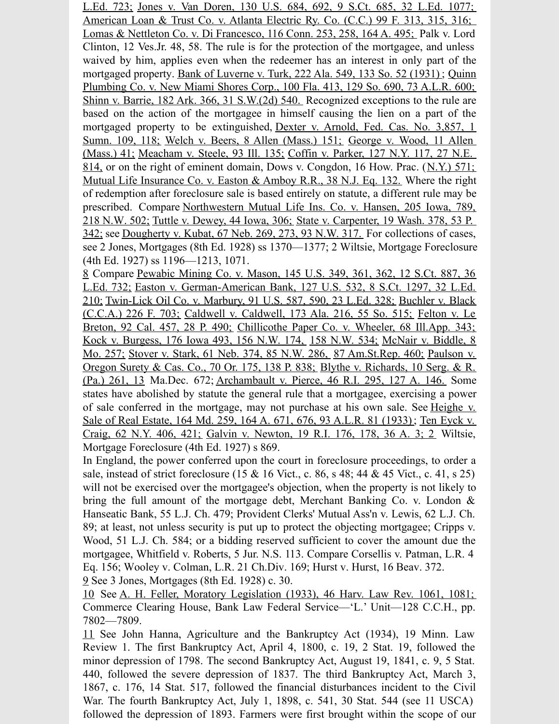L.Ed. 723; Jones v. Van [Doren,](https://1.next.westlaw.com/Link/Document/FullText?findType=Y&serNum=1889180181&pubNum=708&originatingDoc=I2e311b099ca411d9bdd1cfdd544ca3a4&refType=RP&originationContext=document&transitionType=DocumentItem&ppcid=017ac81debd04f5598f75f207a5064fd&contextData=(sc.UserEnteredCitation)) 130 U.S. 684, 692, 9 S.Ct. 685, 32 L.Ed. 1077; [American](https://1.next.westlaw.com/Link/Document/FullText?findType=Y&serNum=1800144317&pubNum=348&originatingDoc=I2e311b099ca411d9bdd1cfdd544ca3a4&refType=RP&fi=co_pp_sp_348_315&originationContext=document&transitionType=DocumentItem&ppcid=017ac81debd04f5598f75f207a5064fd&contextData=(sc.UserEnteredCitation)#co_pp_sp_348_315) Loan & Trust Co. v. Atlanta Electric Ry. Co. (C.C.) 99 F. 313, 315, 316; Lomas & Nettleton Co. v. Di [Francesco,](https://1.next.westlaw.com/Link/Document/FullText?findType=Y&serNum=1933116360&pubNum=161&originatingDoc=I2e311b099ca411d9bdd1cfdd544ca3a4&refType=RP&originationContext=document&transitionType=DocumentItem&ppcid=017ac81debd04f5598f75f207a5064fd&contextData=(sc.UserEnteredCitation)) 116 Conn. 253, 258, 164 A. 495; Palk v. Lord Clinton, 12 Ves.Jr. 48, 58. The rule is for the protection of the mortgagee, and unless waived by him, applies even when the redeemer has an interest in only part of the [mortgaged](https://1.next.westlaw.com/Link/Document/FullText?findType=Y&serNum=1930111375&pubNum=104&originatingDoc=I2e311b099ca411d9bdd1cfdd544ca3a4&refType=RP&originationContext=document&transitionType=DocumentItem&ppcid=017ac81debd04f5598f75f207a5064fd&contextData=(sc.UserEnteredCitation)) property. Bank of [Luverne](https://1.next.westlaw.com/Link/Document/FullText?findType=Y&serNum=1931109539&pubNum=734&originatingDoc=I2e311b099ca411d9bdd1cfdd544ca3a4&refType=RP&originationContext=document&transitionType=DocumentItem&ppcid=017ac81debd04f5598f75f207a5064fd&contextData=(sc.UserEnteredCitation)) v. Turk, 222 Ala. 549, 133 So. 52 (1931) ; Quinn Plumbing Co. v. New Miami Shores Corp., 100 Fla. 413, 129 So. 690, 73 A.L.R. 600; Shinn v. Barrie, 182 Ark. 366, 31 [S.W.\(2d\)](https://1.next.westlaw.com/Link/Document/FullText?findType=Y&serNum=1930117583&pubNum=713&originatingDoc=I2e311b099ca411d9bdd1cfdd544ca3a4&refType=RP&originationContext=document&transitionType=DocumentItem&ppcid=017ac81debd04f5598f75f207a5064fd&contextData=(sc.UserEnteredCitation)) 540. Recognized exceptions to the rule are based on the action of the mortgagee in himself causing the lien on a part of the mortgaged property to be [extinguished,](https://1.next.westlaw.com/Link/Document/FullText?findType=Y&serNum=1800151067&pubNum=748&originatingDoc=I2e311b099ca411d9bdd1cfdd544ca3a4&refType=RP&fi=co_pp_sp_748_118&originationContext=document&transitionType=DocumentItem&ppcid=017ac81debd04f5598f75f207a5064fd&contextData=(sc.UserEnteredCitation)#co_pp_sp_748_118) Dexter v. Arnold, Fed. Cas. No. 3,857, 1 Sumn. 109, 118; Welch v. Beers, 8 Allen [\(Mass.\)](https://1.next.westlaw.com/Link/Document/FullText?findType=Y&serNum=1864007748&pubNum=2129&originatingDoc=I2e311b099ca411d9bdd1cfdd544ca3a4&refType=RP&originationContext=document&transitionType=DocumentItem&ppcid=017ac81debd04f5598f75f207a5064fd&contextData=(sc.UserEnteredCitation)) 151; George v. Wood, 11 Allen (Mass.) 41; [Meacham](https://1.next.westlaw.com/Link/Document/FullText?findType=Y&serNum=1865007786&pubNum=2129&originatingDoc=I2e311b099ca411d9bdd1cfdd544ca3a4&refType=RP&originationContext=document&transitionType=DocumentItem&ppcid=017ac81debd04f5598f75f207a5064fd&contextData=(sc.UserEnteredCitation)) v. Steele, 93 Ill. 135; Coffin v. Parker, 127 N.Y. 117, 27 N.E. 814, or on the right of eminent domain, Dows v. [Congdon,](https://1.next.westlaw.com/Link/Document/FullText?findType=Y&serNum=1884022125&pubNum=585&originatingDoc=I2e311b099ca411d9bdd1cfdd544ca3a4&refType=RP&originationContext=document&transitionType=DocumentItem&ppcid=017ac81debd04f5598f75f207a5064fd&contextData=(sc.UserEnteredCitation)) 16 How. Prac. (N.Y.) 571; Mutual Life Insurance Co. v. Easton & Amboy R.R., 38 N.J. Eq. 132. Where the right of redemption after foreclosure sale is based entirely on statute, a different rule may be prescribed. Compare [Northwestern](https://1.next.westlaw.com/Link/Document/FullText?findType=Y&serNum=1928109896&pubNum=594&originatingDoc=I2e311b099ca411d9bdd1cfdd544ca3a4&refType=RP&originationContext=document&transitionType=DocumentItem&ppcid=017ac81debd04f5598f75f207a5064fd&contextData=(sc.UserEnteredCitation)) Mutual Life Ins. Co. v. Hansen, 205 Iowa, 789, 218 N.W. 502; Tuttle v. [Dewey,](https://1.next.westlaw.com/Link/Document/FullText?findType=Y&serNum=1876003231&pubNum=444&originatingDoc=I2e311b099ca411d9bdd1cfdd544ca3a4&refType=RP&originationContext=document&transitionType=DocumentItem&ppcid=017ac81debd04f5598f75f207a5064fd&contextData=(sc.UserEnteredCitation)) 44 Iowa, 306; State v. Carpenter, 19 Wash. 378, 53 P. 342; see [Dougherty](https://1.next.westlaw.com/Link/Document/FullText?findType=Y&serNum=1903007043&pubNum=594&originatingDoc=I2e311b099ca411d9bdd1cfdd544ca3a4&refType=RP&originationContext=document&transitionType=DocumentItem&ppcid=017ac81debd04f5598f75f207a5064fd&contextData=(sc.UserEnteredCitation)) v. Kubat, 67 Neb. 269, 273, 93 N.W. 317. For [collections](https://1.next.westlaw.com/Link/Document/FullText?findType=Y&serNum=1898012661&pubNum=660&originatingDoc=I2e311b099ca411d9bdd1cfdd544ca3a4&refType=RP&originationContext=document&transitionType=DocumentItem&ppcid=017ac81debd04f5598f75f207a5064fd&contextData=(sc.UserEnteredCitation)) of cases, see 2 Jones, Mortgages (8th Ed. 1928) ss 1370—1377; 2 Wiltsie, Mortgage Foreclosure (4th Ed. 1927) ss 1196—1213, 1071.

[8](https://1.next.westlaw.com/Document/I2e311b099ca411d9bdd1cfdd544ca3a4/View/FullText.html?transitionType=UniqueDocItem&contextData=(sc.Default)&userEnteredCitation=295+us+555#co_fnRef_B00981935124038_ID0EWBBG) Compare Pewabic Mining Co. v. Mason, 145 U.S. 349, 361, 362, 12 S.Ct. 887, 36 L.Ed. 732; Easton v. [German-American](https://1.next.westlaw.com/Link/Document/FullText?findType=Y&serNum=1892180043&pubNum=708&originatingDoc=I2e311b099ca411d9bdd1cfdd544ca3a4&refType=RP&originationContext=document&transitionType=DocumentItem&ppcid=017ac81debd04f5598f75f207a5064fd&contextData=(sc.UserEnteredCitation)) Bank, 127 U.S. 532, 8 S.Ct. 1297, 32 L.Ed. 210; [Twin-Lick](https://1.next.westlaw.com/Link/Document/FullText?findType=Y&serNum=1915102508&pubNum=5297&originatingDoc=I2e311b099ca411d9bdd1cfdd544ca3a4&refType=RP&originationContext=document&transitionType=DocumentItem&ppcid=017ac81debd04f5598f75f207a5064fd&contextData=(sc.UserEnteredCitation)) Oil Co. v. Marbury, 91 U.S. 587, 590, 23 L.Ed. 328; Buchler v. Black (C.C.A.) 226 F. 703; Caldwell v. [Caldwell,](https://1.next.westlaw.com/Link/Document/FullText?findType=Y&serNum=1911014758&pubNum=734&originatingDoc=I2e311b099ca411d9bdd1cfdd544ca3a4&refType=RP&originationContext=document&transitionType=DocumentItem&ppcid=017ac81debd04f5598f75f207a5064fd&contextData=(sc.UserEnteredCitation)) 173 Ala. 216, 55 So. 515; Felton v. Le Breton, 92 Cal. 457, 28 P. 490; [Chillicothe](https://1.next.westlaw.com/Link/Document/FullText?findType=Y&serNum=1891003102&pubNum=660&originatingDoc=I2e311b099ca411d9bdd1cfdd544ca3a4&refType=RP&originationContext=document&transitionType=DocumentItem&ppcid=017ac81debd04f5598f75f207a5064fd&contextData=(sc.UserEnteredCitation)) Paper Co. v. Wheeler, 68 Ill.App. 343; Kock v. [Burgess,](https://1.next.westlaw.com/Link/Document/FullText?findType=Y&serNum=1916012007&pubNum=594&originatingDoc=I2e311b099ca411d9bdd1cfdd544ca3a4&refType=RP&originationContext=document&transitionType=DocumentItem&ppcid=017ac81debd04f5598f75f207a5064fd&contextData=(sc.UserEnteredCitation)) 176 Iowa 493, 156 N.W. 174, 158 [N.W.](https://1.next.westlaw.com/Link/Document/FullText?findType=Y&serNum=1916012165&pubNum=594&originatingDoc=I2e311b099ca411d9bdd1cfdd544ca3a4&refType=RP&originationContext=document&transitionType=DocumentItem&ppcid=017ac81debd04f5598f75f207a5064fd&contextData=(sc.UserEnteredCitation)) 534; McNair v. Biddle, 8 Mo. 257; [Stover](https://1.next.westlaw.com/Link/Document/FullText?findType=Y&serNum=1901006800&pubNum=594&originatingDoc=I2e311b099ca411d9bdd1cfdd544ca3a4&refType=RP&originationContext=document&transitionType=DocumentItem&ppcid=017ac81debd04f5598f75f207a5064fd&contextData=(sc.UserEnteredCitation)) v. Stark, 61 Neb. 374, 85 N.W. 286, 87 [Am.St.Rep.](https://1.next.westlaw.com/Link/Document/FullText?findType=Y&serNum=1843007008&pubNum=555&originatingDoc=I2e311b099ca411d9bdd1cfdd544ca3a4&refType=RP&originationContext=document&transitionType=DocumentItem&ppcid=017ac81debd04f5598f75f207a5064fd&contextData=(sc.UserEnteredCitation)) 460; Paulson v. Oregon Surety & Cas. Co., 70 Or. 175, 138 P. 838; Blythe v. Richards, 10 Serg. & R. (Pa.) 261, 13 Ma.Dec. 672; [Archambault](https://1.next.westlaw.com/Link/Document/FullText?findType=Y&serNum=1823005254&pubNum=2704&originatingDoc=I2e311b099ca411d9bdd1cfdd544ca3a4&refType=RP&originationContext=document&transitionType=DocumentItem&ppcid=017ac81debd04f5598f75f207a5064fd&contextData=(sc.UserEnteredCitation)) v. Pierce, 46 R.I. 295, 127 A. 146. Some states have abolished by statute the general rule that a mortgagee, exercising a power of sale conferred in the [mortgage,](https://1.next.westlaw.com/Link/Document/FullText?findType=Y&serNum=1933115973&pubNum=104&originatingDoc=I2e311b099ca411d9bdd1cfdd544ca3a4&refType=RP&originationContext=document&transitionType=DocumentItem&ppcid=017ac81debd04f5598f75f207a5064fd&contextData=(sc.UserEnteredCitation)) may not purchase at his own sale. See Heighe v. Sale of Real Estate, 164 Md. 259, 164 A. 671, 676, 93 A.L.R. 81 (1933); Ten Eyck v. Craig, 62 N.Y. 406, 421; Galvin v. [Newton,](https://1.next.westlaw.com/Link/Document/FullText?findType=Y&serNum=1875018784&pubNum=596&originatingDoc=I2e311b099ca411d9bdd1cfdd544ca3a4&refType=RP&fi=co_pp_sp_596_421&originationContext=document&transitionType=DocumentItem&ppcid=017ac81debd04f5598f75f207a5064fd&contextData=(sc.UserEnteredCitation)#co_pp_sp_596_421) 19 R.I. 176, 178, 36 A. 3; 2 Wiltsie, Mortgage Foreclosure (4th Ed. 1927) s 869.

In England, the power conferred upon the court in foreclosure proceedings, to order a sale, instead of strict foreclosure (15 & 16 Vict., c. 86, s 48; 44 & 45 Vict., c. 41, s 25) will not be exercised over the mortgagee's objection, when the property is not likely to bring the full amount of the mortgage debt, Merchant Banking Co. v. London & Hanseatic Bank, 55 L.J. Ch. 479; Provident Clerks' Mutual Ass'n v. Lewis, 62 L.J. Ch. 89; at least, not unless security is put up to protect the objecting mortgagee; Cripps v. Wood, 51 L.J. Ch. 584; or a bidding reserved sufficient to cover the amount due the mortgagee, Whitfield v. Roberts, 5 Jur. N.S. 113. Compare Corsellis v. Patman, L.R. 4 Eq. 156; Wooley v. Colman, L.R. 21 Ch.Div. 169; Hurst v. Hurst, 16 Beav. 372. [9](https://1.next.westlaw.com/Document/I2e311b099ca411d9bdd1cfdd544ca3a4/View/FullText.html?transitionType=UniqueDocItem&contextData=(sc.Default)&userEnteredCitation=295+us+555#co_fnRef_B01091935124038_ID0EFCBG) See 3 Jones, Mortgages (8th Ed. 1928) c. 30.

[10](https://1.next.westlaw.com/Document/I2e311b099ca411d9bdd1cfdd544ca3a4/View/FullText.html?transitionType=UniqueDocItem&contextData=(sc.Default)&userEnteredCitation=295+us+555#co_fnRef_B011101935124038_ID0EPCBG) See A. H. Feller, Moratory [Legislation](https://1.next.westlaw.com/Link/Document/FullText?findType=Y&serNum=0345326826&pubNum=3084&originatingDoc=I2e311b099ca411d9bdd1cfdd544ca3a4&refType=LR&fi=co_pp_sp_3084_1081&originationContext=document&transitionType=DocumentItem&ppcid=017ac81debd04f5598f75f207a5064fd&contextData=(sc.UserEnteredCitation)#co_pp_sp_3084_1081) (1933), 46 Harv. Law Rev. 1061, 1081; Commerce Clearing House, Bank Law Federal Service—'L.' Unit—128 C.C.H., pp. 7802—7809.

[11](https://1.next.westlaw.com/Document/I2e311b099ca411d9bdd1cfdd544ca3a4/View/FullText.html?transitionType=UniqueDocItem&contextData=(sc.Default)&userEnteredCitation=295+us+555#co_fnRef_B012111935124038_ID0EDLBG) See John Hanna, Agriculture and the Bankruptcy Act (1934), 19 Minn. Law Review 1. The first Bankruptcy Act, April 4, 1800, c. 19, 2 Stat. 19, followed the minor depression of 1798. The second Bankruptcy Act, August 19, 1841, c. 9, 5 Stat. 440, followed the severe depression of 1837. The third Bankruptcy Act, March 3, 1867, c. 176, 14 Stat. 517, followed the financial disturbances incident to the Civil War. The fourth Bankruptcy Act, July 1, 1898, c. 541, 30 Stat. 544 (see 11 USCA) followed the depression of 1893. Farmers were first brought within the scope of our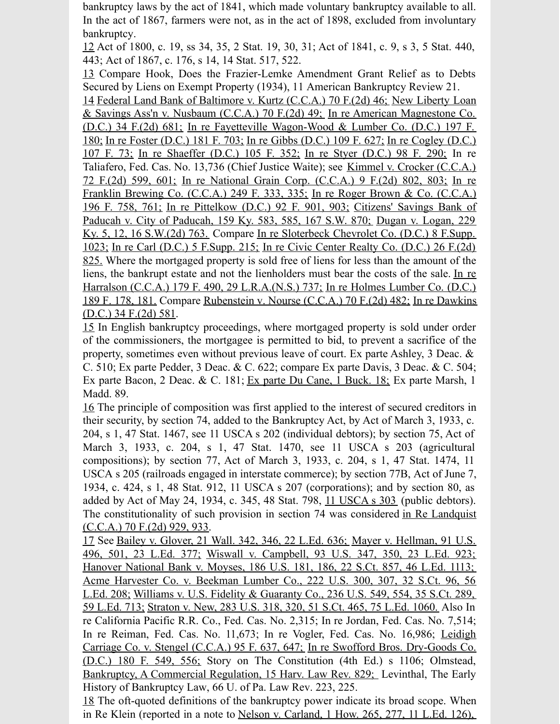bankruptcy laws by the act of 1841, which made voluntary bankruptcy available to all. In the act of 1867, farmers were not, as in the act of 1898, excluded from involuntary bankruptcy.

[12](https://1.next.westlaw.com/Document/I2e311b099ca411d9bdd1cfdd544ca3a4/View/FullText.html?transitionType=UniqueDocItem&contextData=(sc.Default)&userEnteredCitation=295+us+555#co_fnRef_B013121935124038_ID0EXLBG) Act of 1800, c. 19, ss 34, 35, 2 Stat. 19, 30, 31; Act of 1841, c. 9, s 3, 5 Stat. 440, 443; Act of 1867, c. 176, s 14, 14 Stat. 517, 522.

[13](https://1.next.westlaw.com/Document/I2e311b099ca411d9bdd1cfdd544ca3a4/View/FullText.html?transitionType=UniqueDocItem&contextData=(sc.Default)&userEnteredCitation=295+us+555#co_fnRef_B014131935124038_ID0E2NBG) Compare Hook, Does the Frazier-Lemke Amendment Grant Relief as to Debts Secured by Liens on Exempt Property (1934), 11 American Bankruptcy Review 21.

[14](https://1.next.westlaw.com/Document/I2e311b099ca411d9bdd1cfdd544ca3a4/View/FullText.html?transitionType=UniqueDocItem&contextData=(sc.Default)&userEnteredCitation=295+us+555#co_fnRef_B015141935124038_ID0EDVBG) Federal Land Bank of [Baltimore](https://1.next.westlaw.com/Link/Document/FullText?findType=Y&serNum=1934126938&pubNum=5297&originatingDoc=I2e311b099ca411d9bdd1cfdd544ca3a4&refType=RP&originationContext=document&transitionType=DocumentItem&ppcid=017ac81debd04f5598f75f207a5064fd&contextData=(sc.UserEnteredCitation)) v. Kurtz (C.C.A.) 70 F.(2d) 46; New Liberty Loan & Savings Ass'n v. Nusbaum (C.C.A.) 70 F.(2d) 49; In re American [Magnestone](https://1.next.westlaw.com/Link/Document/FullText?findType=Y&serNum=1934129575&pubNum=5297&originatingDoc=I2e311b099ca411d9bdd1cfdd544ca3a4&refType=RP&originationContext=document&transitionType=DocumentItem&ppcid=017ac81debd04f5598f75f207a5064fd&contextData=(sc.UserEnteredCitation)) Co. (D.C.) 34 F.(2d) 681; In re Fayetteville [Wagon-Wood](https://1.next.westlaw.com/Link/Document/FullText?findType=Y&serNum=1912100184&pubNum=348&originatingDoc=I2e311b099ca411d9bdd1cfdd544ca3a4&refType=RP&originationContext=document&transitionType=DocumentItem&ppcid=017ac81debd04f5598f75f207a5064fd&contextData=(sc.UserEnteredCitation)) & Lumber Co. (D.C.) 197 F. 180; In re Foster [\(D.C.\)](https://1.next.westlaw.com/Link/Document/FullText?findType=Y&serNum=1910100210&pubNum=348&originatingDoc=I2e311b099ca411d9bdd1cfdd544ca3a4&refType=RP&originationContext=document&transitionType=DocumentItem&ppcid=017ac81debd04f5598f75f207a5064fd&contextData=(sc.UserEnteredCitation)) 181 F. 703; In re Gibbs [\(D.C.\)](https://1.next.westlaw.com/Link/Document/FullText?findType=Y&serNum=1901104108&pubNum=348&originatingDoc=I2e311b099ca411d9bdd1cfdd544ca3a4&refType=RP&originationContext=document&transitionType=DocumentItem&ppcid=017ac81debd04f5598f75f207a5064fd&contextData=(sc.UserEnteredCitation)) 109 F. 627; In re Cogley (D.C.) 107 F. 73; In re [Shaeffer](https://1.next.westlaw.com/Link/Document/FullText?findType=Y&serNum=1901105729&pubNum=348&originatingDoc=I2e311b099ca411d9bdd1cfdd544ca3a4&refType=RP&originationContext=document&transitionType=DocumentItem&ppcid=017ac81debd04f5598f75f207a5064fd&contextData=(sc.UserEnteredCitation)) (D.C.) 105 F. 352; In re Styer [\(D.C.\)](https://1.next.westlaw.com/Link/Document/FullText?findType=Y&serNum=1899132487&pubNum=348&originatingDoc=I2e311b099ca411d9bdd1cfdd544ca3a4&refType=RP&originationContext=document&transitionType=DocumentItem&ppcid=017ac81debd04f5598f75f207a5064fd&contextData=(sc.UserEnteredCitation)) 98 F. 290; In re [Taliafero,](https://1.next.westlaw.com/Link/Document/FullText?findType=Y&serNum=1934128390&pubNum=5297&originatingDoc=I2e311b099ca411d9bdd1cfdd544ca3a4&refType=RP&originationContext=document&transitionType=DocumentItem&ppcid=017ac81debd04f5598f75f207a5064fd&contextData=(sc.UserEnteredCitation)) Fed. Cas. No. 13,736 (Chief Justice Waite); see Kimmel v. Crocker (C.C.A.) 72 F.(2d) 599, 601; In re National Grain Corp. [\(C.C.A.\)](https://1.next.westlaw.com/Link/Document/FullText?findType=Y&serNum=1926125060&pubNum=5297&originatingDoc=I2e311b099ca411d9bdd1cfdd544ca3a4&refType=RP&originationContext=document&transitionType=DocumentItem&ppcid=017ac81debd04f5598f75f207a5064fd&contextData=(sc.UserEnteredCitation)) 9 F.(2d) 802, 803; In re Franklin Brewing Co. (C.C.A.) 249 F. 333, 335; In re Roger Brown & Co. (C.C.A.) 196 F. 758, 761; In re [Pittelkow](https://1.next.westlaw.com/Link/Document/FullText?findType=Y&serNum=1899147762&pubNum=348&originatingDoc=I2e311b099ca411d9bdd1cfdd544ca3a4&refType=RP&fi=co_pp_sp_348_903&originationContext=document&transitionType=DocumentItem&ppcid=017ac81debd04f5598f75f207a5064fd&contextData=(sc.UserEnteredCitation)#co_pp_sp_348_903) (D.C.) 92 F. 901, 903; Citizens' Savings Bank of Paducah v. City of Paducah, 159 Ky. 583, 585, 167 S.W. 870; Dugan v. Logan, 229 Ky. 5, 12, 16 S.W.(2d) 763. Compare In re [Sloterbeck](https://1.next.westlaw.com/Link/Document/FullText?findType=Y&serNum=1935127167&pubNum=345&originatingDoc=I2e311b099ca411d9bdd1cfdd544ca3a4&refType=RP&originationContext=document&transitionType=DocumentItem&ppcid=017ac81debd04f5598f75f207a5064fd&contextData=(sc.UserEnteredCitation)) Chevrolet Co. (D.C.) 8 F.Supp. 1023; In re Carl (D.C.) 5 [F.Supp.](https://1.next.westlaw.com/Link/Document/FullText?findType=Y&serNum=1933134751&pubNum=345&originatingDoc=I2e311b099ca411d9bdd1cfdd544ca3a4&refType=RP&originationContext=document&transitionType=DocumentItem&ppcid=017ac81debd04f5598f75f207a5064fd&contextData=(sc.UserEnteredCitation)) 215; In re Civic Center Realty Co. (D.C.) 26 F.(2d) 825. Where the [mortgaged](https://1.next.westlaw.com/Link/Document/FullText?findType=Y&serNum=1928132012&pubNum=350&originatingDoc=I2e311b099ca411d9bdd1cfdd544ca3a4&refType=RP&originationContext=document&transitionType=DocumentItem&ppcid=017ac81debd04f5598f75f207a5064fd&contextData=(sc.UserEnteredCitation)) property is sold free of liens for less than the amount of the liens, the bankrupt estate and not the lienholders must bear the costs of the sale. In re Harralson (C.C.A.) 179 F. 490, 29 [L.R.A.\(N.S.\)](https://1.next.westlaw.com/Link/Document/FullText?findType=Y&serNum=1910100607&pubNum=5297&originatingDoc=I2e311b099ca411d9bdd1cfdd544ca3a4&refType=RP&originationContext=document&transitionType=DocumentItem&ppcid=017ac81debd04f5598f75f207a5064fd&contextData=(sc.UserEnteredCitation)) 737; In re Holmes Lumber Co. (D.C.) 189 F. 178, 181. Compare [Rubenstein](https://1.next.westlaw.com/Link/Document/FullText?findType=Y&serNum=1929127900&pubNum=350&originatingDoc=I2e311b099ca411d9bdd1cfdd544ca3a4&refType=RP&originationContext=document&transitionType=DocumentItem&ppcid=017ac81debd04f5598f75f207a5064fd&contextData=(sc.UserEnteredCitation)) v. Nourse (C.C.A.) 70 F.(2d) 482; In re Dawkins (D.C.) 34 F.(2d) 581.

[15](https://1.next.westlaw.com/Document/I2e311b099ca411d9bdd1cfdd544ca3a4/View/FullText.html?transitionType=UniqueDocItem&contextData=(sc.Default)&userEnteredCitation=295+us+555#co_fnRef_B016151935124038_ID0EVVBG) In English bankruptcy proceedings, where mortgaged property is sold under order of the commissioners, the mortgagee is permitted to bid, to prevent a sacrifice of the property, sometimes even without previous leave of court. Ex parte Ashley, 3 Deac. & C. 510; Ex parte Pedder, 3 Deac. & C. 622; compare Ex parte Davis, 3 Deac. & C. 504; Ex parte Bacon, 2 Deac. & C. 181; Ex parte Du Cane, 1 [Buck.](https://1.next.westlaw.com/Link/Document/FullText?findType=Y&serNum=1951003971&pubNum=207&originatingDoc=I2e311b099ca411d9bdd1cfdd544ca3a4&refType=RP&originationContext=document&transitionType=DocumentItem&ppcid=017ac81debd04f5598f75f207a5064fd&contextData=(sc.UserEnteredCitation)) 18; Ex parte Marsh, 1 Madd. 89.

[16](https://1.next.westlaw.com/Document/I2e311b099ca411d9bdd1cfdd544ca3a4/View/FullText.html?transitionType=UniqueDocItem&contextData=(sc.Default)&userEnteredCitation=295+us+555#co_fnRef_B017161935124038_ID0EVCAI) The principle of composition was first applied to the interest of secured creditors in their security, by section 74, added to the Bankruptcy Act, by Act of March 3, 1933, c. 204, s 1, 47 Stat. 1467, see 11 USCA s 202 (individual debtors); by section 75, Act of March 3, 1933, c. 204, s 1, 47 Stat. 1470, see 11 USCA s 203 (agricultural compositions); by section 77, Act of March 3, 1933, c. 204, s 1, 47 Stat. 1474, 11 USCA s 205 (railroads engaged in interstate commerce); by section 77B, Act of June 7, 1934, c. 424, s 1, 48 Stat. 912, 11 USCA s 207 (corporations); and by section 80, as added by Act of May 24, 1934, c. 345, 48 Stat. 798, 11 [USCA](https://1.next.westlaw.com/Link/Document/FullText?findType=L&pubNum=1000546&cite=11USCAS303&originatingDoc=I2e311b099ca411d9bdd1cfdd544ca3a4&refType=LQ&originationContext=document&transitionType=DocumentItem&ppcid=017ac81debd04f5598f75f207a5064fd&contextData=(sc.UserEnteredCitation)) s 303 (public debtors). The [constitutionality](https://1.next.westlaw.com/Link/Document/FullText?findType=Y&serNum=1934128493&pubNum=5297&originatingDoc=I2e311b099ca411d9bdd1cfdd544ca3a4&refType=RP&originationContext=document&transitionType=DocumentItem&ppcid=017ac81debd04f5598f75f207a5064fd&contextData=(sc.UserEnteredCitation)) of such provision in section 74 was considered in Re Landquist (C.C.A.) 70 F.(2d) 929, 933.

[17](https://1.next.westlaw.com/Document/I2e311b099ca411d9bdd1cfdd544ca3a4/View/FullText.html?transitionType=UniqueDocItem&contextData=(sc.Default)&userEnteredCitation=295+us+555#co_fnRef_B018171935124038_ID0EYHAI) See Bailey v. [Glover,](https://1.next.westlaw.com/Link/Document/FullText?findType=Y&serNum=1874145124&pubNum=780&originatingDoc=I2e311b099ca411d9bdd1cfdd544ca3a4&refType=RP&fi=co_pp_sp_780_346&originationContext=document&transitionType=DocumentItem&ppcid=017ac81debd04f5598f75f207a5064fd&contextData=(sc.UserEnteredCitation)#co_pp_sp_780_346) 21 Wall. 342, 346, 22 L.Ed. 636; Mayer v. Hellman, 91 U.S. 496, 501, 23 L.Ed. 377; Wiswall v. [Campbell,](https://1.next.westlaw.com/Link/Document/FullText?findType=Y&serNum=1875194445&pubNum=780&originatingDoc=I2e311b099ca411d9bdd1cfdd544ca3a4&refType=RP&fi=co_pp_sp_780_501&originationContext=document&transitionType=DocumentItem&ppcid=017ac81debd04f5598f75f207a5064fd&contextData=(sc.UserEnteredCitation)#co_pp_sp_780_501) 93 U.S. 347, 350, 23 L.Ed. 923; Hanover [National](https://1.next.westlaw.com/Link/Document/FullText?findType=Y&serNum=1902100355&pubNum=708&originatingDoc=I2e311b099ca411d9bdd1cfdd544ca3a4&refType=RP&originationContext=document&transitionType=DocumentItem&ppcid=017ac81debd04f5598f75f207a5064fd&contextData=(sc.UserEnteredCitation)) Bank v. Moyses, 186 U.S. 181, 186, 22 S.Ct. 857, 46 L.Ed. 1113; Acme [Harvester](https://1.next.westlaw.com/Link/Document/FullText?findType=Y&serNum=1911103529&pubNum=708&originatingDoc=I2e311b099ca411d9bdd1cfdd544ca3a4&refType=RP&originationContext=document&transitionType=DocumentItem&ppcid=017ac81debd04f5598f75f207a5064fd&contextData=(sc.UserEnteredCitation)) Co. v. Beekman Lumber Co., 222 U.S. 300, 307, 32 S.Ct. 96, 56 L.Ed. 208; Williams v. U.S. Fidelity & [Guaranty](https://1.next.westlaw.com/Link/Document/FullText?findType=Y&serNum=1915100580&pubNum=708&originatingDoc=I2e311b099ca411d9bdd1cfdd544ca3a4&refType=RP&originationContext=document&transitionType=DocumentItem&ppcid=017ac81debd04f5598f75f207a5064fd&contextData=(sc.UserEnteredCitation)) Co., 236 U.S. 549, 554, 35 S.Ct. 289, 59 L.Ed. 713; [Straton](https://1.next.westlaw.com/Link/Document/FullText?findType=Y&serNum=1931123957&pubNum=708&originatingDoc=I2e311b099ca411d9bdd1cfdd544ca3a4&refType=RP&originationContext=document&transitionType=DocumentItem&ppcid=017ac81debd04f5598f75f207a5064fd&contextData=(sc.UserEnteredCitation)) v. New, 283 U.S. 318, 320, 51 S.Ct. 465, 75 L.Ed. 1060. Also In re California Pacific R.R. Co., Fed. Cas. No. 2,315; In re Jordan, Fed. Cas. No. 7,514; In re Reiman, Fed. Cas. No. 11,673; In re Vogler, Fed. Cas. No. 16,986; Leidigh Carriage Co. v. Stengel (C.C.A.) 95 F. 637, 647; In re Swofford Bros. [Dry-Goods](https://1.next.westlaw.com/Link/Document/FullText?findType=Y&serNum=1899147419&pubNum=5297&originatingDoc=I2e311b099ca411d9bdd1cfdd544ca3a4&refType=RP&originationContext=document&transitionType=DocumentItem&ppcid=017ac81debd04f5598f75f207a5064fd&contextData=(sc.UserEnteredCitation)) Co. (D.C.) 180 F. 549, 556; Story on The [Constitution](https://1.next.westlaw.com/Link/Document/FullText?findType=Y&serNum=1920107848&pubNum=348&originatingDoc=I2e311b099ca411d9bdd1cfdd544ca3a4&refType=RP&fi=co_pp_sp_348_556&originationContext=document&transitionType=DocumentItem&ppcid=017ac81debd04f5598f75f207a5064fd&contextData=(sc.UserEnteredCitation)#co_pp_sp_348_556) (4th Ed.) s 1106; Olmstead, Bankruptcy, A [Commercial](https://1.next.westlaw.com/Link/Document/FullText?findType=Y&serNum=0345559491&pubNum=3084&originatingDoc=I2e311b099ca411d9bdd1cfdd544ca3a4&refType=LR&originationContext=document&transitionType=DocumentItem&ppcid=017ac81debd04f5598f75f207a5064fd&contextData=(sc.UserEnteredCitation)) Regulation, 15 Harv. Law Rev. 829; Levinthal, The Early History of Bankruptcy Law, 66 U. of Pa. Law Rev. 223, 225.

[18](https://1.next.westlaw.com/Document/I2e311b099ca411d9bdd1cfdd544ca3a4/View/FullText.html?transitionType=UniqueDocItem&contextData=(sc.Default)&userEnteredCitation=295+us+555#co_fnRef_B019181935124038_ID0EOJAI) The oft-quoted definitions of the bankruptcy power indicate its broad scope. When in Re Klein (reported in a note to Nelson v. [Carland,](https://1.next.westlaw.com/Link/Document/FullText?findType=Y&serNum=1800126013&pubNum=780&originatingDoc=I2e311b099ca411d9bdd1cfdd544ca3a4&refType=RP&fi=co_pp_sp_780_277&originationContext=document&transitionType=DocumentItem&ppcid=017ac81debd04f5598f75f207a5064fd&contextData=(sc.UserEnteredCitation)#co_pp_sp_780_277) 1 How. 265, 277, 11 L.Ed. 126),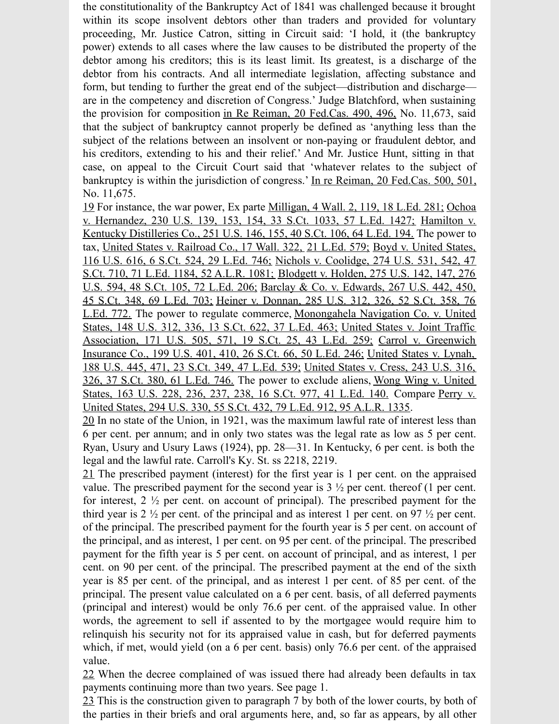the constitutionality of the Bankruptcy Act of 1841 was challenged because it brought within its scope insolvent debtors other than traders and provided for voluntary proceeding, Mr. Justice Catron, sitting in Circuit said: 'I hold, it (the bankruptcy power) extends to all cases where the law causes to be distributed the property of the debtor among his creditors; this is its least limit. Its greatest, is a discharge of the debtor from his contracts. And all intermediate legislation, affecting substance and form, but tending to further the great end of the subject—distribution and discharge are in the competency and discretion of Congress.' Judge Blatchford, when sustaining the provision for composition in Re Reiman, 20 [Fed.Cas.](https://1.next.westlaw.com/Link/Document/FullText?findType=Y&serNum=1800128927&pubNum=349&originatingDoc=I2e311b099ca411d9bdd1cfdd544ca3a4&refType=RP&fi=co_pp_sp_349_496&originationContext=document&transitionType=DocumentItem&ppcid=017ac81debd04f5598f75f207a5064fd&contextData=(sc.UserEnteredCitation)#co_pp_sp_349_496) 490, 496, No. 11,673, said that the subject of bankruptcy cannot properly be defined as 'anything less than the subject of the relations between an insolvent or non-paying or fraudulent debtor, and his creditors, extending to his and their relief.' And Mr. Justice Hunt, sitting in that case, on appeal to the Circuit Court said that 'whatever relates to the subject of bankruptcy is within the jurisdiction of congress.' In re Reiman, 20 [Fed.Cas.](https://1.next.westlaw.com/Link/Document/FullText?findType=Y&serNum=1800128927&pubNum=349&originatingDoc=I2e311b099ca411d9bdd1cfdd544ca3a4&refType=RP&fi=co_pp_sp_349_501&originationContext=document&transitionType=DocumentItem&ppcid=017ac81debd04f5598f75f207a5064fd&contextData=(sc.UserEnteredCitation)#co_pp_sp_349_501) 500, 501, No. 11,675.

[19](https://1.next.westlaw.com/Document/I2e311b099ca411d9bdd1cfdd544ca3a4/View/FullText.html?transitionType=UniqueDocItem&contextData=(sc.Default)&userEnteredCitation=295+us+555#co_fnRef_B020191935124038_ID0EYSAI) For instance, the war power, Ex parte [Milligan,](https://1.next.westlaw.com/Link/Document/FullText?findType=Y&serNum=1866105255&pubNum=780&originatingDoc=I2e311b099ca411d9bdd1cfdd544ca3a4&refType=RP&fi=co_pp_sp_780_119&originationContext=document&transitionType=DocumentItem&ppcid=017ac81debd04f5598f75f207a5064fd&contextData=(sc.UserEnteredCitation)#co_pp_sp_780_119) 4 Wall. 2, 119, 18 L.Ed. 281; Ochoa v. [Hernandez,](https://1.next.westlaw.com/Link/Document/FullText?findType=Y&serNum=1913101262&pubNum=708&originatingDoc=I2e311b099ca411d9bdd1cfdd544ca3a4&refType=RP&originationContext=document&transitionType=DocumentItem&ppcid=017ac81debd04f5598f75f207a5064fd&contextData=(sc.UserEnteredCitation)) 230 U.S. 139, 153, 154, 33 S.Ct. 1033, 57 L.Ed. 1427; Hamilton v. Kentucky Distilleries Co., 251 U.S. 146, 155, 40 S.Ct. 106, 64 L.Ed. 194. The power to tax, United States v. [Railroad](https://1.next.westlaw.com/Link/Document/FullText?findType=Y&serNum=1872197179&pubNum=780&originatingDoc=I2e311b099ca411d9bdd1cfdd544ca3a4&refType=RP&originationContext=document&transitionType=DocumentItem&ppcid=017ac81debd04f5598f75f207a5064fd&contextData=(sc.UserEnteredCitation)) Co., 17 Wall. 322, 21 [L.Ed.](https://1.next.westlaw.com/Link/Document/FullText?findType=Y&serNum=1872193779&pubNum=470&originatingDoc=I2e311b099ca411d9bdd1cfdd544ca3a4&refType=RP&originationContext=document&transitionType=DocumentItem&ppcid=017ac81debd04f5598f75f207a5064fd&contextData=(sc.UserEnteredCitation)) 579; Boyd v. United States, 116 U.S. 616, 6 S.Ct. 524, 29 L.Ed. 746; Nichols v. [Coolidge,](https://1.next.westlaw.com/Link/Document/FullText?findType=Y&serNum=1927124194&pubNum=104&originatingDoc=I2e311b099ca411d9bdd1cfdd544ca3a4&refType=RP&originationContext=document&transitionType=DocumentItem&ppcid=017ac81debd04f5598f75f207a5064fd&contextData=(sc.UserEnteredCitation)) 274 U.S. 531, 542, 47 S.Ct. 710, 71 L.Ed. 1184, 52 A.L.R. 1081; Blodgett v. Holden, 275 U.S. 142, 147, 276 U.S. 594, 48 S.Ct. 105, 72 L.Ed. 206; Barclay & Co. v. [Edwards,](https://1.next.westlaw.com/Link/Document/FullText?findType=Y&serNum=1927131204&pubNum=708&originatingDoc=I2e311b099ca411d9bdd1cfdd544ca3a4&refType=RP&originationContext=document&transitionType=DocumentItem&ppcid=017ac81debd04f5598f75f207a5064fd&contextData=(sc.UserEnteredCitation)) 267 U.S. 442, 450, 45 S.Ct. 348, 69 L.Ed. 703; Heiner v. Donnan, 285 U.S. 312, 326, 52 S.Ct. 358, 76 L.Ed. 772. The power to regulate commerce, [Monongahela](https://1.next.westlaw.com/Link/Document/FullText?findType=Y&serNum=1893180157&pubNum=708&originatingDoc=I2e311b099ca411d9bdd1cfdd544ca3a4&refType=RP&originationContext=document&transitionType=DocumentItem&ppcid=017ac81debd04f5598f75f207a5064fd&contextData=(sc.UserEnteredCitation)) Navigation Co. v. United States, 148 U.S. 312, 336, 13 S.Ct. 622, 37 L.Ed. 463; United States v. Joint Traffic [Association,](https://1.next.westlaw.com/Link/Document/FullText?findType=Y&serNum=1905100399&pubNum=708&originatingDoc=I2e311b099ca411d9bdd1cfdd544ca3a4&refType=RP&originationContext=document&transitionType=DocumentItem&ppcid=017ac81debd04f5598f75f207a5064fd&contextData=(sc.UserEnteredCitation)) 171 U.S. 505, 571, 19 S.Ct. 25, 43 L.Ed. 259; Carrol v. Greenwich [Insurance](https://1.next.westlaw.com/Link/Document/FullText?findType=Y&serNum=1903100329&pubNum=708&originatingDoc=I2e311b099ca411d9bdd1cfdd544ca3a4&refType=RP&originationContext=document&transitionType=DocumentItem&ppcid=017ac81debd04f5598f75f207a5064fd&contextData=(sc.UserEnteredCitation)) Co., 199 U.S. 401, 410, 26 S.Ct. 66, 50 L.Ed. 246; United States v. Lynah, 188 U.S. 445, 471, 23 S.Ct. 349, 47 L.Ed. 539; United States v. Cress, 243 U.S. 316, 326, 37 S.Ct. 380, 61 L.Ed. 746. The power to [exclude](https://1.next.westlaw.com/Link/Document/FullText?findType=Y&serNum=1917100367&pubNum=708&originatingDoc=I2e311b099ca411d9bdd1cfdd544ca3a4&refType=RP&originationContext=document&transitionType=DocumentItem&ppcid=017ac81debd04f5598f75f207a5064fd&contextData=(sc.UserEnteredCitation)) aliens, Wong Wing v. United States, 163 U.S. 228, 236, 237, 238, 16 S.Ct. 977, 41 L.Ed. 140. [Compare](https://1.next.westlaw.com/Link/Document/FullText?findType=Y&serNum=1935123493&pubNum=104&originatingDoc=I2e311b099ca411d9bdd1cfdd544ca3a4&refType=RP&originationContext=document&transitionType=DocumentItem&ppcid=017ac81debd04f5598f75f207a5064fd&contextData=(sc.UserEnteredCitation)) Perry v. United States, 294 U.S. 330, 55 S.Ct. 432, 79 L.Ed. 912, 95 A.L.R. 1335.

[20](https://1.next.westlaw.com/Document/I2e311b099ca411d9bdd1cfdd544ca3a4/View/FullText.html?transitionType=UniqueDocItem&contextData=(sc.Default)&userEnteredCitation=295+us+555#co_fnRef_B021201935124038_ID0ED6AI) In no state of the Union, in 1921, was the maximum lawful rate of interest less than 6 per cent. per annum; and in only two states was the legal rate as low as 5 per cent. Ryan, Usury and Usury Laws (1924), pp. 28—31. In Kentucky, 6 per cent. is both the legal and the lawful rate. Carroll's Ky. St. ss 2218, 2219.

[21](https://1.next.westlaw.com/Document/I2e311b099ca411d9bdd1cfdd544ca3a4/View/FullText.html?transitionType=UniqueDocItem&contextData=(sc.Default)&userEnteredCitation=295+us+555#co_fnRef_B022211935124038_ID0ES6AI) The prescribed payment (interest) for the first year is 1 per cent. on the appraised value. The prescribed payment for the second year is  $3\frac{1}{2}$  per cent. thereof (1 per cent. for interest,  $2 \frac{1}{2}$  per cent. on account of principal). The prescribed payment for the third year is 2  $\frac{1}{2}$  per cent. of the principal and as interest 1 per cent. on 97  $\frac{1}{2}$  per cent. of the principal. The prescribed payment for the fourth year is 5 per cent. on account of the principal, and as interest, 1 per cent. on 95 per cent. of the principal. The prescribed payment for the fifth year is 5 per cent. on account of principal, and as interest, 1 per cent. on 90 per cent. of the principal. The prescribed payment at the end of the sixth year is 85 per cent. of the principal, and as interest 1 per cent. of 85 per cent. of the principal. The present value calculated on a 6 per cent. basis, of all deferred payments (principal and interest) would be only 76.6 per cent. of the appraised value. In other words, the agreement to sell if assented to by the mortgagee would require him to relinquish his security not for its appraised value in cash, but for deferred payments which, if met, would yield (on a 6 per cent. basis) only 76.6 per cent. of the appraised value.

[22](https://1.next.westlaw.com/Document/I2e311b099ca411d9bdd1cfdd544ca3a4/View/FullText.html?transitionType=UniqueDocItem&contextData=(sc.Default)&userEnteredCitation=295+us+555#co_fnRef_B023221935124038_ID0ECABI) When the decree complained of was issued there had already been defaults in tax payments continuing more than two years. See page 1.

[23](https://1.next.westlaw.com/Document/I2e311b099ca411d9bdd1cfdd544ca3a4/View/FullText.html?transitionType=UniqueDocItem&contextData=(sc.Default)&userEnteredCitation=295+us+555#co_fnRef_B024231935124038_ID0ETEBI) This is the construction given to paragraph 7 by both of the lower courts, by both of the parties in their briefs and oral arguments here, and, so far as appears, by all other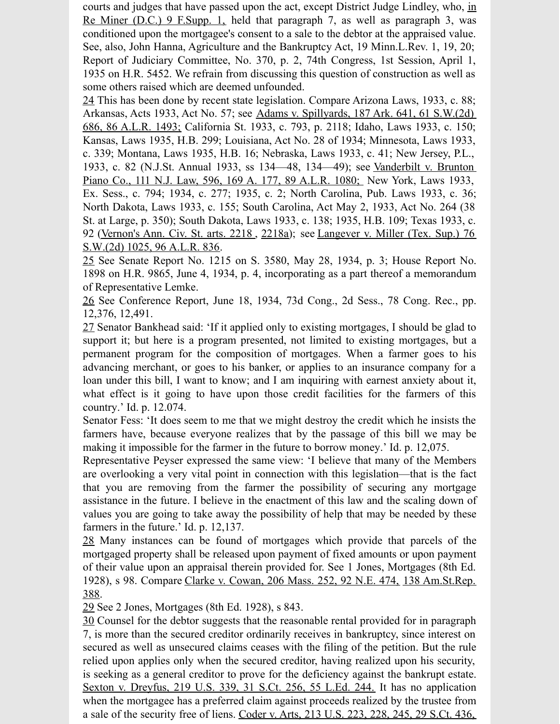courts and judges that have passed upon the act, except District Judge Lindley, who, in Re Miner (D.C.) 9 F.Supp. 1, held that [paragraph](https://1.next.westlaw.com/Link/Document/FullText?findType=Y&serNum=1935123404&pubNum=345&originatingDoc=I2e311b099ca411d9bdd1cfdd544ca3a4&refType=RP&originationContext=document&transitionType=DocumentItem&ppcid=017ac81debd04f5598f75f207a5064fd&contextData=(sc.UserEnteredCitation)) 7, as well as paragraph 3, was conditioned upon the mortgagee's consent to a sale to the debtor at the appraised value. See, also, John Hanna, Agriculture and the Bankruptcy Act, 19 Minn.L.Rev. 1, 19, 20; Report of Judiciary Committee, No. 370, p. 2, 74th Congress, 1st Session, April 1, 1935 on H.R. 5452. We refrain from discussing this question of construction as well as some others raised which are deemed unfounded.

[24](https://1.next.westlaw.com/Document/I2e311b099ca411d9bdd1cfdd544ca3a4/View/FullText.html?transitionType=UniqueDocItem&contextData=(sc.Default)&userEnteredCitation=295+us+555#co_fnRef_B025241935124038_ID0E5HBI) This has been done by recent state legislation. Compare Arizona Laws, 1933, c. 88; Arkansas, Acts 1933, Act No. 57; see Adams v. [Spillyards,](https://1.next.westlaw.com/Link/Document/FullText?findType=Y&serNum=1933117645&pubNum=104&originatingDoc=I2e311b099ca411d9bdd1cfdd544ca3a4&refType=RP&originationContext=document&transitionType=DocumentItem&ppcid=017ac81debd04f5598f75f207a5064fd&contextData=(sc.UserEnteredCitation)) 187 Ark. 641, 61 S.W.(2d) 686, 86 A.L.R. 1493; California St. 1933, c. 793, p. 2118; Idaho, Laws 1933, c. 150; Kansas, Laws 1935, H.B. 299; Louisiana, Act No. 28 of 1934; Minnesota, Laws 1933, c. 339; Montana, Laws 1935, H.B. 16; Nebraska, Laws 1933, c. 41; New Jersey, P.L., 1933, c. 82 (N.J.St. Annual 1933, ss 134—48, 134—49); see [Vanderbilt](https://1.next.westlaw.com/Link/Document/FullText?findType=Y&serNum=1933115420&pubNum=104&originatingDoc=I2e311b099ca411d9bdd1cfdd544ca3a4&refType=RP&originationContext=document&transitionType=DocumentItem&ppcid=017ac81debd04f5598f75f207a5064fd&contextData=(sc.UserEnteredCitation)) v. Brunton Piano Co., 111 N.J. Law, 596, 169 A. 177, 89 A.L.R. 1080; New York, Laws 1933, Ex. Sess., c. 794; 1934, c. 277; 1935, c. 2; North Carolina, Pub. Laws 1933, c. 36; North Dakota, Laws 1933, c. 155; South Carolina, Act May 2, 1933, Act No. 264 (38 St. at Large, p. 350); South Dakota, Laws 1933, c. 138; 1935, H.B. 109; Texas 1933, c. 92 [\(Vernon's](https://1.next.westlaw.com/Link/Document/FullText?findType=L&pubNum=1000188&cite=TXCSART2218&originatingDoc=I2e311b099ca411d9bdd1cfdd544ca3a4&refType=LQ&originationContext=document&transitionType=DocumentItem&ppcid=017ac81debd04f5598f75f207a5064fd&contextData=(sc.UserEnteredCitation)) Ann. Civ. St. arts. 2218 , [2218a](https://1.next.westlaw.com/Link/Document/FullText?findType=L&pubNum=1000188&cite=TXCSART2218A&originatingDoc=I2e311b099ca411d9bdd1cfdd544ca3a4&refType=LQ&originationContext=document&transitionType=DocumentItem&ppcid=017ac81debd04f5598f75f207a5064fd&contextData=(sc.UserEnteredCitation))); see [Langever](https://1.next.westlaw.com/Link/Document/FullText?findType=Y&serNum=1935103310&pubNum=104&originatingDoc=I2e311b099ca411d9bdd1cfdd544ca3a4&refType=RP&originationContext=document&transitionType=DocumentItem&ppcid=017ac81debd04f5598f75f207a5064fd&contextData=(sc.UserEnteredCitation)) v. Miller (Tex. Sup.) 76 S.W.(2d) 1025, 96 A.L.R. 836.

[25](https://1.next.westlaw.com/Document/I2e311b099ca411d9bdd1cfdd544ca3a4/View/FullText.html?transitionType=UniqueDocItem&contextData=(sc.Default)&userEnteredCitation=295+us+555#co_fnRef_B026251935124038_ID0EIIBI) See Senate Report No. 1215 on S. 3580, May 28, 1934, p. 3; House Report No. 1898 on H.R. 9865, June 4, 1934, p. 4, incorporating as a part thereof a memorandum of Representative Lemke.

[26](https://1.next.westlaw.com/Document/I2e311b099ca411d9bdd1cfdd544ca3a4/View/FullText.html?transitionType=UniqueDocItem&contextData=(sc.Default)&userEnteredCitation=295+us+555#co_fnRef_B027261935124038_ID0EHOBI) See Conference Report, June 18, 1934, 73d Cong., 2d Sess., 78 Cong. Rec., pp. 12,376, 12,491.

[27](https://1.next.westlaw.com/Document/I2e311b099ca411d9bdd1cfdd544ca3a4/View/FullText.html?transitionType=UniqueDocItem&contextData=(sc.Default)&userEnteredCitation=295+us+555#co_fnRef_B028271935124038_ID0EROBI) Senator Bankhead said: 'If it applied only to existing mortgages, I should be glad to support it; but here is a program presented, not limited to existing mortgages, but a permanent program for the composition of mortgages. When a farmer goes to his advancing merchant, or goes to his banker, or applies to an insurance company for a loan under this bill, I want to know; and I am inquiring with earnest anxiety about it, what effect is it going to have upon those credit facilities for the farmers of this country.' Id. p. 12.074.

Senator Fess: 'It does seem to me that we might destroy the credit which he insists the farmers have, because everyone realizes that by the passage of this bill we may be making it impossible for the farmer in the future to borrow money.' Id. p. 12,075.

Representative Peyser expressed the same view: 'I believe that many of the Members are overlooking a very vital point in connection with this legislation—that is the fact that you are removing from the farmer the possibility of securing any mortgage assistance in the future. I believe in the enactment of this law and the scaling down of values you are going to take away the possibility of help that may be needed by these farmers in the future.' Id. p. 12,137.

[28](https://1.next.westlaw.com/Document/I2e311b099ca411d9bdd1cfdd544ca3a4/View/FullText.html?transitionType=UniqueDocItem&contextData=(sc.Default)&userEnteredCitation=295+us+555#co_fnRef_B029281935124038_ID0E3SBI) Many instances can be found of mortgages which provide that parcels of the mortgaged property shall be released upon payment of fixed amounts or upon payment of their value upon an appraisal therein provided for. See 1 Jones, Mortgages (8th Ed. 1928), s 98. Compare Clarke v. [Cowan,](https://1.next.westlaw.com/Link/Document/FullText?findType=Y&serNum=1910003008&pubNum=577&originatingDoc=I2e311b099ca411d9bdd1cfdd544ca3a4&refType=RP&originationContext=document&transitionType=DocumentItem&ppcid=017ac81debd04f5598f75f207a5064fd&contextData=(sc.UserEnteredCitation)) 206 Mass. 252, 92 N.E. 474, 138 [Am.St.Rep.](https://1.next.westlaw.com/Link/Document/FullText?findType=Y&serNum=1910003008&pubNum=2150&originatingDoc=I2e311b099ca411d9bdd1cfdd544ca3a4&refType=RP&originationContext=document&transitionType=DocumentItem&ppcid=017ac81debd04f5598f75f207a5064fd&contextData=(sc.UserEnteredCitation)) 388.

[29](https://1.next.westlaw.com/Document/I2e311b099ca411d9bdd1cfdd544ca3a4/View/FullText.html?transitionType=UniqueDocItem&contextData=(sc.Default)&userEnteredCitation=295+us+555#co_fnRef_B030291935124038_ID0EJTBI) See 2 Jones, Mortgages (8th Ed. 1928), s 843.

[30](https://1.next.westlaw.com/Document/I2e311b099ca411d9bdd1cfdd544ca3a4/View/FullText.html?transitionType=UniqueDocItem&contextData=(sc.Default)&userEnteredCitation=295+us+555#co_fnRef_B031301935124038_ID0EPVBI) Counsel for the debtor suggests that the reasonable rental provided for in paragraph 7, is more than the secured creditor ordinarily receives in bankruptcy, since interest on secured as well as unsecured claims ceases with the filing of the petition. But the rule relied upon applies only when the secured creditor, having realized upon his security, is seeking as a general creditor to prove for the deficiency against the bankrupt estate. Sexton v. [Dreyfus,](https://1.next.westlaw.com/Link/Document/FullText?findType=Y&serNum=1911103451&pubNum=708&originatingDoc=I2e311b099ca411d9bdd1cfdd544ca3a4&refType=RP&originationContext=document&transitionType=DocumentItem&ppcid=017ac81debd04f5598f75f207a5064fd&contextData=(sc.UserEnteredCitation)) 219 U.S. 339, 31 S.Ct. 256, 55 L.Ed. 244. It has no application when the mortgagee has a preferred claim against proceeds realized by the trustee from a sale of the [security](https://1.next.westlaw.com/Link/Document/FullText?findType=Y&serNum=1909100398&pubNum=708&originatingDoc=I2e311b099ca411d9bdd1cfdd544ca3a4&refType=RP&originationContext=document&transitionType=DocumentItem&ppcid=017ac81debd04f5598f75f207a5064fd&contextData=(sc.UserEnteredCitation)) free of liens. Coder v. Arts, 213 U.S. 223, 228, 245, 29 S.Ct. 436,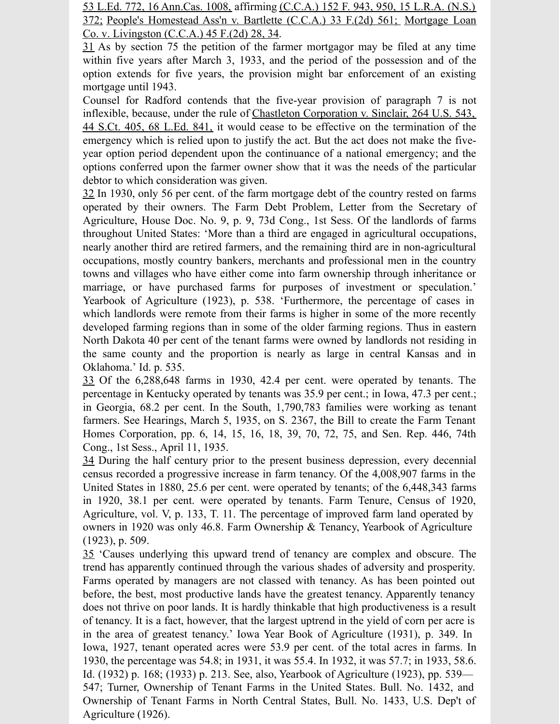53 L.Ed. 772, 16 Ann.Cas. 1008, affirming (C.C.A.) 152 F. 943, 950, 15 L.R.A. (N.S.) 372; People's [Homestead](https://1.next.westlaw.com/Link/Document/FullText?findType=Y&serNum=1907102389&pubNum=5297&originatingDoc=I2e311b099ca411d9bdd1cfdd544ca3a4&refType=RP&originationContext=document&transitionType=DocumentItem&ppcid=017ac81debd04f5598f75f207a5064fd&contextData=(sc.UserEnteredCitation)) Ass'n v. Bartlette (C.C.A.) 33 F.(2d) 561; Mortgage Loan Co. v. Livingston (C.C.A.) 45 F.(2d) 28, 34.

[31](https://1.next.westlaw.com/Document/I2e311b099ca411d9bdd1cfdd544ca3a4/View/FullText.html?transitionType=UniqueDocItem&contextData=(sc.Default)&userEnteredCitation=295+us+555#co_fnRef_B032311935124038_ID0EV1BI) As by section 75 the petition of the farmer mortgagor may be filed at any time within five years after March 3, 1933, and the period of the possession and of the option extends for five years, the provision might bar enforcement of an existing mortgage until 1943.

Counsel for Radford contends that the five-year provision of paragraph 7 is not inflexible, because, under the rule of Chastleton [Corporation](https://1.next.westlaw.com/Link/Document/FullText?findType=Y&serNum=1924120606&pubNum=708&originatingDoc=I2e311b099ca411d9bdd1cfdd544ca3a4&refType=RP&originationContext=document&transitionType=DocumentItem&ppcid=017ac81debd04f5598f75f207a5064fd&contextData=(sc.UserEnteredCitation)) v. Sinclair, 264 U.S. 543, 44 S.Ct. 405, 68 L.Ed. 841, it would cease to be effective on the termination of the emergency which is relied upon to justify the act. But the act does not make the fiveyear option period dependent upon the continuance of a national emergency; and the options conferred upon the farmer owner show that it was the needs of the particular debtor to which consideration was given.

[32](https://1.next.westlaw.com/Document/I2e311b099ca411d9bdd1cfdd544ca3a4/View/FullText.html?transitionType=UniqueDocItem&contextData=(sc.Default)&userEnteredCitation=295+us+555#co_fnRef_B033321935124038_ID0EL5BI) In 1930, only 56 per cent. of the farm mortgage debt of the country rested on farms operated by their owners. The Farm Debt Problem, Letter from the Secretary of Agriculture, House Doc. No. 9, p. 9, 73d Cong., 1st Sess. Of the landlords of farms throughout United States: 'More than a third are engaged in agricultural occupations, nearly another third are retired farmers, and the remaining third are in non-agricultural occupations, mostly country bankers, merchants and professional men in the country towns and villages who have either come into farm ownership through inheritance or marriage, or have purchased farms for purposes of investment or speculation.' Yearbook of Agriculture (1923), p. 538. 'Furthermore, the percentage of cases in which landlords were remote from their farms is higher in some of the more recently developed farming regions than in some of the older farming regions. Thus in eastern North Dakota 40 per cent of the tenant farms were owned by landlords not residing in the same county and the proportion is nearly as large in central Kansas and in Oklahoma.' Id. p. 535.

[33](https://1.next.westlaw.com/Document/I2e311b099ca411d9bdd1cfdd544ca3a4/View/FullText.html?transitionType=UniqueDocItem&contextData=(sc.Default)&userEnteredCitation=295+us+555#co_fnRef_B034331935124038_ID0EUACI) Of the 6,288,648 farms in 1930, 42.4 per cent. were operated by tenants. The percentage in Kentucky operated by tenants was 35.9 per cent.; in Iowa, 47.3 per cent.; in Georgia, 68.2 per cent. In the South, 1,790,783 families were working as tenant farmers. See Hearings, March 5, 1935, on S. 2367, the Bill to create the Farm Tenant Homes Corporation, pp. 6, 14, 15, 16, 18, 39, 70, 72, 75, and Sen. Rep. 446, 74th Cong., 1st Sess., April 11, 1935.

[34](https://1.next.westlaw.com/Document/I2e311b099ca411d9bdd1cfdd544ca3a4/View/FullText.html?transitionType=UniqueDocItem&contextData=(sc.Default)&userEnteredCitation=295+us+555#co_fnRef_B035341935124038_ID0E2ACI) During the half century prior to the present business depression, every decennial census recorded a progressive increase in farm tenancy. Of the 4,008,907 farms in the United States in 1880, 25.6 per cent. were operated by tenants; of the 6,448,343 farms in 1920, 38.1 per cent. were operated by tenants. Farm Tenure, Census of 1920, Agriculture, vol. V, p. 133, T. 11. The percentage of improved farm land operated by owners in 1920 was only 46.8. Farm Ownership & Tenancy, Yearbook of Agriculture (1923), p. 509.

[35](https://1.next.westlaw.com/Document/I2e311b099ca411d9bdd1cfdd544ca3a4/View/FullText.html?transitionType=UniqueDocItem&contextData=(sc.Default)&userEnteredCitation=295+us+555#co_fnRef_B036351935124038_ID0ECBCI) 'Causes underlying this upward trend of tenancy are complex and obscure. The trend has apparently continued through the various shades of adversity and prosperity. Farms operated by managers are not classed with tenancy. As has been pointed out before, the best, most productive lands have the greatest tenancy. Apparently tenancy does not thrive on poor lands. It is hardly thinkable that high productiveness is a result of tenancy. It is a fact, however, that the largest uptrend in the yield of corn per acre is in the area of greatest tenancy.' Iowa Year Book of Agriculture (1931), p. 349. In Iowa, 1927, tenant operated acres were 53.9 per cent. of the total acres in farms. In 1930, the percentage was 54.8; in 1931, it was 55.4. In 1932, it was 57.7; in 1933, 58.6. Id. (1932) p. 168; (1933) p. 213. See, also, Yearbook of Agriculture (1923), pp. 539— 547; Turner, Ownership of Tenant Farms in the United States. Bull. No. 1432, and Ownership of Tenant Farms in North Central States, Bull. No. 1433, U.S. Dep't of Agriculture (1926).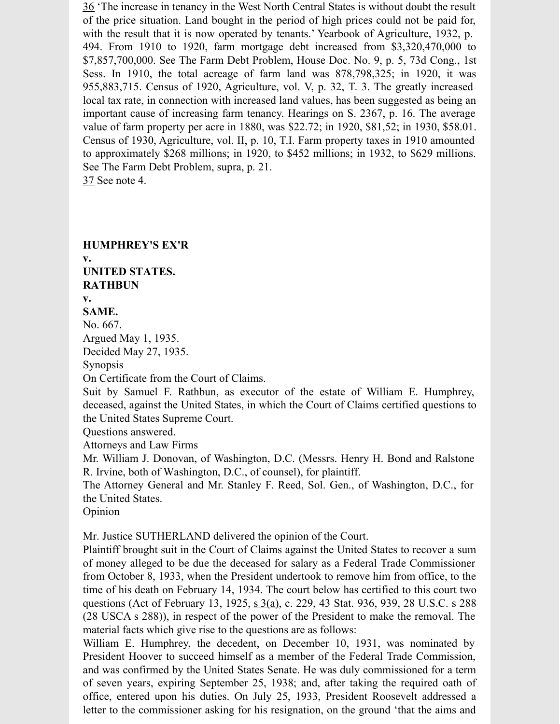[36](https://1.next.westlaw.com/Document/I2e311b099ca411d9bdd1cfdd544ca3a4/View/FullText.html?transitionType=UniqueDocItem&contextData=(sc.Default)&userEnteredCitation=295+us+555#co_fnRef_B037361935124038_ID0EOBCI) 'The increase in tenancy in the West North Central States is without doubt the result of the price situation. Land bought in the period of high prices could not be paid for, with the result that it is now operated by tenants.' Yearbook of Agriculture, 1932, p. 494. From 1910 to 1920, farm mortgage debt increased from \$3,320,470,000 to \$7,857,700,000. See The Farm Debt Problem, House Doc. No. 9, p. 5, 73d Cong., 1st Sess. In 1910, the total acreage of farm land was 878,798,325; in 1920, it was 955,883,715. Census of 1920, Agriculture, vol. V, p. 32, T. 3. The greatly increased local tax rate, in connection with increased land values, has been suggested as being an important cause of increasing farm tenancy. Hearings on S. 2367, p. 16. The average value of farm property per acre in 1880, was \$22.72; in 1920, \$81,52; in 1930, \$58.01. Census of 1930, Agriculture, vol. II, p. 10, T.I. Farm property taxes in 1910 amounted to approximately \$268 millions; in 1920, to \$452 millions; in 1932, to \$629 millions. See The Farm Debt Problem, supra, p. 21. [37](https://1.next.westlaw.com/Document/I2e311b099ca411d9bdd1cfdd544ca3a4/View/FullText.html?transitionType=UniqueDocItem&contextData=(sc.Default)&userEnteredCitation=295+us+555#co_fnRef_B038371935124038_ID0EAICI) See note 4.

**HUMPHREY'S EX'R v. UNITED STATES. RATHBUN v. SAME.** No. 667.

Argued May 1, 1935. Decided May 27, 1935.

Synopsis

On Certificate from the Court of Claims.

Suit by Samuel F. Rathbun, as executor of the estate of William E. Humphrey, deceased, against the United States, in which the Court of Claims certified questions to the United States Supreme Court.

Questions answered.

Attorneys and Law Firms

Mr. William J. Donovan, of Washington, D.C. (Messrs. Henry H. Bond and Ralstone R. Irvine, both of Washington, D.C., of counsel), for plaintiff.

The Attorney General and Mr. Stanley F. Reed, Sol. Gen., of Washington, D.C., for the United States.

Opinion

Mr. Justice SUTHERLAND delivered the opinion of the Court.

Plaintiff brought suit in the Court of Claims against the United States to recover a sum of money alleged to be due the deceased for salary as a Federal Trade Commissioner from October 8, 1933, when the President undertook to remove him from office, to the time of his death on February 14, 1934. The court below has certified to this court two questions (Act of February 13, 1925, <u>s [3\(a\)](https://1.next.westlaw.com/Link/Document/FullText?findType=L&pubNum=1000546&cite=45USCAS3&originatingDoc=Ib462ad839cc011d991d0cc6b54f12d4d&refType=LQ&originationContext=document&transitionType=DocumentItem&ppcid=449b8fdb240648fc919e60b94ca7e883&contextData=(sc.UserEnteredCitation))</u>, c. 229, 43 Stat. 936, 939, 28 U.S.C. s 288 (28 USCA s 288)), in respect of the power of the President to make the removal. The material facts which give rise to the questions are as follows:

William E. Humphrey, the decedent, on December 10, 1931, was nominated by President Hoover to succeed himself as a member of the Federal Trade Commission, and was confirmed by the United States Senate. He was duly commissioned for a term of seven years, expiring September 25, 1938; and, after taking the required oath of office, entered upon his duties. On July 25, 1933, President Roosevelt addressed a letter to the commissioner asking for his resignation, on the ground 'that the aims and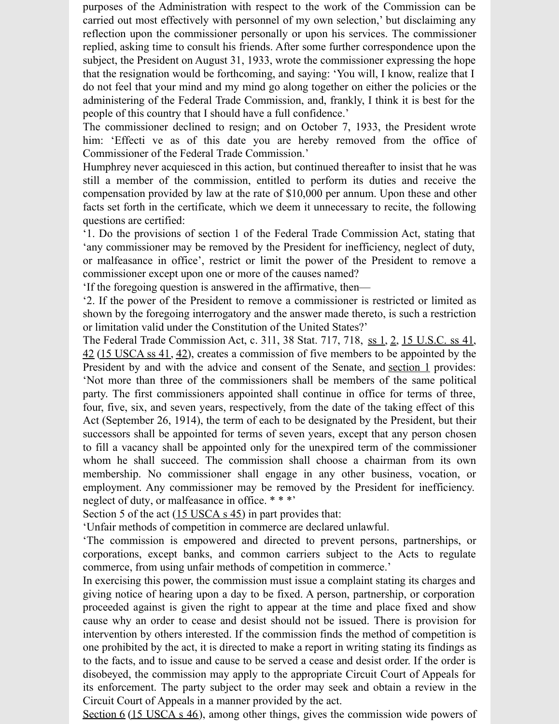purposes of the Administration with respect to the work of the Commission can be carried out most effectively with personnel of my own selection,' but disclaiming any reflection upon the commissioner personally or upon his services. The commissioner replied, asking time to consult his friends. After some further correspondence upon the subject, the President on August 31, 1933, wrote the commissioner expressing the hope that the resignation would be forthcoming, and saying: 'You will, I know, realize that I do not feel that your mind and my mind go along together on either the policies or the administering of the Federal Trade Commission, and, frankly, I think it is best for the people of this country that I should have a full confidence.'

The commissioner declined to resign; and on October 7, 1933, the President wrote him: 'Effecti ve as of this date you are hereby removed from the office of Commissioner of the Federal Trade Commission.'

Humphrey never acquiesced in this action, but continued thereafter to insist that he was still a member of the commission, entitled to perform its duties and receive the compensation provided by law at the rate of \$10,000 per annum. Upon these and other facts set forth in the certificate, which we deem it unnecessary to recite, the following questions are certified:

'1. Do the provisions of section 1 of the Federal Trade Commission Act, stating that 'any commissioner may be removed by the President for inefficiency, neglect of duty, or malfeasance in office', restrict or limit the power of the President to remove a commissioner except upon one or more of the causes named?

'If the foregoing question is answered in the affirmative, then—

'2. If the power of the President to remove a commissioner is restricted or limited as shown by the foregoing interrogatory and the answer made thereto, is such a restriction or limitation valid under the Constitution of the United States?'

The Federal Trade Commission Act, c. 311, 38 Stat. 717, 718, [ss](https://1.next.westlaw.com/Link/Document/FullText?findType=L&pubNum=1000546&cite=45USCAS1&originatingDoc=Ib462ad839cc011d991d0cc6b54f12d4d&refType=LQ&originationContext=document&transitionType=DocumentItem&ppcid=449b8fdb240648fc919e60b94ca7e883&contextData=(sc.UserEnteredCitation)) 1, [2](https://1.next.westlaw.com/Link/Document/FullText?findType=L&pubNum=1000546&cite=45USCAS2&originatingDoc=Ib462ad839cc011d991d0cc6b54f12d4d&refType=LQ&originationContext=document&transitionType=DocumentItem&ppcid=449b8fdb240648fc919e60b94ca7e883&contextData=(sc.UserEnteredCitation)), 15 [U.S.C.](https://1.next.westlaw.com/Link/Document/FullText?findType=L&pubNum=1000546&cite=15USCAS41&originatingDoc=Ib462ad839cc011d991d0cc6b54f12d4d&refType=LQ&originationContext=document&transitionType=DocumentItem&ppcid=449b8fdb240648fc919e60b94ca7e883&contextData=(sc.UserEnteredCitation)) ss 41, [42](https://1.next.westlaw.com/Link/Document/FullText?findType=L&pubNum=1000546&cite=15USCAS42&originatingDoc=Ib462ad839cc011d991d0cc6b54f12d4d&refType=LQ&originationContext=document&transitionType=DocumentItem&ppcid=449b8fdb240648fc919e60b94ca7e883&contextData=(sc.UserEnteredCitation)) (15 [USCA](https://1.next.westlaw.com/Link/Document/FullText?findType=L&pubNum=1000546&cite=15USCAS41&originatingDoc=Ib462ad839cc011d991d0cc6b54f12d4d&refType=LQ&originationContext=document&transitionType=DocumentItem&ppcid=449b8fdb240648fc919e60b94ca7e883&contextData=(sc.UserEnteredCitation)) ss 41, [42](https://1.next.westlaw.com/Link/Document/FullText?findType=L&pubNum=1000546&cite=15USCAS42&originatingDoc=Ib462ad839cc011d991d0cc6b54f12d4d&refType=LQ&originationContext=document&transitionType=DocumentItem&ppcid=449b8fdb240648fc919e60b94ca7e883&contextData=(sc.UserEnteredCitation))), creates a commission of five members to be appointed by the President by and with the advice and consent of the Senate, and [section](https://1.next.westlaw.com/Link/Document/FullText?findType=L&pubNum=1000546&cite=45USCAS1&originatingDoc=Ib462ad839cc011d991d0cc6b54f12d4d&refType=LQ&originationContext=document&transitionType=DocumentItem&ppcid=449b8fdb240648fc919e60b94ca7e883&contextData=(sc.UserEnteredCitation)) 1 provides: 'Not more than three of the commissioners shall be members of the same political party. The first commissioners appointed shall continue in office for terms of three, four, five, six, and seven years, respectively, from the date of the taking effect of this Act (September 26, 1914), the term of each to be designated by the President, but their successors shall be appointed for terms of seven years, except that any person chosen to fill a vacancy shall be appointed only for the unexpired term of the commissioner whom he shall succeed. The commission shall choose a chairman from its own membership. No commissioner shall engage in any other business, vocation, or employment. Any commissioner may be removed by the President for inefficiency. neglect of duty, or malfeasance in office. \* \* \*'

Section 5 of the act  $(15 \text{USCA s } 45)$  $(15 \text{USCA s } 45)$  $(15 \text{USCA s } 45)$  in part provides that:

'Unfair methods of competition in commerce are declared unlawful.

'The commission is empowered and directed to prevent persons, partnerships, or corporations, except banks, and common carriers subject to the Acts to regulate commerce, from using unfair methods of competition in commerce.'

In exercising this power, the commission must issue a complaint stating its charges and giving notice of hearing upon a day to be fixed. A person, partnership, or corporation proceeded against is given the right to appear at the time and place fixed and show cause why an order to cease and desist should not be issued. There is provision for intervention by others interested. If the commission finds the method of competition is one prohibited by the act, it is directed to make a report in writing stating its findings as to the facts, and to issue and cause to be served a cease and desist order. If the order is disobeyed, the commission may apply to the appropriate Circuit Court of Appeals for its enforcement. The party subject to the order may seek and obtain a review in the Circuit Court of Appeals in a manner provided by the act.

[Section](https://1.next.westlaw.com/Link/Document/FullText?findType=L&pubNum=1000546&cite=45USCAS6&originatingDoc=Ib462ad839cc011d991d0cc6b54f12d4d&refType=LQ&originationContext=document&transitionType=DocumentItem&ppcid=449b8fdb240648fc919e60b94ca7e883&contextData=(sc.UserEnteredCitation)) 6 (15 [USCA](https://1.next.westlaw.com/Link/Document/FullText?findType=L&pubNum=1000546&cite=15USCAS46&originatingDoc=Ib462ad839cc011d991d0cc6b54f12d4d&refType=LQ&originationContext=document&transitionType=DocumentItem&ppcid=449b8fdb240648fc919e60b94ca7e883&contextData=(sc.UserEnteredCitation)) s 46), among other things, gives the commission wide powers of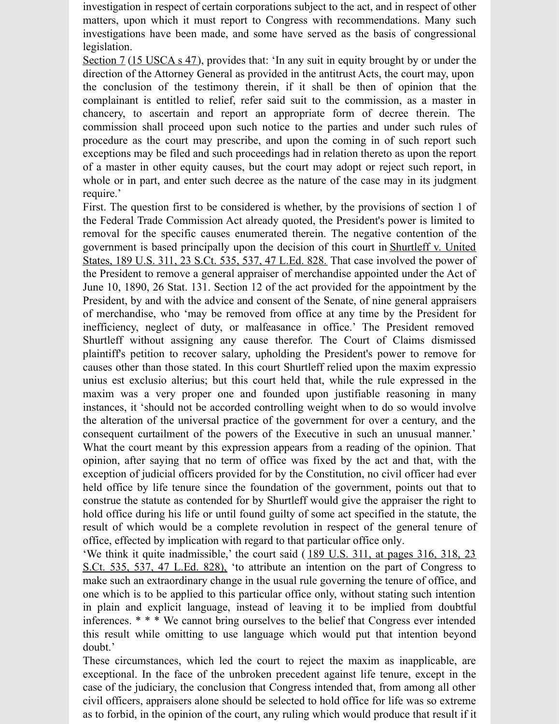investigation in respect of certain corporations subject to the act, and in respect of other matters, upon which it must report to Congress with recommendations. Many such investigations have been made, and some have served as the basis of congressional legislation.

[Section](https://1.next.westlaw.com/Link/Document/FullText?findType=L&pubNum=1000546&cite=45USCAS7&originatingDoc=Ib462ad839cc011d991d0cc6b54f12d4d&refType=LQ&originationContext=document&transitionType=DocumentItem&ppcid=449b8fdb240648fc919e60b94ca7e883&contextData=(sc.UserEnteredCitation)) 7 (15 [USCA](https://1.next.westlaw.com/Link/Document/FullText?findType=L&pubNum=1000546&cite=15USCAS47&originatingDoc=Ib462ad839cc011d991d0cc6b54f12d4d&refType=LQ&originationContext=document&transitionType=DocumentItem&ppcid=449b8fdb240648fc919e60b94ca7e883&contextData=(sc.UserEnteredCitation)) s 47), provides that: 'In any suit in equity brought by or under the direction of the Attorney General as provided in the antitrust Acts, the court may, upon the conclusion of the testimony therein, if it shall be then of opinion that the complainant is entitled to relief, refer said suit to the commission, as a master in chancery, to ascertain and report an appropriate form of decree therein. The commission shall proceed upon such notice to the parties and under such rules of procedure as the court may prescribe, and upon the coming in of such report such exceptions may be filed and such proceedings had in relation thereto as upon the report of a master in other equity causes, but the court may adopt or reject such report, in whole or in part, and enter such decree as the nature of the case may in its judgment require.'

First. The question first to be considered is whether, by the provisions of section 1 of the Federal Trade Commission Act already quoted, the President's power is limited to removal for the specific causes enumerated therein. The negative contention of the [government](https://1.next.westlaw.com/Link/Document/FullText?findType=Y&serNum=1903100350&pubNum=708&originatingDoc=Ib462ad839cc011d991d0cc6b54f12d4d&refType=RP&fi=co_pp_sp_708_537&originationContext=document&transitionType=DocumentItem&ppcid=449b8fdb240648fc919e60b94ca7e883&contextData=(sc.UserEnteredCitation)#co_pp_sp_708_537) is based principally upon the decision of this court in Shurtleff v. United States, 189 U.S. 311, 23 S.Ct. 535, 537, 47 L.Ed. 828. That case involved the power of the President to remove a general appraiser of merchandise appointed under the Act of June 10, 1890, 26 Stat. 131. Section 12 of the act provided for the appointment by the President, by and with the advice and consent of the Senate, of nine general appraisers of merchandise, who 'may be removed from office at any time by the President for inefficiency, neglect of duty, or malfeasance in office.' The President removed Shurtleff without assigning any cause therefor. The Court of Claims dismissed plaintiff's petition to recover salary, upholding the President's power to remove for causes other than those stated. In this court Shurtleff relied upon the maxim expressio unius est exclusio alterius; but this court held that, while the rule expressed in the maxim was a very proper one and founded upon justifiable reasoning in many instances, it 'should not be accorded controlling weight when to do so would involve the alteration of the universal practice of the government for over a century, and the consequent curtailment of the powers of the Executive in such an unusual manner.' What the court meant by this expression appears from a reading of the opinion. That opinion, after saying that no term of office was fixed by the act and that, with the exception of judicial officers provided for by the Constitution, no civil officer had ever held office by life tenure since the foundation of the government, points out that to construe the statute as contended for by Shurtleff would give the appraiser the right to hold office during his life or until found guilty of some act specified in the statute, the result of which would be a complete revolution in respect of the general tenure of office, effected by implication with regard to that particular office only.

'We think it quite [inadmissible,'](https://1.next.westlaw.com/Link/Document/FullText?findType=Y&serNum=1903100350&pubNum=708&originatingDoc=Ib462ad839cc011d991d0cc6b54f12d4d&refType=RP&fi=co_pp_sp_708_537&originationContext=document&transitionType=DocumentItem&ppcid=449b8fdb240648fc919e60b94ca7e883&contextData=(sc.UserEnteredCitation)#co_pp_sp_708_537) the court said ( 189 U.S. 311, at pages 316, 318, 23 S.Ct. 535, 537, 47 L.Ed. 828), 'to attribute an intention on the part of Congress to make such an extraordinary change in the usual rule governing the tenure of office, and one which is to be applied to this particular office only, without stating such intention in plain and explicit language, instead of leaving it to be implied from doubtful inferences. \* \* \* We cannot bring ourselves to the belief that Congress ever intended this result while omitting to use language which would put that intention beyond doubt.'

These circumstances, which led the court to reject the maxim as inapplicable, are exceptional. In the face of the unbroken precedent against life tenure, except in the case of the judiciary, the conclusion that Congress intended that, from among all other civil officers, appraisers alone should be selected to hold office for life was so extreme as to forbid, in the opinion of the court, any ruling which would produce that result if it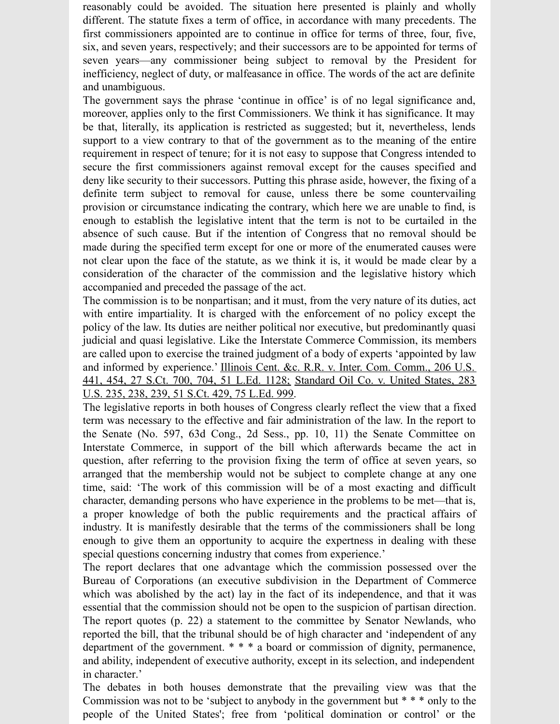reasonably could be avoided. The situation here presented is plainly and wholly different. The statute fixes a term of office, in accordance with many precedents. The first commissioners appointed are to continue in office for terms of three, four, five, six, and seven years, respectively; and their successors are to be appointed for terms of seven years—any commissioner being subject to removal by the President for inefficiency, neglect of duty, or malfeasance in office. The words of the act are definite and unambiguous.

The government says the phrase 'continue in office' is of no legal significance and, moreover, applies only to the first Commissioners. We think it has significance. It may be that, literally, its application is restricted as suggested; but it, nevertheless, lends support to a view contrary to that of the government as to the meaning of the entire requirement in respect of tenure; for it is not easy to suppose that Congress intended to secure the first commissioners against removal except for the causes specified and deny like security to their successors. Putting this phrase aside, however, the fixing of a definite term subject to removal for cause, unless there be some countervailing provision or circumstance indicating the contrary, which here we are unable to find, is enough to establish the legislative intent that the term is not to be curtailed in the absence of such cause. But if the intention of Congress that no removal should be made during the specified term except for one or more of the enumerated causes were not clear upon the face of the statute, as we think it is, it would be made clear by a consideration of the character of the commission and the legislative history which accompanied and preceded the passage of the act.

The commission is to be nonpartisan; and it must, from the very nature of its duties, act with entire impartiality. It is charged with the enforcement of no policy except the policy of the law. Its duties are neither political nor executive, but predominantly quasi judicial and quasi legislative. Like the Interstate Commerce Commission, its members are called upon to exercise the trained judgment of a body of experts 'appointed by law and informed by [experience.'](https://1.next.westlaw.com/Link/Document/FullText?findType=Y&serNum=1907100400&pubNum=708&originatingDoc=Ib462ad839cc011d991d0cc6b54f12d4d&refType=RP&fi=co_pp_sp_708_704&originationContext=document&transitionType=DocumentItem&ppcid=449b8fdb240648fc919e60b94ca7e883&contextData=(sc.UserEnteredCitation)#co_pp_sp_708_704) Illinois Cent. &c. R.R. v. Inter. Com. Comm., 206 U.S. 441, 454, 27 S.Ct. 700, 704, 51 L.Ed. 1128; [Standard](https://1.next.westlaw.com/Link/Document/FullText?findType=Y&serNum=1931123931&pubNum=708&originatingDoc=Ib462ad839cc011d991d0cc6b54f12d4d&refType=RP&originationContext=document&transitionType=DocumentItem&ppcid=449b8fdb240648fc919e60b94ca7e883&contextData=(sc.UserEnteredCitation)) Oil Co. v. United States, 283 U.S. 235, 238, 239, 51 S.Ct. 429, 75 L.Ed. 999.

The legislative reports in both houses of Congress clearly reflect the view that a fixed term was necessary to the effective and fair administration of the law. In the report to the Senate (No. 597, 63d Cong., 2d Sess., pp. 10, 11) the Senate Committee on Interstate Commerce, in support of the bill which afterwards became the act in question, after referring to the provision fixing the term of office at seven years, so arranged that the membership would not be subject to complete change at any one time, said: 'The work of this commission will be of a most exacting and difficult character, demanding persons who have experience in the problems to be met—that is, a proper knowledge of both the public requirements and the practical affairs of industry. It is manifestly desirable that the terms of the commissioners shall be long enough to give them an opportunity to acquire the expertness in dealing with these special questions concerning industry that comes from experience.'

The report declares that one advantage which the commission possessed over the Bureau of Corporations (an executive subdivision in the Department of Commerce which was abolished by the act) lay in the fact of its independence, and that it was essential that the commission should not be open to the suspicion of partisan direction. The report quotes (p. 22) a statement to the committee by Senator Newlands, who reported the bill, that the tribunal should be of high character and 'independent of any department of the government. \* \* \* a board or commission of dignity, permanence, and ability, independent of executive authority, except in its selection, and independent in character.'

The debates in both houses demonstrate that the prevailing view was that the Commission was not to be 'subject to anybody in the government but \* \* \* only to the people of the United States'; free from 'political domination or control' or the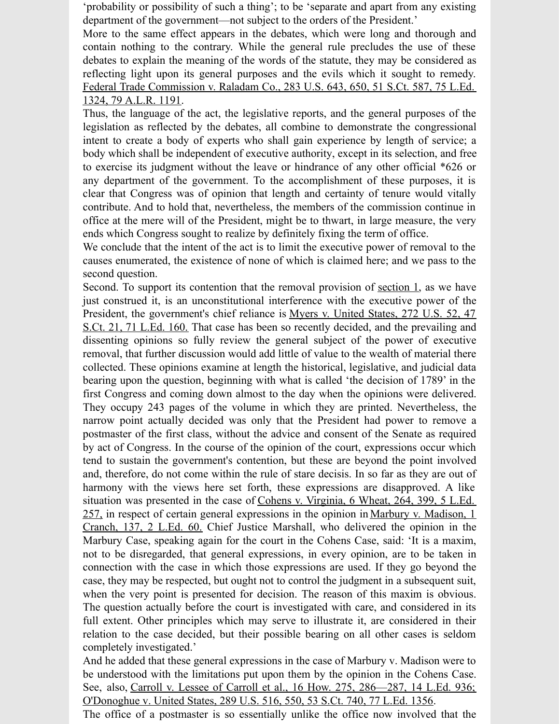'probability or possibility of such a thing'; to be 'separate and apart from any existing department of the government—not subject to the orders of the President.'

More to the same effect appears in the debates, which were long and thorough and contain nothing to the contrary. While the general rule precludes the use of these debates to explain the meaning of the words of the statute, they may be considered as reflecting light upon its general purposes and the evils which it sought to remedy. Federal Trade [Commission](https://1.next.westlaw.com/Link/Document/FullText?findType=Y&serNum=1931123592&pubNum=104&originatingDoc=Ib462ad839cc011d991d0cc6b54f12d4d&refType=RP&originationContext=document&transitionType=DocumentItem&ppcid=449b8fdb240648fc919e60b94ca7e883&contextData=(sc.UserEnteredCitation)) v. Raladam Co., 283 U.S. 643, 650, 51 S.Ct. 587, 75 L.Ed. 1324, 79 A.L.R. 1191.

Thus, the language of the act, the legislative reports, and the general purposes of the legislation as reflected by the debates, all combine to demonstrate the congressional intent to create a body of experts who shall gain experience by length of service; a body which shall be independent of executive authority, except in its selection, and free to exercise its judgment without the leave or hindrance of any other official \*626 or any department of the government. To the accomplishment of these purposes, it is clear that Congress was of opinion that length and certainty of tenure would vitally contribute. And to hold that, nevertheless, the members of the commission continue in office at the mere will of the President, might be to thwart, in large measure, the very ends which Congress sought to realize by definitely fixing the term of office.

We conclude that the intent of the act is to limit the executive power of removal to the causes enumerated, the existence of none of which is claimed here; and we pass to the second question.

Second. To support its contention that the removal provision of <u>[section](https://1.next.westlaw.com/Link/Document/FullText?findType=L&pubNum=1000546&cite=45USCAS1&originatingDoc=Ib462ad839cc011d991d0cc6b54f12d4d&refType=LQ&originationContext=document&transitionType=DocumentItem&ppcid=449b8fdb240648fc919e60b94ca7e883&contextData=(sc.UserEnteredCitation)) 1</u>, as we have just construed it, is an unconstitutional interference with the executive power of the President, the [government's](https://1.next.westlaw.com/Link/Document/FullText?findType=Y&serNum=1926122125&pubNum=708&originatingDoc=Ib462ad839cc011d991d0cc6b54f12d4d&refType=RP&originationContext=document&transitionType=DocumentItem&ppcid=449b8fdb240648fc919e60b94ca7e883&contextData=(sc.UserEnteredCitation)) chief reliance is Myers v. United States, 272 U.S. 52, 47 S.Ct. 21, 71 L.Ed. 160. That case has been so recently decided, and the prevailing and dissenting opinions so fully review the general subject of the power of executive removal, that further discussion would add little of value to the wealth of material there collected. These opinions examine at length the historical, legislative, and judicial data bearing upon the question, beginning with what is called 'the decision of 1789' in the first Congress and coming down almost to the day when the opinions were delivered. They occupy 243 pages of the volume in which they are printed. Nevertheless, the narrow point actually decided was only that the President had power to remove a postmaster of the first class, without the advice and consent of the Senate as required by act of Congress. In the course of the opinion of the court, expressions occur which tend to sustain the government's contention, but these are beyond the point involved and, therefore, do not come within the rule of stare decisis. In so far as they are out of harmony with the views here set forth, these expressions are disapproved. A like situation was presented in the case of Cohens v. Virginia, 6 Wheat, 264, 399, 5 L.Ed.  $257$ , in respect of certain general [expressions](https://1.next.westlaw.com/Link/Document/FullText?findType=Y&serNum=1801123932&pubNum=780&originatingDoc=Ib462ad839cc011d991d0cc6b54f12d4d&refType=RP&originationContext=document&transitionType=DocumentItem&ppcid=449b8fdb240648fc919e60b94ca7e883&contextData=(sc.UserEnteredCitation)) in the opinion in Marbury v. Madison, 1 Cranch, 137, 2 L.Ed. 60. Chief Justice Marshall, who delivered the opinion in the Marbury Case, speaking again for the court in the Cohens Case, said: 'It is a maxim, not to be disregarded, that general expressions, in every opinion, are to be taken in connection with the case in which those expressions are used. If they go beyond the case, they may be respected, but ought not to control the judgment in a subsequent suit, when the very point is presented for decision. The reason of this maxim is obvious. The question actually before the court is investigated with care, and considered in its full extent. Other principles which may serve to illustrate it, are considered in their relation to the case decided, but their possible bearing on all other cases is seldom completely investigated.'

And he added that these general expressions in the case of Marbury v. Madison were to be understood with the limitations put upon them by the opinion in the Cohens Case. See, also, Carroll v. Lessee of Carroll et al., 16 How. 275, [286—287,](https://1.next.westlaw.com/Link/Document/FullText?findType=Y&serNum=1853102462&pubNum=780&originatingDoc=Ib462ad839cc011d991d0cc6b54f12d4d&refType=RP&fi=co_pp_sp_780_286&originationContext=document&transitionType=DocumentItem&ppcid=449b8fdb240648fc919e60b94ca7e883&contextData=(sc.UserEnteredCitation)#co_pp_sp_780_286) 14 L.Ed. 936; [O'Donoghue](https://1.next.westlaw.com/Link/Document/FullText?findType=Y&serNum=1933123073&pubNum=708&originatingDoc=Ib462ad839cc011d991d0cc6b54f12d4d&refType=RP&originationContext=document&transitionType=DocumentItem&ppcid=449b8fdb240648fc919e60b94ca7e883&contextData=(sc.UserEnteredCitation)) v. United States, 289 U.S. 516, 550, 53 S.Ct. 740, 77 L.Ed. 1356.

The office of a postmaster is so essentially unlike the office now involved that the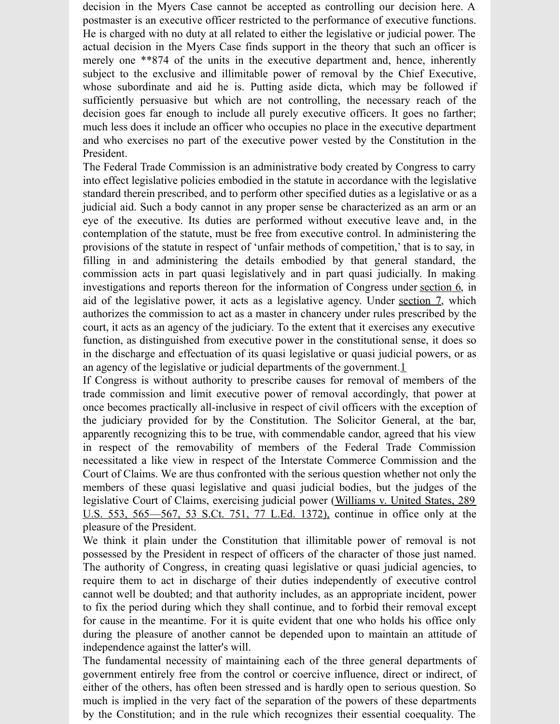decision in the Myers Case cannot be accepted as controlling our decision here. A postmaster is an executive officer restricted to the performance of executive functions. He is charged with no duty at all related to either the legislative or judicial power. The actual decision in the Myers Case finds support in the theory that such an officer is merely one \*\*874 of the units in the executive department and, hence, inherently subject to the exclusive and illimitable power of removal by the Chief Executive, whose subordinate and aid he is. Putting aside dicta, which may be followed if sufficiently persuasive but which are not controlling, the necessary reach of the decision goes far enough to include all purely executive officers. It goes no farther; much less does it include an officer who occupies no place in the executive department and who exercises no part of the executive power vested by the Constitution in the President.

The Federal Trade Commission is an administrative body created by Congress to carry into effect legislative policies embodied in the statute in accordance with the legislative standard therein prescribed, and to perform other specified duties as a legislative or as a judicial aid. Such a body cannot in any proper sense be characterized as an arm or an eye of the executive. Its duties are performed without executive leave and, in the contemplation of the statute, must be free from executive control. In administering the provisions of the statute in respect of 'unfair methods of competition,' that is to say, in filling in and administering the details embodied by that general standard, the commission acts in part quasi legislatively and in part quasi judicially. In making investigations and reports thereon for the information of Congress under [section](https://1.next.westlaw.com/Link/Document/FullText?findType=L&pubNum=1000546&cite=45USCAS6&originatingDoc=Ib462ad839cc011d991d0cc6b54f12d4d&refType=LQ&originationContext=document&transitionType=DocumentItem&ppcid=449b8fdb240648fc919e60b94ca7e883&contextData=(sc.UserEnteredCitation)) 6, in aid of the legislative power, it acts as a legislative agency. Under [section](https://1.next.westlaw.com/Link/Document/FullText?findType=L&pubNum=1000546&cite=45USCAS7&originatingDoc=Ib462ad839cc011d991d0cc6b54f12d4d&refType=LQ&originationContext=document&transitionType=DocumentItem&ppcid=449b8fdb240648fc919e60b94ca7e883&contextData=(sc.UserEnteredCitation)) 7, which authorizes the commission to act as a master in chancery under rules prescribed by the court, it acts as an agency of the judiciary. To the extent that it exercises any executive function, as distinguished from executive power in the constitutional sense, it does so in the discharge and effectuation of its quasi legislative or quasi judicial powers, or as an agency of the legislative or judicial departments of the government.[1](https://1.next.westlaw.com/Document/Ib462ad839cc011d991d0cc6b54f12d4d/View/FullText.html?transitionType=UniqueDocItem&contextData=(sc.UserEnteredCitation)&userEnteredCitation=295+us+602#co_footnote_B00111935123284)

If Congress is without authority to prescribe causes for removal of members of the trade commission and limit executive power of removal accordingly, that power at once becomes practically all-inclusive in respect of civil officers with the exception of the judiciary provided for by the Constitution. The Solicitor General, at the bar, apparently recognizing this to be true, with commendable candor, agreed that his view in respect of the removability of members of the Federal Trade Commission necessitated a like view in respect of the Interstate Commerce Commission and the Court of Claims. We are thus confronted with the serious question whether not only the members of these quasi legislative and quasi judicial bodies, but the judges of the legislative Court of Claims, [exercising](https://1.next.westlaw.com/Link/Document/FullText?findType=Y&serNum=1933123327&pubNum=708&originatingDoc=Ib462ad839cc011d991d0cc6b54f12d4d&refType=RP&originationContext=document&transitionType=DocumentItem&ppcid=449b8fdb240648fc919e60b94ca7e883&contextData=(sc.UserEnteredCitation)) judicial power (Williams v. United States, 289 U.S. 553, 565—567, 53 S.Ct. 751, 77 L.Ed. 1372), continue in office only at the pleasure of the President.

We think it plain under the Constitution that illimitable power of removal is not possessed by the President in respect of officers of the character of those just named. The authority of Congress, in creating quasi legislative or quasi judicial agencies, to require them to act in discharge of their duties independently of executive control cannot well be doubted; and that authority includes, as an appropriate incident, power to fix the period during which they shall continue, and to forbid their removal except for cause in the meantime. For it is quite evident that one who holds his office only during the pleasure of another cannot be depended upon to maintain an attitude of independence against the latter's will.

The fundamental necessity of maintaining each of the three general departments of government entirely free from the control or coercive influence, direct or indirect, of either of the others, has often been stressed and is hardly open to serious question. So much is implied in the very fact of the separation of the powers of these departments by the Constitution; and in the rule which recognizes their essential coequality. The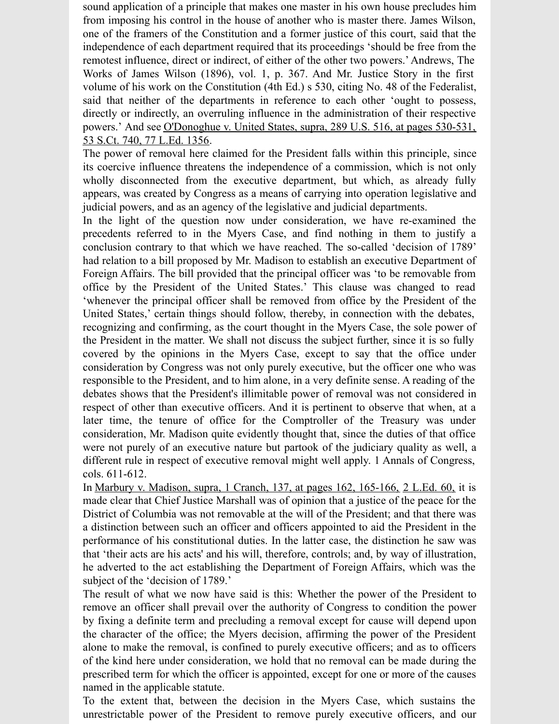sound application of a principle that makes one master in his own house precludes him from imposing his control in the house of another who is master there. James Wilson, one of the framers of the Constitution and a former justice of this court, said that the independence of each department required that its proceedings 'should be free from the remotest influence, direct or indirect, of either of the other two powers.' Andrews, The Works of James Wilson (1896), vol. 1, p. 367. And Mr. Justice Story in the first volume of his work on the Constitution (4th Ed.) s 530, citing No. 48 of the Federalist, said that neither of the departments in reference to each other 'ought to possess, directly or indirectly, an overruling influence in the administration of their respective powers.' And see [O'Donoghue](https://1.next.westlaw.com/Link/Document/FullText?findType=Y&serNum=1933123073&pubNum=708&originatingDoc=Ib462ad839cc011d991d0cc6b54f12d4d&refType=RP&originationContext=document&transitionType=DocumentItem&ppcid=449b8fdb240648fc919e60b94ca7e883&contextData=(sc.UserEnteredCitation)) v. United States, supra, 289 U.S. 516, at pages 530-531, 53 S.Ct. 740, 77 L.Ed. 1356.

The power of removal here claimed for the President falls within this principle, since its coercive influence threatens the independence of a commission, which is not only wholly disconnected from the executive department, but which, as already fully appears, was created by Congress as a means of carrying into operation legislative and judicial powers, and as an agency of the legislative and judicial departments.

In the light of the question now under consideration, we have re-examined the precedents referred to in the Myers Case, and find nothing in them to justify a conclusion contrary to that which we have reached. The so-called 'decision of 1789' had relation to a bill proposed by Mr. Madison to establish an executive Department of Foreign Affairs. The bill provided that the principal officer was 'to be removable from office by the President of the United States.' This clause was changed to read 'whenever the principal officer shall be removed from office by the President of the United States,' certain things should follow, thereby, in connection with the debates, recognizing and confirming, as the court thought in the Myers Case, the sole power of the President in the matter. We shall not discuss the subject further, since it is so fully covered by the opinions in the Myers Case, except to say that the office under consideration by Congress was not only purely executive, but the officer one who was responsible to the President, and to him alone, in a very definite sense. A reading of the debates shows that the President's illimitable power of removal was not considered in respect of other than executive officers. And it is pertinent to observe that when, at a later time, the tenure of office for the Comptroller of the Treasury was under consideration, Mr. Madison quite evidently thought that, since the duties of that office were not purely of an executive nature but partook of the judiciary quality as well, a different rule in respect of executive removal might well apply. 1 Annals of Congress, cols. 611-612.

In Marbury v. [Madison,](https://1.next.westlaw.com/Link/Document/FullText?findType=Y&serNum=1801123932&pubNum=780&originatingDoc=Ib462ad839cc011d991d0cc6b54f12d4d&refType=RP&fi=co_pp_sp_780_162&originationContext=document&transitionType=DocumentItem&ppcid=449b8fdb240648fc919e60b94ca7e883&contextData=(sc.UserEnteredCitation)#co_pp_sp_780_162) supra, 1 Cranch, 137, at pages 162, 165-166, 2 [L.Ed.](https://1.next.westlaw.com/Link/Document/FullText?findType=Y&serNum=1801123932&pubNum=470&originatingDoc=Ib462ad839cc011d991d0cc6b54f12d4d&refType=RP&originationContext=document&transitionType=DocumentItem&ppcid=449b8fdb240648fc919e60b94ca7e883&contextData=(sc.UserEnteredCitation)) 60, it is made clear that Chief Justice Marshall was of opinion that a justice of the peace for the District of Columbia was not removable at the will of the President; and that there was a distinction between such an officer and officers appointed to aid the President in the performance of his constitutional duties. In the latter case, the distinction he saw was that 'their acts are his acts' and his will, therefore, controls; and, by way of illustration, he adverted to the act establishing the Department of Foreign Affairs, which was the subject of the 'decision of 1789.'

The result of what we now have said is this: Whether the power of the President to remove an officer shall prevail over the authority of Congress to condition the power by fixing a definite term and precluding a removal except for cause will depend upon the character of the office; the Myers decision, affirming the power of the President alone to make the removal, is confined to purely executive officers; and as to officers of the kind here under consideration, we hold that no removal can be made during the prescribed term for which the officer is appointed, except for one or more of the causes named in the applicable statute.

To the extent that, between the decision in the Myers Case, which sustains the unrestrictable power of the President to remove purely executive officers, and our